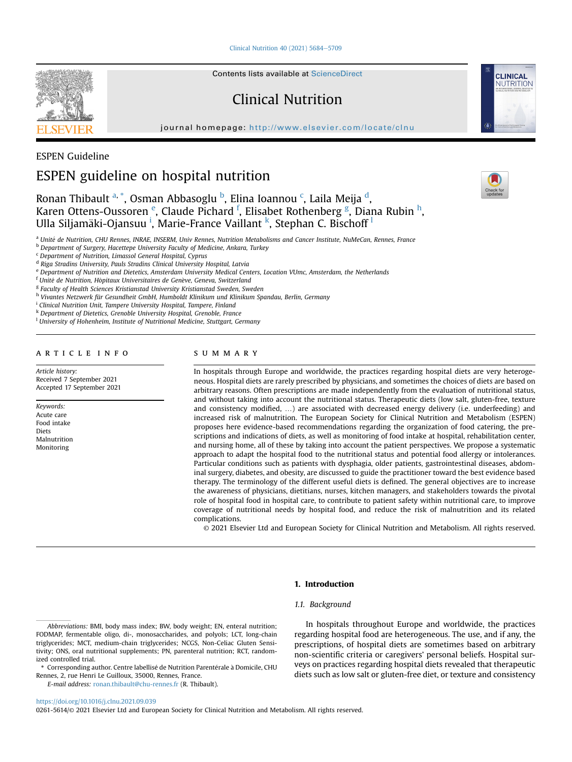[Clinical Nutrition 40 \(2021\) 5684](https://doi.org/10.1016/j.clnu.2021.09.039)-[5709](https://doi.org/10.1016/j.clnu.2021.09.039)



Contents lists available at ScienceDirect

# Clinical Nutrition

journal homepage: <http://www.elsevier.com/locate/clnu>



**CLINICAL NUTRITION** 

## ESPEN Guideline

# ESPEN guideline on hospital nutrition

# Ron[a](#page-0-0)n Thibault <sup>a, [\\*](#page-0-1)</sup>, Osman A[b](#page-0-2)basoglu <sup>b</sup>, Elina Ioannou <sup>[c](#page-0-3)</sup>, Laila Meija <sup>[d](#page-0-4)</sup>, Kar[e](#page-0-5)n Ottens-Oussoren <sup>e</sup>, Claude Pichard <sup>[f](#page-0-6)</sup>, Elisabet Rothenber[g](#page-0-7) <sup>g</sup>, Diana Rubin <sup>[h](#page-0-8)</sup>, Ulla S[i](#page-0-9)ljamä[k](#page-0-10)i-Ojansuu <sup>i</sup>, Marie-France Vai[l](#page-0-11)lant <sup>k</sup>, Stephan C. Bischoff <sup>l</sup>

<span id="page-0-0"></span>a Unité de Nutrition, CHU Rennes, INRAE, INSERM, Univ Rennes, Nutrition Metabolisms and Cancer Institute, NuMeCan, Rennes, France

<span id="page-0-2"></span>**b Department of Surgery, Hacettepe University Faculty of Medicine, Ankara, Turkey** 

<span id="page-0-3"></span><sup>c</sup> Department of Nutrition, Limassol General Hospital, Cyprus

<span id="page-0-4"></span><sup>d</sup> Riga Stradins University, Pauls Stradins Clinical University Hospital, Latvia

<span id="page-0-5"></span><sup>e</sup> Department of Nutrition and Dietetics, Amsterdam University Medical Centers, Location VUmc, Amsterdam, the Netherlands

<span id="page-0-6"></span><sup>f</sup> Unité de Nutrition, Hôpitaux Universitaires de Genève, Geneva, Switzerland

<span id="page-0-7"></span><sup>g</sup> Faculty of Health Sciences Kristianstad University Kristianstad Sweden, Sweden

<span id="page-0-8"></span><sup>h</sup> Vivantes Netzwerk für Gesundheit GmbH, Humboldt Klinikum und Klinikum Spandau, Berlin, Germany

<span id="page-0-9"></span><sup>i</sup> Clinical Nutrition Unit, Tampere University Hospital, Tampere, Finland

<span id="page-0-10"></span> $k$  Department of Dietetics, Grenoble University Hospital, Grenoble, France

<span id="page-0-11"></span><sup>1</sup> University of Hohenheim, Institute of Nutritional Medicine, Stuttgart, Germany

## article info

Article history: Received 7 September 2021 Accepted 17 September 2021

Keywords: Acute care Food intake Diets Malnutrition Monitoring

## SUMMARY

In hospitals through Europe and worldwide, the practices regarding hospital diets are very heterogeneous. Hospital diets are rarely prescribed by physicians, and sometimes the choices of diets are based on arbitrary reasons. Often prescriptions are made independently from the evaluation of nutritional status, and without taking into account the nutritional status. Therapeutic diets (low salt, gluten-free, texture and consistency modified, ...) are associated with decreased energy delivery (i.e. underfeeding) and increased risk of malnutrition. The European Society for Clinical Nutrition and Metabolism (ESPEN) proposes here evidence-based recommendations regarding the organization of food catering, the prescriptions and indications of diets, as well as monitoring of food intake at hospital, rehabilitation center, and nursing home, all of these by taking into account the patient perspectives. We propose a systematic approach to adapt the hospital food to the nutritional status and potential food allergy or intolerances. Particular conditions such as patients with dysphagia, older patients, gastrointestinal diseases, abdominal surgery, diabetes, and obesity, are discussed to guide the practitioner toward the best evidence based therapy. The terminology of the different useful diets is defined. The general objectives are to increase the awareness of physicians, dietitians, nurses, kitchen managers, and stakeholders towards the pivotal role of hospital food in hospital care, to contribute to patient safety within nutritional care, to improve coverage of nutritional needs by hospital food, and reduce the risk of malnutrition and its related complications.

© 2021 Elsevier Ltd and European Society for Clinical Nutrition and Metabolism. All rights reserved.

E-mail address: [ronan.thibault@chu-rennes.fr](mailto:ronan.thibault@chu-rennes.fr) (R. Thibault).

<https://doi.org/10.1016/j.clnu.2021.09.039>

0261-5614/© 2021 Elsevier Ltd and European Society for Clinical Nutrition and Metabolism. All rights reserved.

1. Introduction 1.1. Background

> In hospitals throughout Europe and worldwide, the practices regarding hospital food are heterogeneous. The use, and if any, the prescriptions, of hospital diets are sometimes based on arbitrary non-scientific criteria or caregivers' personal beliefs. Hospital surveys on practices regarding hospital diets revealed that therapeutic diets such as low salt or gluten-free diet, or texture and consistency

Abbreviations: BMI, body mass index; BW, body weight; EN, enteral nutrition; FODMAP, fermentable oligo, di-, monosaccharides, and polyols; LCT, long-chain triglycerides; MCT, medium-chain triglycerides; NCGS, Non-Celiac Gluten Sensitivity; ONS, oral nutritional supplements; PN, parenteral nutrition; RCT, randomized controlled trial.

<span id="page-0-1"></span><sup>\*</sup> Corresponding author. Centre labellisé de Nutrition Parentérale à Domicile, CHU Rennes, 2, rue Henri Le Guilloux, 35000, Rennes, France.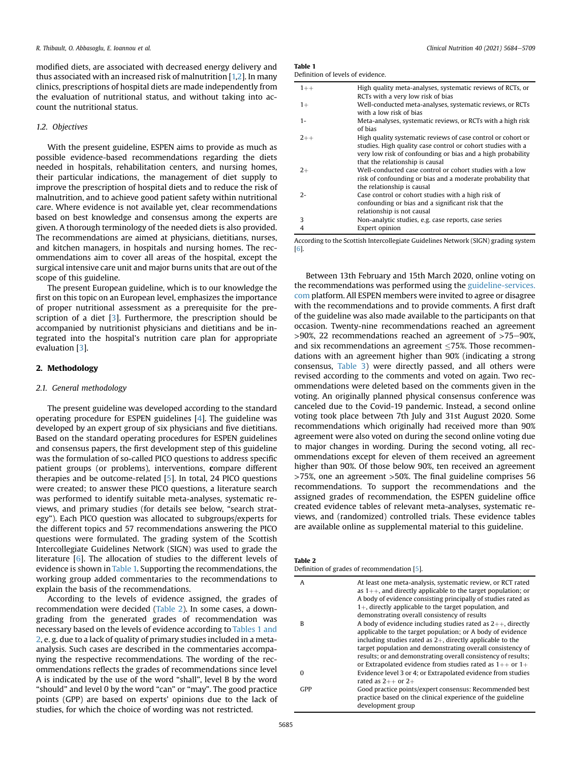modified diets, are associated with decreased energy delivery and thus associated with an increased risk of malnutrition [\[1,](#page-21-0)[2\]](#page-21-1). In many clinics, prescriptions of hospital diets are made independently from the evaluation of nutritional status, and without taking into account the nutritional status.

## 1.2. Objectives

With the present guideline, ESPEN aims to provide as much as possible evidence-based recommendations regarding the diets needed in hospitals, rehabilitation centers, and nursing homes, their particular indications, the management of diet supply to improve the prescription of hospital diets and to reduce the risk of malnutrition, and to achieve good patient safety within nutritional care. Where evidence is not available yet, clear recommendations based on best knowledge and consensus among the experts are given. A thorough terminology of the needed diets is also provided. The recommendations are aimed at physicians, dietitians, nurses, and kitchen managers, in hospitals and nursing homes. The recommendations aim to cover all areas of the hospital, except the surgical intensive care unit and major burns units that are out of the scope of this guideline.

The present European guideline, which is to our knowledge the first on this topic on an European level, emphasizes the importance of proper nutritional assessment as a prerequisite for the prescription of a diet [\[3](#page-21-2)]. Furthermore, the prescription should be accompanied by nutritionist physicians and dietitians and be integrated into the hospital's nutrition care plan for appropriate evaluation [[3](#page-21-2)].

## 2. Methodology

#### 2.1. General methodology

The present guideline was developed according to the standard operating procedure for ESPEN guidelines [[4](#page-21-3)]. The guideline was developed by an expert group of six physicians and five dietitians. Based on the standard operating procedures for ESPEN guidelines and consensus papers, the first development step of this guideline was the formulation of so-called PICO questions to address specific patient groups (or problems), interventions, compare different therapies and be outcome-related [[5\]](#page-21-4). In total, 24 PICO questions were created; to answer these PICO questions, a literature search was performed to identify suitable meta-analyses, systematic reviews, and primary studies (for details see below, "search strategy"). Each PICO question was allocated to subgroups/experts for the different topics and 57 recommendations answering the PICO questions were formulated. The grading system of the Scottish Intercollegiate Guidelines Network (SIGN) was used to grade the literature [\[6](#page-21-5)]. The allocation of studies to the different levels of evidence is shown in [Table 1.](#page-1-0) Supporting the recommendations, the working group added commentaries to the recommendations to explain the basis of the recommendations.

According to the levels of evidence assigned, the grades of recommendation were decided ([Table 2](#page-1-1)). In some cases, a downgrading from the generated grades of recommendation was necessary based on the levels of evidence according to [Tables 1 and](#page-1-0) [2](#page-1-0), e. g. due to a lack of quality of primary studies included in a metaanalysis. Such cases are described in the commentaries accompanying the respective recommendations. The wording of the recommendations reflects the grades of recommendations since level A is indicated by the use of the word "shall", level B by the word "should" and level 0 by the word "can" or "may". The good practice points (GPP) are based on experts' opinions due to the lack of studies, for which the choice of wording was not restricted.

<span id="page-1-0"></span>

| Table 1                           |
|-----------------------------------|
| Definition of levels of evidence. |

| $1 + +$ | High quality meta-analyses, systematic reviews of RCTs, or                                                                                                                                                                    |
|---------|-------------------------------------------------------------------------------------------------------------------------------------------------------------------------------------------------------------------------------|
| $1+$    | RCTs with a very low risk of bias<br>Well-conducted meta-analyses, systematic reviews, or RCTs<br>with a low risk of bias                                                                                                     |
| $1 -$   | Meta-analyses, systematic reviews, or RCTs with a high risk<br>of bias                                                                                                                                                        |
| $2++$   | High quality systematic reviews of case control or cohort or<br>studies. High quality case control or cohort studies with a<br>very low risk of confounding or bias and a high probability<br>that the relationship is causal |
| $2+$    | Well-conducted case control or cohort studies with a low<br>risk of confounding or bias and a moderate probability that<br>the relationship is causal                                                                         |
| $2 -$   | Case control or cohort studies with a high risk of<br>confounding or bias and a significant risk that the<br>relationship is not causal                                                                                       |
| 3       | Non-analytic studies, e.g. case reports, case series                                                                                                                                                                          |
| 4       | Expert opinion                                                                                                                                                                                                                |

According to the Scottish Intercollegiate Guidelines Network (SIGN) grading system [[6\]](#page-21-5).

Between 13th February and 15th March 2020, online voting on the recommendations was performed using the [guideline-services.](http://guideline-services.com) [com](http://guideline-services.com) platform. All ESPEN members were invited to agree or disagree with the recommendations and to provide comments. A first draft of the guideline was also made available to the participants on that occasion. Twenty-nine recommendations reached an agreement  $>90\%$ , 22 recommendations reached an agreement of  $>75-90\%$ , and six recommendations an agreement  $\leq$ 75%. Those recommendations with an agreement higher than 90% (indicating a strong consensus, [Table 3](#page-2-0)) were directly passed, and all others were revised according to the comments and voted on again. Two recommendations were deleted based on the comments given in the voting. An originally planned physical consensus conference was canceled due to the Covid-19 pandemic. Instead, a second online voting took place between 7th July and 31st August 2020. Some recommendations which originally had received more than 90% agreement were also voted on during the second online voting due to major changes in wording. During the second voting, all recommendations except for eleven of them received an agreement higher than 90%. Of those below 90%, ten received an agreement >75%, one an agreement >50%. The final guideline comprises 56 recommendations. To support the recommendations and the assigned grades of recommendation, the ESPEN guideline office created evidence tables of relevant meta-analyses, systematic reviews, and (randomized) controlled trials. These evidence tables are available online as supplemental material to this guideline.

#### <span id="page-1-1"></span>Table 2

Definition of grades of recommendation [[5](#page-21-4)].

| At least one meta-analysis, systematic review, or RCT rated<br>as $1++$ , and directly applicable to the target population; or<br>A body of evidence consisting principally of studies rated as<br>$1+$ , directly applicable to the target population, and |
|-------------------------------------------------------------------------------------------------------------------------------------------------------------------------------------------------------------------------------------------------------------|
| demonstrating overall consistency of results                                                                                                                                                                                                                |
| A body of evidence including studies rated as $2++$ , directly<br>applicable to the target population; or A body of evidence<br>including studies rated as $2+$ , directly applicable to the                                                                |
| target population and demonstrating overall consistency of<br>results; or and demonstrating overall consistency of results;                                                                                                                                 |
| or Extrapolated evidence from studies rated as $1++$ or $1+$                                                                                                                                                                                                |
|                                                                                                                                                                                                                                                             |
| Evidence level 3 or 4; or Extrapolated evidence from studies                                                                                                                                                                                                |
| rated as $2++$ or $2+$                                                                                                                                                                                                                                      |
| Good practice points/expert consensus: Recommended best<br>practice based on the clinical experience of the guideline<br>development group                                                                                                                  |
|                                                                                                                                                                                                                                                             |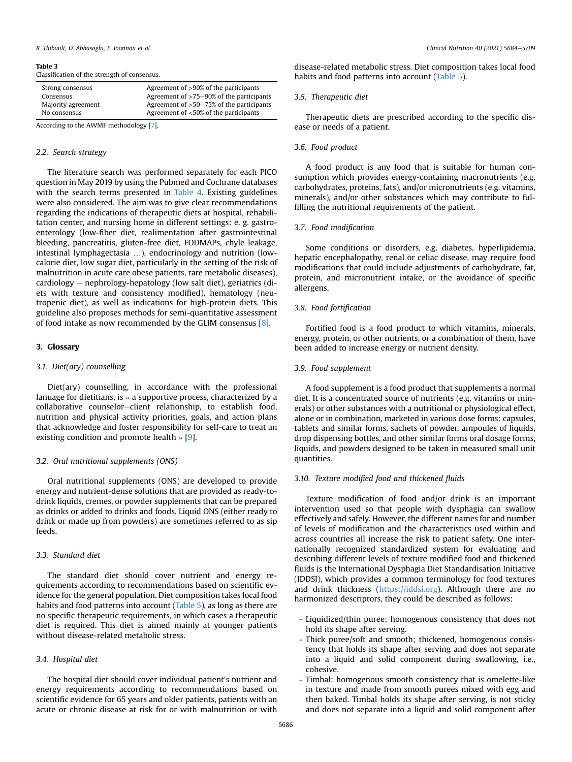#### <span id="page-2-0"></span>Table 3

Classification of the strength of consensus.

| Strong consensus   | Agreement of >90% of the participants       |  |
|--------------------|---------------------------------------------|--|
| Consensus          | Agreement of $>75-90\%$ of the participants |  |
| Majority agreement | Agreement of $>50-75\%$ of the participants |  |
| No consensus       | Agreement of <50% of the participants       |  |

According to the AWMF methodology [\[7](#page-21-8)].

#### 2.2. Search strategy

The literature search was performed separately for each PICO question in May 2019 by using the Pubmed and Cochrane databases with the search terms presented in [Table 4](#page-3-0). Existing guidelines were also considered. The aim was to give clear recommendations regarding the indications of therapeutic diets at hospital, rehabilitation center, and nursing home in different settings: e. g. gastroenterology (low-fiber diet, realimentation after gastrointestinal bleeding, pancreatitis, gluten-free diet, FODMAPs, chyle leakage, intestinal lymphagectasia …), endocrinology and nutrition (lowcalorie diet, low sugar diet, particularly in the setting of the risk of malnutrition in acute care obese patients, rare metabolic diseases), cardiology - nephrology-hepatology (low salt diet), geriatrics (diets with texture and consistency modified), hematology (neutropenic diet), as well as indications for high-protein diets. This guideline also proposes methods for semi-quantitative assessment of food intake as now recommended by the GLIM consensus [[8](#page-21-6)].

#### 3. Glossary

#### 3.1. Diet(ary) counselling

Diet(ary) counselling, in accordance with the professional lanuage for dietitians, is « a supportive process, characterized by a collaborative counselor-client relationship, to establish food, nutrition and physical activity priorities, goals, and action plans that acknowledge and foster responsibility for self-care to treat an existing condition and promote health » [[9](#page-21-7)].

#### 3.2. Oral nutritional supplements (ONS)

Oral nutritional supplements (ONS) are developed to provide energy and nutrient-dense solutions that are provided as ready-todrink liquids, cremes, or powder supplements that can be prepared as drinks or added to drinks and foods. Liquid ONS (either ready to drink or made up from powders) are sometimes referred to as sip feeds.

## 3.3. Standard diet

The standard diet should cover nutrient and energy requirements according to recommendations based on scientific evidence for the general population. Diet composition takes local food habits and food patterns into account ([Table 5\)](#page-4-0), as long as there are no specific therapeutic requirements, in which cases a therapeutic diet is required. This diet is aimed mainly at younger patients without disease-related metabolic stress.

## 3.4. Hospital diet

The hospital diet should cover individual patient's nutrient and energy requirements according to recommendations based on scientific evidence for 65 years and older patients, patients with an acute or chronic disease at risk for or with malnutrition or with disease-related metabolic stress. Diet composition takes local food habits and food patterns into account ([Table 5\)](#page-4-0).

## 3.5. Therapeutic diet

Therapeutic diets are prescribed according to the specific disease or needs of a patient.

## 3.6. Food product

A food product is any food that is suitable for human consumption which provides energy-containing macronutrients (e.g. carbohydrates, proteins, fats), and/or micronutrients (e.g. vitamins, minerals), and/or other substances which may contribute to fulfilling the nutritional requirements of the patient.

#### 3.7. Food modification

Some conditions or disorders, e.g. diabetes, hyperlipidemia, hepatic encephalopathy, renal or celiac disease, may require food modifications that could include adjustments of carbohydrate, fat, protein, and micronutrient intake, or the avoidance of specific allergens.

## 3.8. Food fortification

Fortified food is a food product to which vitamins, minerals, energy, protein, or other nutrients, or a combination of them, have been added to increase energy or nutrient density.

#### 3.9. Food supplement

A food supplement is a food product that supplements a normal diet. It is a concentrated source of nutrients (e.g. vitamins or minerals) or other substances with a nutritional or physiological effect, alone or in combination, marketed in various dose forms: capsules, tablets and similar forms, sachets of powder, ampoules of liquids, drop dispensing bottles, and other similar forms oral dosage forms, liquids, and powders designed to be taken in measured small unit quantities.

#### 3.10. Texture modified food and thickened fluids

Texture modification of food and/or drink is an important intervention used so that people with dysphagia can swallow effectively and safely. However, the different names for and number of levels of modification and the characteristics used within and across countries all increase the risk to patient safety. One internationally recognized standardized system for evaluating and describing different levels of texture modified food and thickened fluids is the International Dysphagia Diet Standardisation Initiative (IDDSI), which provides a common terminology for food textures and drink thickness ([https://iddsi.org\)](https://iddsi.org/). Although there are no harmonized descriptors, they could be described as follows:

- Liquidized/thin puree; homogenous consistency that does not hold its shape after serving.
- Thick puree/soft and smooth; thickened, homogenous consistency that holds its shape after serving and does not separate into a liquid and solid component during swallowing, i.e., cohesive.
- Timbal: homogenous smooth consistency that is omelette-like in texture and made from smooth purees mixed with egg and then baked. Timbal holds its shape after serving, is not sticky and does not separate into a liquid and solid component after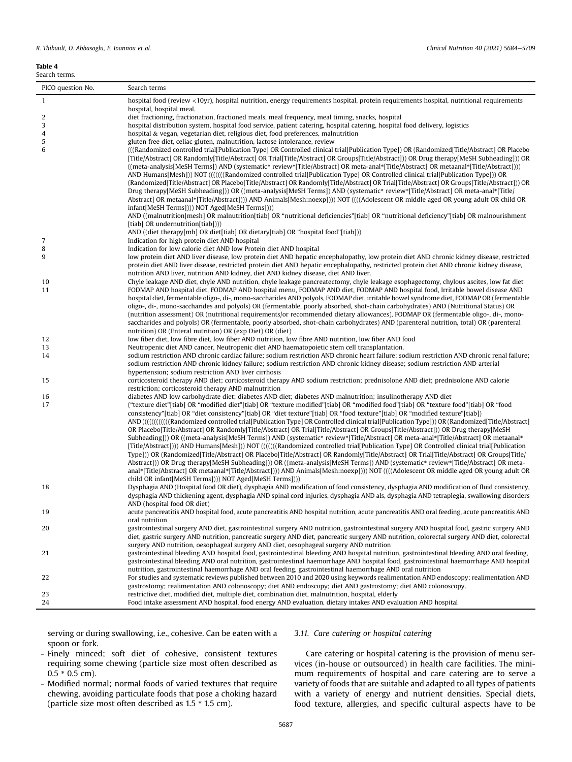## <span id="page-3-0"></span>Table 4

| Search terms.     |                                                                                                                                                                                                                                                                                                                                                                                                                                                                                                                                                                                                                                                                                                                                                                                                                                                                                                                                                                                                                                                                                                                                                                                                                                                                                                                                                             |  |  |  |
|-------------------|-------------------------------------------------------------------------------------------------------------------------------------------------------------------------------------------------------------------------------------------------------------------------------------------------------------------------------------------------------------------------------------------------------------------------------------------------------------------------------------------------------------------------------------------------------------------------------------------------------------------------------------------------------------------------------------------------------------------------------------------------------------------------------------------------------------------------------------------------------------------------------------------------------------------------------------------------------------------------------------------------------------------------------------------------------------------------------------------------------------------------------------------------------------------------------------------------------------------------------------------------------------------------------------------------------------------------------------------------------------|--|--|--|
| PICO question No. | Search terms                                                                                                                                                                                                                                                                                                                                                                                                                                                                                                                                                                                                                                                                                                                                                                                                                                                                                                                                                                                                                                                                                                                                                                                                                                                                                                                                                |  |  |  |
| $\mathbf{1}$      | hospital food (review <10yr), hospital nutrition, energy requirements hospital, protein requirements hospital, nutritional requirements                                                                                                                                                                                                                                                                                                                                                                                                                                                                                                                                                                                                                                                                                                                                                                                                                                                                                                                                                                                                                                                                                                                                                                                                                     |  |  |  |
|                   | hospital, hospital meal.                                                                                                                                                                                                                                                                                                                                                                                                                                                                                                                                                                                                                                                                                                                                                                                                                                                                                                                                                                                                                                                                                                                                                                                                                                                                                                                                    |  |  |  |
| 2                 | diet fractioning, fractionation, fractioned meals, meal frequency, meal timing, snacks, hospital                                                                                                                                                                                                                                                                                                                                                                                                                                                                                                                                                                                                                                                                                                                                                                                                                                                                                                                                                                                                                                                                                                                                                                                                                                                            |  |  |  |
| 3                 | hospital distribution system, hospital food service, patient catering, hospital catering, hospital food delivery, logistics                                                                                                                                                                                                                                                                                                                                                                                                                                                                                                                                                                                                                                                                                                                                                                                                                                                                                                                                                                                                                                                                                                                                                                                                                                 |  |  |  |
| 4                 | hospital & vegan, vegetarian diet, religious diet, food preferences, malnutrition                                                                                                                                                                                                                                                                                                                                                                                                                                                                                                                                                                                                                                                                                                                                                                                                                                                                                                                                                                                                                                                                                                                                                                                                                                                                           |  |  |  |
| 5<br>6            | gluten free diet, celiac gluten, malnutrition, lactose intolerance, review                                                                                                                                                                                                                                                                                                                                                                                                                                                                                                                                                                                                                                                                                                                                                                                                                                                                                                                                                                                                                                                                                                                                                                                                                                                                                  |  |  |  |
|                   | (((Randomized controlled trial[Publication Type] OR Controlled clinical trial[Publication Type]) OR (Randomized[Title/Abstract] OR Placebo<br>[Title/Abstract] OR Randomly[Title/Abstract] OR Trial[Title/Abstract] OR Groups[Title/Abstract])) OR Drug therapy[MeSH Subheading])) OR<br>((meta-analysis[MeSH Terms]) AND (systematic* review*[Title/Abstract] OR meta-anal*[Title/Abstract] OR metaanal*[Title/Abstract])))<br>AND Humans[Mesh])) NOT (((((((Randomized controlled trial[Publication Type] OR Controlled clinical trial[Publication Type])) OR<br>(Randomized[Title/Abstract] OR Placebo[Title/Abstract] OR Randomly[Title/Abstract] OR Trial[Title/Abstract] OR Groups[Title/Abstract])) OR<br>Drug therapy [MeSH Subheading])) OR ((meta-analysis [MeSH Terms]) AND (systematic* review* [Title/Abstract] OR meta-anal* [Title/<br>Abstract] OR metaanal*[Title/Abstract]))) AND Animals[Mesh:noexp]))) NOT ((((Adolescent OR middle aged OR young adult OR child OR<br>infant[MeSH Terms]))) NOT Aged[MeSH Terms])))<br>AND ((malnutrition[mesh] OR malnutrition[tiab] OR "nutritional deficiencies"[tiab] OR "nutritional deficiency"[tiab] OR malnourishment<br>[tiab] OR undernutrition[tiab]))                                                                                                                                      |  |  |  |
|                   | AND ((diet therapy[mh] OR diet[tiab] OR dietary[tiab] OR "hospital food"[tiab]))                                                                                                                                                                                                                                                                                                                                                                                                                                                                                                                                                                                                                                                                                                                                                                                                                                                                                                                                                                                                                                                                                                                                                                                                                                                                            |  |  |  |
| 7                 | Indication for high protein diet AND hospital                                                                                                                                                                                                                                                                                                                                                                                                                                                                                                                                                                                                                                                                                                                                                                                                                                                                                                                                                                                                                                                                                                                                                                                                                                                                                                               |  |  |  |
| 8                 | Indication for low calorie diet AND low Protein diet AND hospital                                                                                                                                                                                                                                                                                                                                                                                                                                                                                                                                                                                                                                                                                                                                                                                                                                                                                                                                                                                                                                                                                                                                                                                                                                                                                           |  |  |  |
| 9                 | low protein diet AND liver disease, low protein diet AND hepatic encephalopathy, low protein diet AND chronic kidney disease, restricted<br>protein diet AND liver disease, restricted protein diet AND hepatic encephalopathy, restricted protein diet AND chronic kidney disease,<br>nutrition AND liver, nutrition AND kidney, diet AND kidney disease, diet AND liver.                                                                                                                                                                                                                                                                                                                                                                                                                                                                                                                                                                                                                                                                                                                                                                                                                                                                                                                                                                                  |  |  |  |
| 10                | Chyle leakage AND diet, chyle AND nutrition, chyle leakage pancreatectomy, chyle leakage esophagectomy, chylous ascites, low fat diet                                                                                                                                                                                                                                                                                                                                                                                                                                                                                                                                                                                                                                                                                                                                                                                                                                                                                                                                                                                                                                                                                                                                                                                                                       |  |  |  |
| 11                | FODMAP AND hospital diet, FODMAP AND hospital menu, FODMAP AND diet, FODMAP AND hospital food, Irritable bowel disease AND<br>hospital diet, fermentable oligo-, di-, mono-saccharides AND polyols, FODMAP diet, irritable bowel syndrome diet, FODMAP OR (fermentable<br>oligo-, di-, mono-saccharides and polyols) OR (fermentable, poorly absorbed, shot-chain carbohydrates) AND (Nutritional Status) OR<br>(nutrition assessment) OR (nutritional requirements/or recommended dietary allowances), FODMAP OR (fermentable oligo-, di-, mono-<br>saccharides and polyols) OR (fermentable, poorly absorbed, shot-chain carbohydrates) AND (parenteral nutrition, total) OR (parenteral<br>nutrition) OR (Enteral nutrition) OR (exp Diet) OR (diet)                                                                                                                                                                                                                                                                                                                                                                                                                                                                                                                                                                                                     |  |  |  |
| 12                | low fiber diet, low fibre diet, low fiber AND nutrition, low fibre AND nutrition, low fiber AND food                                                                                                                                                                                                                                                                                                                                                                                                                                                                                                                                                                                                                                                                                                                                                                                                                                                                                                                                                                                                                                                                                                                                                                                                                                                        |  |  |  |
| 13                | Neutropenic diet AND cancer, Neutropenic diet AND haematopoietic stem cell transplantation.                                                                                                                                                                                                                                                                                                                                                                                                                                                                                                                                                                                                                                                                                                                                                                                                                                                                                                                                                                                                                                                                                                                                                                                                                                                                 |  |  |  |
| 14                | sodium restriction AND chronic cardiac failure; sodium restriction AND chronic heart failure; sodium restriction AND chronic renal failure;<br>sodium restriction AND chronic kidney failure; sodium restriction AND chronic kidney disease; sodium restriction AND arterial<br>hypertension; sodium restriction AND liver cirrhosis                                                                                                                                                                                                                                                                                                                                                                                                                                                                                                                                                                                                                                                                                                                                                                                                                                                                                                                                                                                                                        |  |  |  |
| 15                | corticosteroid therapy AND diet; corticosteroid therapy AND sodium restriction; prednisolone AND diet; prednisolone AND calorie<br>restriction; corticosteroid therapy AND malnutrition                                                                                                                                                                                                                                                                                                                                                                                                                                                                                                                                                                                                                                                                                                                                                                                                                                                                                                                                                                                                                                                                                                                                                                     |  |  |  |
| 16                | diabetes AND low carbohydrate diet; diabetes AND diet; diabetes AND malnutrition; insulinotherapy AND diet                                                                                                                                                                                                                                                                                                                                                                                                                                                                                                                                                                                                                                                                                                                                                                                                                                                                                                                                                                                                                                                                                                                                                                                                                                                  |  |  |  |
| 17                | ("texture diet"[tiab] OR "modified diet"[tiab] OR "texture modified"[tiab] OR "modified food"[tiab] OR "texture food"[tiab] OR "food<br>consistency"[tiab] OR "diet consistency"[tiab] OR "diet texture"[tiab] OR "food texture"[tiab] OR "modified texture"[tiab])<br>AND (((((((((((((((((((((((((((((((()))))) OR ((andomized controlled trial[Publication Type) OR (Controlled clinical trial[Publication Type])) OR ((Randomized[Title/Abstract]<br>OR Placebo[Title/Abstract] OR Randomly[Title/Abstract] OR Trial[Title/Abstract] OR Groups[Title/Abstract])) OR Drug therapy[MeSH<br>Subheading])) OR ((meta-analysis[MeSH Terms]) AND (systematic* review*[Title/Abstract] OR meta-anal*[Title/Abstract] OR metaanal*<br>[Title/Abstract]))) AND Humans[Mesh])) NOT (((((((Randomized controlled trial[Publication Type] OR Controlled clinical trial[Publication<br>Type])) OR (Randomized[Title/Abstract] OR Placebo[Title/Abstract] OR Randomly[Title/Abstract] OR Trial[Title/Abstract] OR Groups[Title/<br>Abstract])) OR Drug therapy[MeSH Subheading])) OR ((meta-analysis[MeSH Terms]) AND (systematic* review*[Title/Abstract] OR meta-<br>anal*[Title/Abstract] OR metaanal*[Title/Abstract]))) AND Animals[Mesh:noexp]))) NOT ((((Adolescent OR middle aged OR young adult OR<br>child OR infant[MeSH Terms]))) NOT Aged[MeSH Terms]))) |  |  |  |
| 18                | Dysphagia AND (Hospital food OR diet), dysphagia AND modification of food consistency, dysphagia AND modification of fluid consistency,<br>dysphagia AND thickening agent, dysphagia AND spinal cord injuries, dysphagia AND als, dysphagia AND tetraplegia, swallowing disorders<br>AND (hospital food OR diet)                                                                                                                                                                                                                                                                                                                                                                                                                                                                                                                                                                                                                                                                                                                                                                                                                                                                                                                                                                                                                                            |  |  |  |
| 19                | acute pancreatitis AND hospital food, acute pancreatitis AND hospital nutrition, acute pancreatitis AND oral feeding, acute pancreatitis AND<br>oral nutrition                                                                                                                                                                                                                                                                                                                                                                                                                                                                                                                                                                                                                                                                                                                                                                                                                                                                                                                                                                                                                                                                                                                                                                                              |  |  |  |
| 20                | gastrointestinal surgery AND diet, gastrointestinal surgery AND nutrition, gastrointestinal surgery AND hospital food, gastric surgery AND<br>diet, gastric surgery AND nutrition, pancreatic surgery AND diet, pancreatic surgery AND nutrition, colorectal surgery AND diet, colorectal<br>surgery AND nutrition, oesophageal surgery AND diet, oesophageal surgery AND nutrition                                                                                                                                                                                                                                                                                                                                                                                                                                                                                                                                                                                                                                                                                                                                                                                                                                                                                                                                                                         |  |  |  |
| 21                | gastrointestinal bleeding AND hospital food, gastrointestinal bleeding AND hospital nutrition, gastrointestinal bleeding AND oral feeding,<br>gastrointestinal bleeding AND oral nutrition, gastrointestinal haemorrhage AND hospital food, gastrointestinal haemorrhage AND hospital<br>nutrition, gastrointestinal haemorrhage AND oral feeding, gastrointestinal haemorrhage AND oral nutrition                                                                                                                                                                                                                                                                                                                                                                                                                                                                                                                                                                                                                                                                                                                                                                                                                                                                                                                                                          |  |  |  |
| 22                | For studies and systematic reviews published between 2010 and 2020 using keywords realimentation AND endoscopy; realimentation AND<br>gastrostomy; realimentation AND colonoscopy; diet AND endoscopy; diet AND gastrostomy; diet AND colonoscopy.                                                                                                                                                                                                                                                                                                                                                                                                                                                                                                                                                                                                                                                                                                                                                                                                                                                                                                                                                                                                                                                                                                          |  |  |  |
| 23<br>24          | restrictive diet, modified diet, multiple diet, combination diet, malnutrition, hospital, elderly<br>Food intake assessment AND hospital, food energy AND evaluation, dietary intakes AND evaluation AND hospital                                                                                                                                                                                                                                                                                                                                                                                                                                                                                                                                                                                                                                                                                                                                                                                                                                                                                                                                                                                                                                                                                                                                           |  |  |  |

serving or during swallowing, i.e., cohesive. Can be eaten with a spoon or fork.

- Finely minced; soft diet of cohesive, consistent textures requiring some chewing (particle size most often described as 0.5 \* 0.5 cm).
- Modified normal; normal foods of varied textures that require chewing, avoiding particulate foods that pose a choking hazard (particle size most often described as 1.5 \* 1.5 cm).

## 3.11. Care catering or hospital catering

Care catering or hospital catering is the provision of menu services (in-house or outsourced) in health care facilities. The minimum requirements of hospital and care catering are to serve a variety of foods that are suitable and adapted to all types of patients with a variety of energy and nutrient densities. Special diets, food texture, allergies, and specific cultural aspects have to be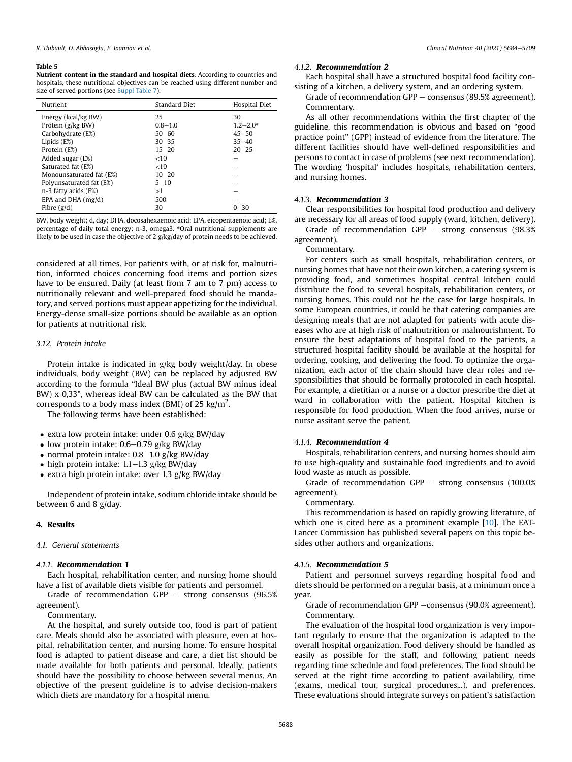#### <span id="page-4-0"></span>Table 5

Nutrient content in the standard and hospital diets. According to countries and hospitals, these nutritional objectives can be reached using different number and size of served portions (see Suppl Table 7).

| Nutrient                 | Standard Diet | Hospital Diet |
|--------------------------|---------------|---------------|
| Energy (kcal/kg BW)      | 25            | 30            |
| Protein (g/kg BW)        | $0.8 - 1.0$   | $1.2 - 2.0*$  |
| Carbohydrate (E%)        | $50 - 60$     | $45 - 50$     |
| Lipids $(E%)$            | $30 - 35$     | $35 - 40$     |
| Protein (E%)             | $15 - 20$     | $20 - 25$     |
| Added sugar (E%)         | <10           |               |
| Saturated fat (E%)       | <10           |               |
| Monounsaturated fat (E%) | $10 - 20$     |               |
| Polyunsaturated fat (E%) | $5 - 10$      |               |
| n-3 fatty acids (E%)     | >1            |               |
| EPA and DHA $(mg/d)$     | 500           |               |
| Fibre $(g/d)$            | 30            | $0 - 30$      |

BW, body weight; d, day; DHA, docosahexaenoic acid; EPA, eicopentaenoic acid; E%, percentage of daily total energy; n-3, omega3. \*Oral nutritional supplements are likely to be used in case the objective of 2 g/kg/day of protein needs to be achieved.

considered at all times. For patients with, or at risk for, malnutrition, informed choices concerning food items and portion sizes have to be ensured. Daily (at least from 7 am to 7 pm) access to nutritionally relevant and well-prepared food should be mandatory, and served portions must appear appetizing for the individual. Energy-dense small-size portions should be available as an option for patients at nutritional risk.

## 3.12. Protein intake

Protein intake is indicated in g/kg body weight/day. In obese individuals, body weight (BW) can be replaced by adjusted BW according to the formula "Ideal BW plus (actual BW minus ideal BW) x 0,33", whereas ideal BW can be calculated as the BW that corresponds to a body mass index (BMI) of 25 kg/m<sup>2</sup>.

The following terms have been established:

- extra low protein intake: under  $0.6$  g/kg BW/day
- low protein intake:  $0.6-0.79$  g/kg BW/day
- normal protein intake:  $0.8-1.0$  g/kg BW/day
- high protein intake:  $1.1-1.3$  g/kg BW/day
- extra high protein intake: over 1.3 g/kg BW/day

Independent of protein intake, sodium chloride intake should be between 6 and 8 g/day.

#### 4. Results

#### 4.1 General statements

#### 4.1.1. Recommendation 1

Each hospital, rehabilitation center, and nursing home should have a list of available diets visible for patients and personnel.

Grade of recommendation GPP  $-$  strong consensus (96.5%) agreement).

Commentary.

At the hospital, and surely outside too, food is part of patient care. Meals should also be associated with pleasure, even at hospital, rehabilitation center, and nursing home. To ensure hospital food is adapted to patient disease and care, a diet list should be made available for both patients and personal. Ideally, patients should have the possibility to choose between several menus. An objective of the present guideline is to advise decision-makers which diets are mandatory for a hospital menu.

#### 412 Recommendation 2

Each hospital shall have a structured hospital food facility consisting of a kitchen, a delivery system, and an ordering system.

Grade of recommendation GPP  $-$  consensus (89.5% agreement). Commentary.

As all other recommendations within the first chapter of the guideline, this recommendation is obvious and based on "good practice point" (GPP) instead of evidence from the literature. The different facilities should have well-defined responsibilities and persons to contact in case of problems (see next recommendation). The wording 'hospital' includes hospitals, rehabilitation centers, and nursing homes.

### 4.1.3. Recommendation 3

Clear responsibilities for hospital food production and delivery are necessary for all areas of food supply (ward, kitchen, delivery).

Grade of recommendation  $GPP -$  strong consensus (98.3%) agreement).

Commentary.

For centers such as small hospitals, rehabilitation centers, or nursing homes that have not their own kitchen, a catering system is providing food, and sometimes hospital central kitchen could distribute the food to several hospitals, rehabilitation centers, or nursing homes. This could not be the case for large hospitals. In some European countries, it could be that catering companies are designing meals that are not adapted for patients with acute diseases who are at high risk of malnutrition or malnourishment. To ensure the best adaptations of hospital food to the patients, a structured hospital facility should be available at the hospital for ordering, cooking, and delivering the food. To optimize the organization, each actor of the chain should have clear roles and responsibilities that should be formally protocoled in each hospital. For example, a dietitian or a nurse or a doctor prescribe the diet at ward in collaboration with the patient. Hospital kitchen is responsible for food production. When the food arrives, nurse or nurse assitant serve the patient.

## 4.1.4. Recommendation 4

Hospitals, rehabilitation centers, and nursing homes should aim to use high-quality and sustainable food ingredients and to avoid food waste as much as possible.

Grade of recommendation GPP  $-$  strong consensus (100.0%) agreement).

Commentary.

This recommendation is based on rapidly growing literature, of which one is cited here as a prominent example [\[10](#page-21-9)]. The EAT-Lancet Commission has published several papers on this topic besides other authors and organizations.

#### 4.1.5. Recommendation 5

Patient and personnel surveys regarding hospital food and diets should be performed on a regular basis, at a minimum once a year.

Grade of recommendation GPP -consensus (90.0% agreement). Commentary.

The evaluation of the hospital food organization is very important regularly to ensure that the organization is adapted to the overall hospital organization. Food delivery should be handled as easily as possible for the staff, and following patient needs regarding time schedule and food preferences. The food should be served at the right time according to patient availability, time (exams, medical tour, surgical procedures,..), and preferences. These evaluations should integrate surveys on patient's satisfaction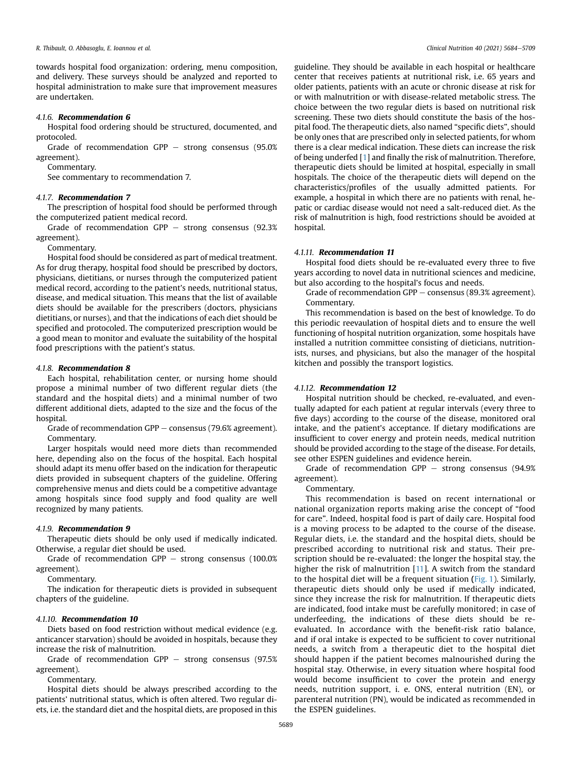towards hospital food organization: ordering, menu composition, and delivery. These surveys should be analyzed and reported to hospital administration to make sure that improvement measures are undertaken.

## 4.1.6. Recommendation 6

Hospital food ordering should be structured, documented, and protocoled.

Grade of recommendation  $GPP -$  strong consensus (95.0%) agreement).

Commentary.

See commentary to recommendation 7.

#### 4.1.7. Recommendation 7

The prescription of hospital food should be performed through the computerized patient medical record.

Grade of recommendation  $GPP -$  strong consensus (92.3%) agreement).

Commentary.

Hospital food should be considered as part of medical treatment. As for drug therapy, hospital food should be prescribed by doctors, physicians, dietitians, or nurses through the computerized patient medical record, according to the patient's needs, nutritional status, disease, and medical situation. This means that the list of available diets should be available for the prescribers (doctors, physicians dietitians, or nurses), and that the indications of each diet should be specified and protocoled. The computerized prescription would be a good mean to monitor and evaluate the suitability of the hospital food prescriptions with the patient's status.

#### 4.1.8. Recommendation 8

Each hospital, rehabilitation center, or nursing home should propose a minimal number of two different regular diets (the standard and the hospital diets) and a minimal number of two different additional diets, adapted to the size and the focus of the hospital.

Grade of recommendation GPP  $-$  consensus (79.6% agreement). Commentary.

Larger hospitals would need more diets than recommended here, depending also on the focus of the hospital. Each hospital should adapt its menu offer based on the indication for therapeutic diets provided in subsequent chapters of the guideline. Offering comprehensive menus and diets could be a competitive advantage among hospitals since food supply and food quality are well recognized by many patients.

## 4.1.9. Recommendation 9

Therapeutic diets should be only used if medically indicated. Otherwise, a regular diet should be used.

Grade of recommendation GPP  $-$  strong consensus (100.0%) agreement).

Commentary.

The indication for therapeutic diets is provided in subsequent chapters of the guideline.

#### 4.1.10. Recommendation 10

Diets based on food restriction without medical evidence (e.g. anticancer starvation) should be avoided in hospitals, because they increase the risk of malnutrition.

Grade of recommendation GPP  $-$  strong consensus (97.5%) agreement).

Commentary.

Hospital diets should be always prescribed according to the patients' nutritional status, which is often altered. Two regular diets, i.e. the standard diet and the hospital diets, are proposed in this guideline. They should be available in each hospital or healthcare center that receives patients at nutritional risk, i.e. 65 years and older patients, patients with an acute or chronic disease at risk for or with malnutrition or with disease-related metabolic stress. The choice between the two regular diets is based on nutritional risk screening. These two diets should constitute the basis of the hospital food. The therapeutic diets, also named "specific diets", should be only ones that are prescribed only in selected patients, for whom there is a clear medical indication. These diets can increase the risk of being underfed [[1](#page-21-0)] and finally the risk of malnutrition. Therefore, therapeutic diets should be limited at hospital, especially in small hospitals. The choice of the therapeutic diets will depend on the characteristics/profiles of the usually admitted patients. For example, a hospital in which there are no patients with renal, hepatic or cardiac disease would not need a salt-reduced diet. As the risk of malnutrition is high, food restrictions should be avoided at hospital.

## 4.1.11. Recommendation 11

Hospital food diets should be re-evaluated every three to five years according to novel data in nutritional sciences and medicine, but also according to the hospital's focus and needs.

Grade of recommendation GPP  $-$  consensus (89.3% agreement). Commentary.

This recommendation is based on the best of knowledge. To do this periodic reevaulation of hospital diets and to ensure the well functioning of hospital nutrition organization, some hospitals have installed a nutrition committee consisting of dieticians, nutritionists, nurses, and physicians, but also the manager of the hospital kitchen and possibly the transport logistics.

## 4.1.12. Recommendation 12

Hospital nutrition should be checked, re-evaluated, and eventually adapted for each patient at regular intervals (every three to five days) according to the course of the disease, monitored oral intake, and the patient's acceptance. If dietary modifications are insufficient to cover energy and protein needs, medical nutrition should be provided according to the stage of the disease. For details, see other ESPEN guidelines and evidence herein.

Grade of recommendation GPP  $-$  strong consensus (94.9%) agreement).

Commentary.

This recommendation is based on recent international or national organization reports making arise the concept of "food for care". Indeed, hospital food is part of daily care. Hospital food is a moving process to be adapted to the course of the disease. Regular diets, i.e. the standard and the hospital diets, should be prescribed according to nutritional risk and status. Their prescription should be re-evaluated: the longer the hospital stay, the higher the risk of malnutrition [[11\]](#page-21-10). A switch from the standard to the hospital diet will be a frequent situation ([Fig. 1](#page-6-0)). Similarly, therapeutic diets should only be used if medically indicated, since they increase the risk for malnutrition. If therapeutic diets are indicated, food intake must be carefully monitored; in case of underfeeding, the indications of these diets should be reevaluated. In accordance with the benefit-risk ratio balance, and if oral intake is expected to be sufficient to cover nutritional needs, a switch from a therapeutic diet to the hospital diet should happen if the patient becomes malnourished during the hospital stay. Otherwise, in every situation where hospital food would become insufficient to cover the protein and energy needs, nutrition support, i. e. ONS, enteral nutrition (EN), or parenteral nutrition (PN), would be indicated as recommended in the ESPEN guidelines.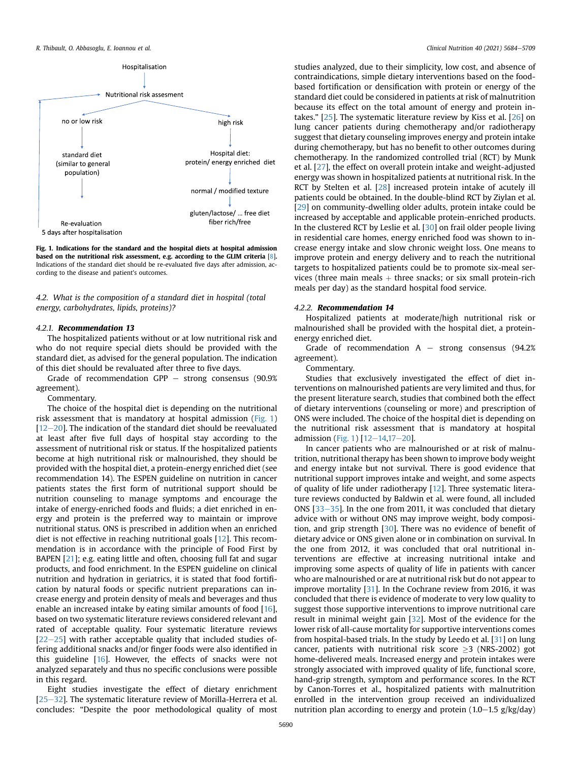<span id="page-6-0"></span>

Fig. 1. Indications for the standard and the hospital diets at hospital admission based on the nutritional risk assessment, e.g. according to the GLIM criteria [\[8\]](#page-21-6). Indications of the standard diet should be re-evaluated five days after admission, according to the disease and patient's outcomes.

4.2. What is the composition of a standard diet in hospital (total energy, carbohydrates, lipids, proteins)?

#### 4.2.1. Recommendation 13

The hospitalized patients without or at low nutritional risk and who do not require special diets should be provided with the standard diet, as advised for the general population. The indication of this diet should be revaluated after three to five days.

Grade of recommendation  $GPP -$  strong consensus (90.9%) agreement).

Commentary.

The choice of the hospital diet is depending on the nutritional risk assessment that is mandatory at hospital admission ([Fig. 1\)](#page-6-0)  $[12-20]$  $[12-20]$  $[12-20]$  $[12-20]$  $[12-20]$ . The indication of the standard diet should be reevaluated at least after five full days of hospital stay according to the assessment of nutritional risk or status. If the hospitalized patients become at high nutritional risk or malnourished, they should be provided with the hospital diet, a protein-energy enriched diet (see recommendation 14). The ESPEN guideline on nutrition in cancer patients states the first form of nutritional support should be nutrition counseling to manage symptoms and encourage the intake of energy-enriched foods and fluids; a diet enriched in energy and protein is the preferred way to maintain or improve nutritional status. ONS is prescribed in addition when an enriched diet is not effective in reaching nutritional goals [[12\]](#page-21-11). This recommendation is in accordance with the principle of Food First by BAPEN [[21\]](#page-21-12); e.g. eating little and often, choosing full fat and sugar products, and food enrichment. In the ESPEN guideline on clinical nutrition and hydration in geriatrics, it is stated that food fortification by natural foods or specific nutrient preparations can increase energy and protein density of meals and beverages and thus enable an increased intake by eating similar amounts of food [[16\]](#page-21-13), based on two systematic literature reviews considered relevant and rated of acceptable quality. Four systematic literature reviews  $[22-25]$  $[22-25]$  $[22-25]$  $[22-25]$  with rather acceptable quality that included studies offering additional snacks and/or finger foods were also identified in this guideline [[16\]](#page-21-13). However, the effects of snacks were not analyzed separately and thus no specific conclusions were possible in this regard.

Eight studies investigate the effect of dietary enrichment  $[25-32]$  $[25-32]$  $[25-32]$  $[25-32]$ . The systematic literature review of Morilla-Herrera et al. concludes: "Despite the poor methodological quality of most studies analyzed, due to their simplicity, low cost, and absence of contraindications, simple dietary interventions based on the foodbased fortification or densification with protein or energy of the standard diet could be considered in patients at risk of malnutrition because its effect on the total amount of energy and protein intakes." [\[25\]](#page-21-15). The systematic literature review by Kiss et al. [[26](#page-21-16)] on lung cancer patients during chemotherapy and/or radiotherapy suggest that dietary counseling improves energy and protein intake during chemotherapy, but has no benefit to other outcomes during chemotherapy. In the randomized controlled trial (RCT) by Munk et al. [[27](#page-21-17)], the effect on overall protein intake and weight-adjusted energy was shown in hospitalized patients at nutritional risk. In the RCT by Stelten et al. [[28](#page-21-18)] increased protein intake of acutely ill patients could be obtained. In the double-blind RCT by Ziylan et al. [[29](#page-21-19)] on community-dwelling older adults, protein intake could be increased by acceptable and applicable protein-enriched products. In the clustered RCT by Leslie et al. [[30](#page-21-20)] on frail older people living in residential care homes, energy enriched food was shown to increase energy intake and slow chronic weight loss. One means to improve protein and energy delivery and to reach the nutritional targets to hospitalized patients could be to promote six-meal services (three main meals  $+$  three snacks; or six small protein-rich meals per day) as the standard hospital food service.

#### 4.2.2. Recommendation 14

Hospitalized patients at moderate/high nutritional risk or malnourished shall be provided with the hospital diet, a proteinenergy enriched diet.

Grade of recommendation  $A -$  strong consensus (94.2%) agreement).

## Commentary.

Studies that exclusively investigated the effect of diet interventions on malnourished patients are very limited and thus, for the present literature search, studies that combined both the effect of dietary interventions (counseling or more) and prescription of ONS were included. The choice of the hospital diet is depending on the nutritional risk assessment that is mandatory at hospital admission ([Fig. 1](#page-6-0))  $[12-14,17-20]$  $[12-14,17-20]$  $[12-14,17-20]$  $[12-14,17-20]$  $[12-14,17-20]$  $[12-14,17-20]$  $[12-14,17-20]$  $[12-14,17-20]$ .

In cancer patients who are malnourished or at risk of malnutrition, nutritional therapy has been shown to improve body weight and energy intake but not survival. There is good evidence that nutritional support improves intake and weight, and some aspects of quality of life under radiotherapy [[12\]](#page-21-11). Three systematic literature reviews conducted by Baldwin et al. were found, all included ONS  $[33-35]$  $[33-35]$  $[33-35]$  $[33-35]$ . In the one from 2011, it was concluded that dietary advice with or without ONS may improve weight, body composition, and grip strength [\[30\]](#page-21-20). There was no evidence of benefit of dietary advice or ONS given alone or in combination on survival. In the one from 2012, it was concluded that oral nutritional interventions are effective at increasing nutritional intake and improving some aspects of quality of life in patients with cancer who are malnourished or are at nutritional risk but do not appear to improve mortality [[31\]](#page-21-23). In the Cochrane review from 2016, it was concluded that there is evidence of moderate to very low quality to suggest those supportive interventions to improve nutritional care result in minimal weight gain [[32](#page-21-24)]. Most of the evidence for the lower risk of all-cause mortality for supportive interventions comes from hospital-based trials. In the study by Leedo et al. [[31\]](#page-21-23) on lung cancer, patients with nutritional risk score  $\geq$ 3 (NRS-2002) got home-delivered meals. Increased energy and protein intakes were strongly associated with improved quality of life, functional score, hand-grip strength, symptom and performance scores. In the RCT by Canon-Torres et al., hospitalized patients with malnutrition enrolled in the intervention group received an individualized nutrition plan according to energy and protein  $(1.0-1.5 \text{ g/kg/day})$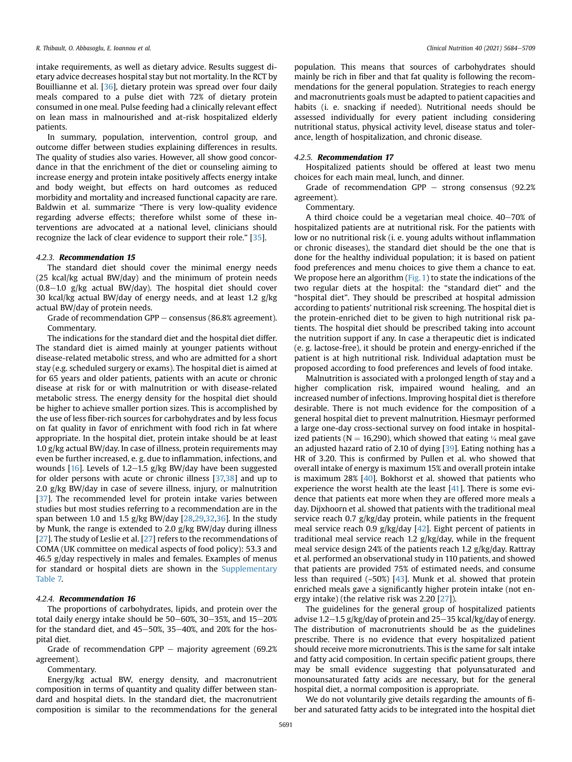intake requirements, as well as dietary advice. Results suggest dietary advice decreases hospital stay but not mortality. In the RCT by Bouillianne et al. [\[36\]](#page-21-25), dietary protein was spread over four daily meals compared to a pulse diet with 72% of dietary protein consumed in one meal. Pulse feeding had a clinically relevant effect on lean mass in malnourished and at-risk hospitalized elderly patients.

In summary, population, intervention, control group, and outcome differ between studies explaining differences in results. The quality of studies also varies. However, all show good concordance in that the enrichment of the diet or counseling aiming to increase energy and protein intake positively affects energy intake and body weight, but effects on hard outcomes as reduced morbidity and mortality and increased functional capacity are rare. Baldwin et al. summarize "There is very low-quality evidence regarding adverse effects; therefore whilst some of these interventions are advocated at a national level, clinicians should recognize the lack of clear evidence to support their role." [\[35\]](#page-21-26).

#### 4.2.3. Recommendation 15

The standard diet should cover the minimal energy needs (25 kcal/kg actual BW/day) and the minimum of protein needs  $(0.8-1.0 \text{ g/kg}$  actual BW/day). The hospital diet should cover 30 kcal/kg actual BW/day of energy needs, and at least 1.2 g/kg actual BW/day of protein needs.

Grade of recommendation GPP  $-$  consensus (86.8% agreement). Commentary.

The indications for the standard diet and the hospital diet differ. The standard diet is aimed mainly at younger patients without disease-related metabolic stress, and who are admitted for a short stay (e.g. scheduled surgery or exams). The hospital diet is aimed at for 65 years and older patients, patients with an acute or chronic disease at risk for or with malnutrition or with disease-related metabolic stress. The energy density for the hospital diet should be higher to achieve smaller portion sizes. This is accomplished by the use of less fiber-rich sources for carbohydrates and by less focus on fat quality in favor of enrichment with food rich in fat where appropriate. In the hospital diet, protein intake should be at least 1.0 g/kg actual BW/day. In case of illness, protein requirements may even be further increased, e. g. due to inflammation, infections, and wounds [[16\]](#page-21-13). Levels of 1.2–1.5 g/kg BW/day have been suggested for older persons with acute or chronic illness [\[37,](#page-21-27)[38](#page-21-28)] and up to 2.0 g/kg BW/day in case of severe illness, injury, or malnutrition [[37\]](#page-21-27). The recommended level for protein intake varies between studies but most studies referring to a recommendation are in the span between 1.0 and 1.5 g/kg BW/day [\[28,](#page-21-18)[29](#page-21-19)[,32,](#page-21-24)[36\]](#page-21-25). In the study by Munk, the range is extended to 2.0 g/kg BW/day during illness [[27\]](#page-21-17). The study of Leslie et al. [[27](#page-21-17)] refers to the recommendations of COMA (UK committee on medical aspects of food policy): 53.3 and 46.5 g/day respectively in males and females. Examples of menus for standard or hospital diets are shown in the Supplementary Table 7.

#### 4.2.4. Recommendation 16

The proportions of carbohydrates, lipids, and protein over the total daily energy intake should be  $50-60\%$ ,  $30-35\%$ , and  $15-20\%$ for the standard diet, and  $45-50\%$ ,  $35-40\%$ , and  $20\%$  for the hospital diet.

Grade of recommendation GPP  $-$  majority agreement (69.2%) agreement).

Commentary.

Energy/kg actual BW, energy density, and macronutrient composition in terms of quantity and quality differ between standard and hospital diets. In the standard diet, the macronutrient composition is similar to the recommendations for the general

population. This means that sources of carbohydrates should mainly be rich in fiber and that fat quality is following the recommendations for the general population. Strategies to reach energy and macronutrients goals must be adapted to patient capacities and habits (i. e. snacking if needed). Nutritional needs should be assessed individually for every patient including considering nutritional status, physical activity level, disease status and tolerance, length of hospitalization, and chronic disease.

#### 4.2.5. Recommendation 17

Hospitalized patients should be offered at least two menu choices for each main meal, lunch, and dinner.

Grade of recommendation GPP  $-$  strong consensus (92.2%) agreement).

Commentary.

A third choice could be a vegetarian meal choice.  $40-70\%$  of hospitalized patients are at nutritional risk. For the patients with low or no nutritional risk (i. e. young adults without inflammation or chronic diseases), the standard diet should be the one that is done for the healthy individual population; it is based on patient food preferences and menu choices to give them a chance to eat. We propose here an algorithm [\(Fig. 1](#page-6-0)) to state the indications of the two regular diets at the hospital: the "standard diet" and the "hospital diet". They should be prescribed at hospital admission according to patients' nutritional risk screening. The hospital diet is the protein-enriched diet to be given to high nutritional risk patients. The hospital diet should be prescribed taking into account the nutrition support if any. In case a therapeutic diet is indicated (e. g. lactose-free), it should be protein and energy-enriched if the patient is at high nutritional risk. Individual adaptation must be proposed according to food preferences and levels of food intake.

Malnutrition is associated with a prolonged length of stay and a higher complication risk, impaired wound healing, and an increased number of infections. Improving hospital diet is therefore desirable. There is not much evidence for the composition of a general hospital diet to prevent malnutrition. Hiesmayr performed a large one-day cross-sectional survey on food intake in hospitalized patients ( $N = 16,290$ ), which showed that eating  $\frac{1}{4}$  meal gave an adjusted hazard ratio of 2.10 of dying [[39](#page-21-29)]. Eating nothing has a HR of 3.20. This is confirmed by Pullen et al. who showed that overall intake of energy is maximum 15% and overall protein intake is maximum 28% [[40](#page-21-30)]. Bokhorst et al. showed that patients who experience the worst health ate the least [\[41](#page-21-31)]. There is some evidence that patients eat more when they are offered more meals a day. Dijxhoorn et al. showed that patients with the traditional meal service reach 0.7 g/kg/day protein, while patients in the frequent meal service reach 0.9 g/kg/day [[42](#page-21-32)]. Eight percent of patients in traditional meal service reach 1.2 g/kg/day, while in the frequent meal service design 24% of the patients reach 1.2 g/kg/day. Rattray et al. performed an observational study in 110 patients, and showed that patients are provided 75% of estimated needs, and consume less than required (~50%) [[43](#page-21-33)]. Munk et al. showed that protein enriched meals gave a significantly higher protein intake (not energy intake) (the relative risk was 2.20 [[27\]](#page-21-17)).

The guidelines for the general group of hospitalized patients advise 1.2–1.5 g/kg/day of protein and 25–35 kcal/kg/day of energy. The distribution of macronutrients should be as the guidelines prescribe. There is no evidence that every hospitalized patient should receive more micronutrients. This is the same for salt intake and fatty acid composition. In certain specific patient groups, there may be small evidence suggesting that polyunsaturated and monounsaturated fatty acids are necessary, but for the general hospital diet, a normal composition is appropriate.

We do not voluntarily give details regarding the amounts of fiber and saturated fatty acids to be integrated into the hospital diet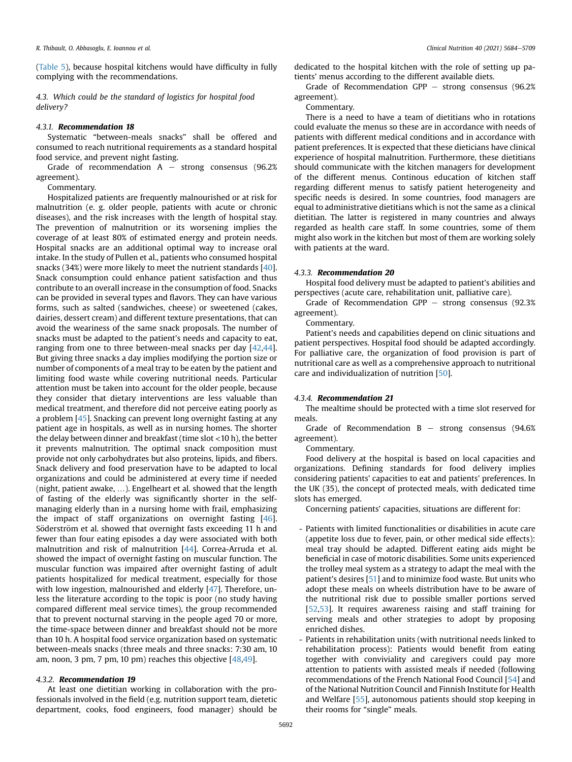([Table 5](#page-4-0)), because hospital kitchens would have difficulty in fully complying with the recommendations.

4.3. Which could be the standard of logistics for hospital food delivery?

#### 4.3.1. Recommendation 18

Systematic "between-meals snacks" shall be offered and consumed to reach nutritional requirements as a standard hospital food service, and prevent night fasting.

Grade of recommendation  $A -$  strong consensus (96.2%) agreement).

## Commentary.

Hospitalized patients are frequently malnourished or at risk for malnutrition (e. g. older people, patients with acute or chronic diseases), and the risk increases with the length of hospital stay. The prevention of malnutrition or its worsening implies the coverage of at least 80% of estimated energy and protein needs. Hospital snacks are an additional optimal way to increase oral intake. In the study of Pullen et al., patients who consumed hospital snacks (34%) were more likely to meet the nutrient standards [\[40\]](#page-21-30). Snack consumption could enhance patient satisfaction and thus contribute to an overall increase in the consumption of food. Snacks can be provided in several types and flavors. They can have various forms, such as salted (sandwiches, cheese) or sweetened (cakes, dairies, dessert cream) and different texture presentations, that can avoid the weariness of the same snack proposals. The number of snacks must be adapted to the patient's needs and capacity to eat, ranging from one to three between-meal snacks per day [[42](#page-21-32)[,44\]](#page-21-34). But giving three snacks a day implies modifying the portion size or number of components of a meal tray to be eaten by the patient and limiting food waste while covering nutritional needs. Particular attention must be taken into account for the older people, because they consider that dietary interventions are less valuable than medical treatment, and therefore did not perceive eating poorly as a problem [\[45\]](#page-21-35). Snacking can prevent long overnight fasting at any patient age in hospitals, as well as in nursing homes. The shorter the delay between dinner and breakfast (time slot <10 h), the better it prevents malnutrition. The optimal snack composition must provide not only carbohydrates but also proteins, lipids, and fibers. Snack delivery and food preservation have to be adapted to local organizations and could be administered at every time if needed (night, patient awake, …). Engelheart et al. showed that the length of fasting of the elderly was significantly shorter in the selfmanaging elderly than in a nursing home with frail, emphasizing the impact of staff organizations on overnight fasting [\[46\]](#page-21-36). Söderström et al. showed that overnight fasts exceeding 11 h and fewer than four eating episodes a day were associated with both malnutrition and risk of malnutrition [\[44\]](#page-21-34). Correa-Arruda et al. showed the impact of overnight fasting on muscular function. The muscular function was impaired after overnight fasting of adult patients hospitalized for medical treatment, especially for those with low ingestion, malnourished and elderly [[47\]](#page-21-37). Therefore, unless the literature according to the topic is poor (no study having compared different meal service times), the group recommended that to prevent nocturnal starving in the people aged 70 or more, the time-space between dinner and breakfast should not be more than 10 h. A hospital food service organization based on systematic between-meals snacks (three meals and three snacks: 7:30 am, 10 am, noon, 3 pm, 7 pm, 10 pm) reaches this objective [[48](#page-21-38)[,49\]](#page-21-39).

## 4.3.2. Recommendation 19

At least one dietitian working in collaboration with the professionals involved in the field (e.g. nutrition support team, dietetic department, cooks, food engineers, food manager) should be

dedicated to the hospital kitchen with the role of setting up patients' menus according to the different available diets.

Grade of Recommendation GPP  $-$  strong consensus (96.2%) agreement).

Commentary.

There is a need to have a team of dietitians who in rotations could evaluate the menus so these are in accordance with needs of patients with different medical conditions and in accordance with patient preferences. It is expected that these dieticians have clinical experience of hospital malnutrition. Furthermore, these dietitians should communicate with the kitchen managers for development of the different menus. Continous education of kitchen staff regarding different menus to satisfy patient heterogeneity and specific needs is desired. In some countries, food managers are equal to administrative dietitians which is not the same as a clinical dietitian. The latter is registered in many countries and always regarded as health care staff. In some countries, some of them might also work in the kitchen but most of them are working solely with patients at the ward.

#### 4.3.3. Recommendation 20

Hospital food delivery must be adapted to patient's abilities and perspectives (acute care, rehabilitation unit, palliative care).

Grade of Recommendation GPP  $-$  strong consensus (92.3%) agreement).

#### Commentary.

Patient's needs and capabilities depend on clinic situations and patient perspectives. Hospital food should be adapted accordingly. For palliative care, the organization of food provision is part of nutritional care as well as a comprehensive approach to nutritional care and individualization of nutrition [[50](#page-21-40)].

#### 4.3.4. Recommendation 21

The mealtime should be protected with a time slot reserved for meals.

Grade of Recommendation  $B -$  strong consensus (94.6%) agreement).

Commentary.

Food delivery at the hospital is based on local capacities and organizations. Defining standards for food delivery implies considering patients' capacities to eat and patients' preferences. In the UK (35), the concept of protected meals, with dedicated time slots has emerged.

Concerning patients' capacities, situations are different for:

- Patients with limited functionalities or disabilities in acute care (appetite loss due to fever, pain, or other medical side effects): meal tray should be adapted. Different eating aids might be beneficial in case of motoric disabilities. Some units experienced the trolley meal system as a strategy to adapt the meal with the patient's desires [\[51\]](#page-21-41) and to minimize food waste. But units who adopt these meals on wheels distribution have to be aware of the nutritional risk due to possible smaller portions served [\[52,](#page-21-42)[53](#page-22-0)]. It requires awareness raising and staff training for serving meals and other strategies to adopt by proposing enriched dishes.
- Patients in rehabilitation units (with nutritional needs linked to rehabilitation process): Patients would benefit from eating together with conviviality and caregivers could pay more attention to patients with assisted meals if needed (following recommendations of the French National Food Council [[54](#page-22-1)] and of the National Nutrition Council and Finnish Institute for Health and Welfare [\[55\]](#page-22-2), autonomous patients should stop keeping in their rooms for "single" meals.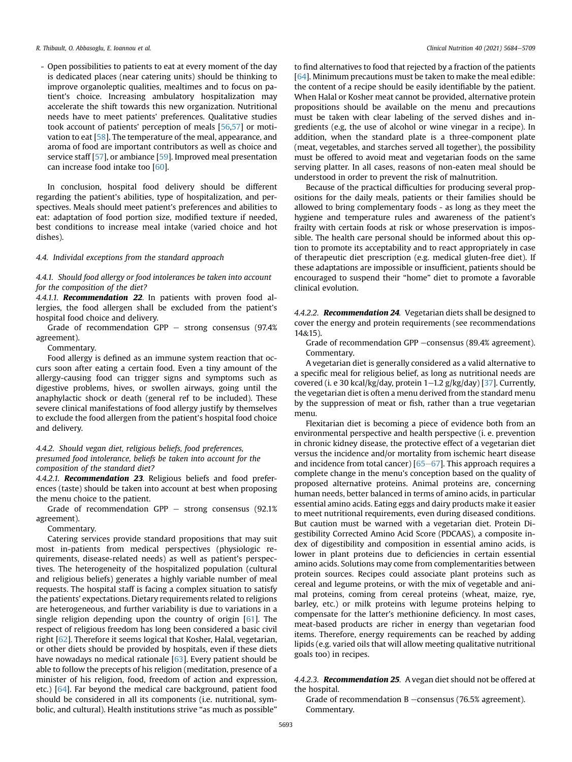- Open possibilities to patients to eat at every moment of the day is dedicated places (near catering units) should be thinking to improve organoleptic qualities, mealtimes and to focus on patient's choice. Increasing ambulatory hospitalization may accelerate the shift towards this new organization. Nutritional needs have to meet patients' preferences. Qualitative studies took account of patients' perception of meals [\[56,](#page-22-3)[57\]](#page-22-4) or motivation to eat [[58](#page-22-5)]. The temperature of the meal, appearance, and aroma of food are important contributors as well as choice and service staff [[57](#page-22-4)], or ambiance [[59](#page-22-6)]. Improved meal presentation can increase food intake too [[60](#page-22-7)].

In conclusion, hospital food delivery should be different regarding the patient's abilities, type of hospitalization, and perspectives. Meals should meet patient's preferences and abilities to eat: adaptation of food portion size, modified texture if needed, best conditions to increase meal intake (varied choice and hot dishes).

## 4.4. Individal exceptions from the standard approach

4.4.1. Should food allergy or food intolerances be taken into account for the composition of the diet?

4.4.1.1. Recommendation 22. In patients with proven food allergies, the food allergen shall be excluded from the patient's hospital food choice and delivery.

Grade of recommendation GPP  $-$  strong consensus (97.4%) agreement).

Commentary.

Food allergy is defined as an immune system reaction that occurs soon after eating a certain food. Even a tiny amount of the allergy-causing food can trigger signs and symptoms such as digestive problems, hives, or swollen airways, going until the anaphylactic shock or death (general ref to be included). These severe clinical manifestations of food allergy justify by themselves to exclude the food allergen from the patient's hospital food choice and delivery.

4.4.2. Should vegan diet, religious beliefs, food preferences, presumed food intolerance, beliefs be taken into account for the composition of the standard diet?

4.4.2.1. Recommendation 23. Religious beliefs and food preferences (taste) should be taken into account at best when proposing the menu choice to the patient.

Grade of recommendation GPP  $-$  strong consensus (92.1%) agreement).

Commentary.

Catering services provide standard propositions that may suit most in-patients from medical perspectives (physiologic requirements, disease-related needs) as well as patient's perspectives. The heterogeneity of the hospitalized population (cultural and religious beliefs) generates a highly variable number of meal requests. The hospital staff is facing a complex situation to satisfy the patients' expectations. Dietary requirements related to religions are heterogeneous, and further variability is due to variations in a single religion depending upon the country of origin  $[61]$  $[61]$ . The respect of religious freedom has long been considered a basic civil right [\[62\]](#page-22-9). Therefore it seems logical that Kosher, Halal, vegetarian, or other diets should be provided by hospitals, even if these diets have nowadays no medical rationale [[63](#page-22-10)]. Every patient should be able to follow the precepts of his religion (meditation, presence of a minister of his religion, food, freedom of action and expression, etc.) [\[64\]](#page-22-11). Far beyond the medical care background, patient food should be considered in all its components (i.e. nutritional, symbolic, and cultural). Health institutions strive "as much as possible"

to find alternatives to food that rejected by a fraction of the patients [[64](#page-22-11)]. Minimum precautions must be taken to make the meal edible: the content of a recipe should be easily identifiable by the patient. When Halal or Kosher meat cannot be provided, alternative protein propositions should be available on the menu and precautions must be taken with clear labeling of the served dishes and ingredients (e.g, the use of alcohol or wine vinegar in a recipe). In addition, when the standard plate is a three-component plate (meat, vegetables, and starches served all together), the possibility must be offered to avoid meat and vegetarian foods on the same serving platter. In all cases, reasons of non-eaten meal should be understood in order to prevent the risk of malnutrition.

Because of the practical difficulties for producing several propositions for the daily meals, patients or their families should be allowed to bring complementary foods - as long as they meet the hygiene and temperature rules and awareness of the patient's frailty with certain foods at risk or whose preservation is impossible. The health care personal should be informed about this option to promote its acceptability and to react appropriately in case of therapeutic diet prescription (e.g. medical gluten-free diet). If these adaptations are impossible or insufficient, patients should be encouraged to suspend their "home" diet to promote a favorable clinical evolution.

4.4.2.2. Recommendation 24. Vegetarian diets shall be designed to cover the energy and protein requirements (see recommendations 14&15).

Grade of recommendation GPP -consensus (89.4% agreement). Commentary.

A vegetarian diet is generally considered as a valid alternative to a specific meal for religious belief, as long as nutritional needs are covered (i. e 30 kcal/kg/day, protein  $1-1.2$  g/kg/day) [[37\]](#page-21-27). Currently, the vegetarian diet is often a menu derived from the standard menu by the suppression of meat or fish, rather than a true vegetarian menu.

Flexitarian diet is becoming a piece of evidence both from an environmental perspective and health perspective (i. e. prevention in chronic kidney disease, the protective effect of a vegetarian diet versus the incidence and/or mortality from ischemic heart disease and incidence from total cancer)  $[65–67]$  $[65–67]$  $[65–67]$  $[65–67]$ . This approach requires a complete change in the menu's conception based on the quality of proposed alternative proteins. Animal proteins are, concerning human needs, better balanced in terms of amino acids, in particular essential amino acids. Eating eggs and dairy products make it easier to meet nutritional requirements, even during diseased conditions. But caution must be warned with a vegetarian diet. Protein Digestibility Corrected Amino Acid Score (PDCAAS), a composite index of digestibility and composition in essential amino acids, is lower in plant proteins due to deficiencies in certain essential amino acids. Solutions may come from complementarities between protein sources. Recipes could associate plant proteins such as cereal and legume proteins, or with the mix of vegetable and animal proteins, coming from cereal proteins (wheat, maize, rye, barley, etc.) or milk proteins with legume proteins helping to compensate for the latter's methionine deficiency. In most cases, meat-based products are richer in energy than vegetarian food items. Therefore, energy requirements can be reached by adding lipids (e.g. varied oils that will allow meeting qualitative nutritional goals too) in recipes.

## 4.4.2.3. Recommendation 25. A vegan diet should not be offered at the hospital.

Grade of recommendation  $B$  –consensus (76.5% agreement). Commentary.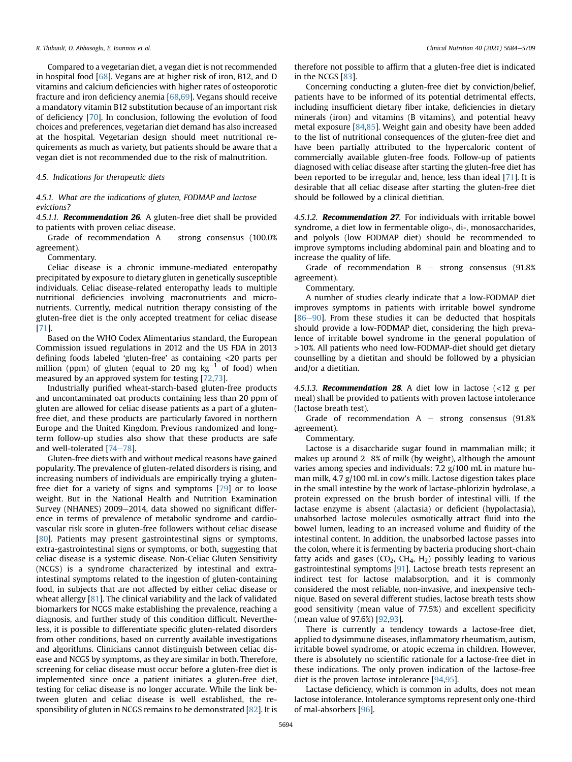Compared to a vegetarian diet, a vegan diet is not recommended in hospital food [[68\]](#page-22-13). Vegans are at higher risk of iron, B12, and D vitamins and calcium deficiencies with higher rates of osteoporotic fracture and iron deficiency anemia [[68](#page-22-13)[,69\]](#page-22-14). Vegans should receive a mandatory vitamin B12 substitution because of an important risk of deficiency [[70](#page-22-15)]. In conclusion, following the evolution of food choices and preferences, vegetarian diet demand has also increased at the hospital. Vegetarian design should meet nutritional requirements as much as variety, but patients should be aware that a vegan diet is not recommended due to the risk of malnutrition.

## 4.5. Indications for therapeutic diets

## 4.5.1. What are the indications of gluten, FODMAP and lactose evictions?

4.5.1.1. **Recommendation 26.** A gluten-free diet shall be provided to patients with proven celiac disease.

Grade of recommendation  $A -$  strong consensus (100.0%) agreement).

Commentary.

Celiac disease is a chronic immune-mediated enteropathy precipitated by exposure to dietary gluten in genetically susceptible individuals. Celiac disease-related enteropathy leads to multiple nutritional deficiencies involving macronutrients and micronutrients. Currently, medical nutrition therapy consisting of the gluten-free diet is the only accepted treatment for celiac disease [[71\]](#page-22-16).

Based on the WHO Codex Alimentarius standard, the European Commission issued regulations in 2012 and the US FDA in 2013 defining foods labeled 'gluten-free' as containing <20 parts per million (ppm) of gluten (equal to 20 mg  $kg^{-1}$  of food) when measured by an approved system for testing [[72](#page-22-17)[,73](#page-22-18)].

Industrially purified wheat-starch-based gluten-free products and uncontaminated oat products containing less than 20 ppm of gluten are allowed for celiac disease patients as a part of a glutenfree diet, and these products are particularly favored in northern Europe and the United Kingdom. Previous randomized and longterm follow-up studies also show that these products are safe and well-tolerated  $[74-78]$  $[74-78]$  $[74-78]$  $[74-78]$ .

Gluten-free diets with and without medical reasons have gained popularity. The prevalence of gluten-related disorders is rising, and increasing numbers of individuals are empirically trying a glutenfree diet for a variety of signs and symptoms [\[79\]](#page-22-20) or to loose weight. But in the National Health and Nutrition Examination Survey (NHANES) 2009-2014, data showed no significant difference in terms of prevalence of metabolic syndrome and cardiovascular risk score in gluten-free followers without celiac disease [[80](#page-22-21)]. Patients may present gastrointestinal signs or symptoms, extra-gastrointestinal signs or symptoms, or both, suggesting that celiac disease is a systemic disease. Non-Celiac Gluten Sensitivity (NCGS) is a syndrome characterized by intestinal and extraintestinal symptoms related to the ingestion of gluten-containing food, in subjects that are not affected by either celiac disease or wheat allergy [\[81\]](#page-22-22). The clinical variability and the lack of validated biomarkers for NCGS make establishing the prevalence, reaching a diagnosis, and further study of this condition difficult. Nevertheless, it is possible to differentiate specific gluten-related disorders from other conditions, based on currently available investigations and algorithms. Clinicians cannot distinguish between celiac disease and NCGS by symptoms, as they are similar in both. Therefore, screening for celiac disease must occur before a gluten-free diet is implemented since once a patient initiates a gluten-free diet, testing for celiac disease is no longer accurate. While the link between gluten and celiac disease is well established, the responsibility of gluten in NCGS remains to be demonstrated [\[82\]](#page-22-23). It is therefore not possible to affirm that a gluten-free diet is indicated in the NCGS [[83](#page-22-24)].

Concerning conducting a gluten-free diet by conviction/belief, patients have to be informed of its potential detrimental effects, including insufficient dietary fiber intake, deficiencies in dietary minerals (iron) and vitamins (B vitamins), and potential heavy metal exposure [\[84,](#page-22-25)[85](#page-22-26)]. Weight gain and obesity have been added to the list of nutritional consequences of the gluten-free diet and have been partially attributed to the hypercaloric content of commercially available gluten-free foods. Follow-up of patients diagnosed with celiac disease after starting the gluten-free diet has been reported to be irregular and, hence, less than ideal [[71\]](#page-22-16). It is desirable that all celiac disease after starting the gluten-free diet should be followed by a clinical dietitian.

4.5.1.2. Recommendation 27. For individuals with irritable bowel syndrome, a diet low in fermentable oligo-, di-, monosaccharides, and polyols (low FODMAP diet) should be recommended to improve symptoms including abdominal pain and bloating and to increase the quality of life.

Grade of recommendation  $B -$  strong consensus (91.8%) agreement).

Commentary.

A number of studies clearly indicate that a low-FODMAP diet improves symptoms in patients with irritable bowel syndrome  $[86-90]$  $[86-90]$  $[86-90]$  $[86-90]$ . From these studies it can be deducted that hospitals should provide a low-FODMAP diet, considering the high prevalence of irritable bowel syndrome in the general population of >10%. All patients who need low-FODMAP-diet should get dietary counselling by a dietitan and should be followed by a physician and/or a dietitian.

4.5.1.3. **Recommendation 28**. A diet low in lactose  $\langle$ <12 g per meal) shall be provided to patients with proven lactose intolerance (lactose breath test).

Grade of recommendation  $A -$  strong consensus (91.8%) agreement).

Commentary.

Lactose is a disaccharide sugar found in mammalian milk; it makes up around  $2-8\%$  of milk (by weight), although the amount varies among species and individuals: 7.2 g/100 mL in mature human milk, 4.7 g/100 mL in cow's milk. Lactose digestion takes place in the small intestine by the work of lactase-phlorizin hydrolase, a protein expressed on the brush border of intestinal villi. If the lactase enzyme is absent (alactasia) or deficient (hypolactasia), unabsorbed lactose molecules osmotically attract fluid into the bowel lumen, leading to an increased volume and fluidity of the intestinal content. In addition, the unabsorbed lactose passes into the colon, where it is fermenting by bacteria producing short-chain fatty acids and gases  $(CO<sub>2</sub>, CH<sub>4</sub>, H<sub>2</sub>)$  possibly leading to various gastrointestinal symptoms [[91\]](#page-22-28). Lactose breath tests represent an indirect test for lactose malabsorption, and it is commonly considered the most reliable, non-invasive, and inexpensive technique. Based on several different studies, lactose breath tests show good sensitivity (mean value of 77.5%) and excellent specificity (mean value of 97.6%) [\[92,](#page-22-29)[93](#page-22-30)].

There is currently a tendency towards a lactose-free diet, applied to dysimmune diseases, inflammatory rheumatism, autism, irritable bowel syndrome, or atopic eczema in children. However, there is absolutely no scientific rationale for a lactose-free diet in these indications. The only proven indication of the lactose-free diet is the proven lactose intolerance [\[94,](#page-22-31)[95](#page-22-32)].

Lactase deficiency, which is common in adults, does not mean lactose intolerance. Intolerance symptoms represent only one-third of mal-absorbers [\[96\]](#page-22-33).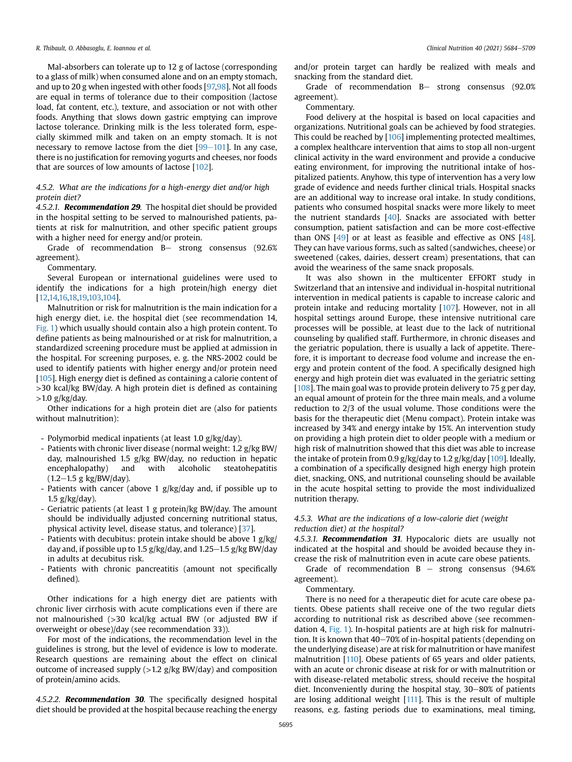Mal-absorbers can tolerate up to 12 g of lactose (corresponding to a glass of milk) when consumed alone and on an empty stomach, and up to 20 g when ingested with other foods [\[97,](#page-22-34)[98](#page-22-35)]. Not all foods are equal in terms of tolerance due to their composition (lactose load, fat content, etc.), texture, and association or not with other foods. Anything that slows down gastric emptying can improve lactose tolerance. Drinking milk is the less tolerated form, especially skimmed milk and taken on an empty stomach. It is not necessary to remove lactose from the diet  $[99-101]$  $[99-101]$  $[99-101]$  $[99-101]$ . In any case, there is no justification for removing yogurts and cheeses, nor foods that are sources of low amounts of lactose [\[102](#page-22-37)].

## 4.5.2. What are the indications for a high-energy diet and/or high protein diet?

4.5.2.1. **Recommendation 29**. The hospital diet should be provided in the hospital setting to be served to malnourished patients, patients at risk for malnutrition, and other specific patient groups with a higher need for energy and/or protein.

Grade of recommendation B- strong consensus (92.6% agreement).

Commentary.

Several European or international guidelines were used to identify the indications for a high protein/high energy diet [[12,](#page-21-11)[14,](#page-21-43)[16](#page-21-13)[,18](#page-21-44)[,19,](#page-21-45)[103,](#page-22-38)[104\]](#page-22-39).

Malnutrition or risk for malnutrition is the main indication for a high energy diet, i.e. the hospital diet (see recommendation 14, [Fig. 1\)](#page-6-0) which usually should contain also a high protein content. To define patients as being malnourished or at risk for malnutrition, a standardized screening procedure must be applied at admission in the hospital. For screening purposes, e. g. the NRS-2002 could be used to identify patients with higher energy and/or protein need [[105](#page-22-40)]. High energy diet is defined as containing a calorie content of >30 kcal/kg BW/day. A high protein diet is defined as containing  $>1.0$  g/kg/day.

Other indications for a high protein diet are (also for patients without malnutrition):

- Polymorbid medical inpatients (at least 1.0 g/kg/day).
- Patients with chronic liver disease (normal weight: 1.2 g/kg BW/ day, malnourished 1.5 g/kg BW/day, no reduction in hepatic encephalopathy) and with alcoholic steatohepatitis  $(1.2-1.5 \text{ g kg/BW/day}).$
- Patients with cancer (above 1 g/kg/day and, if possible up to 1.5  $g/kg/day$ ).
- Geriatric patients (at least 1 g protein/kg BW/day. The amount should be individually adjusted concerning nutritional status, physical activity level, disease status, and tolerance) [[37](#page-21-27)].
- Patients with decubitus: protein intake should be above 1 g/kg/ day and, if possible up to 1.5  $g/kg$  day, and 1.25–1.5  $g/kg$  BW/day in adults at decubitus risk.
- Patients with chronic pancreatitis (amount not specifically defined).

Other indications for a high energy diet are patients with chronic liver cirrhosis with acute complications even if there are not malnourished (>30 kcal/kg actual BW (or adjusted BW if overweight or obese)/day (see recommendation 33)).

For most of the indications, the recommendation level in the guidelines is strong, but the level of evidence is low to moderate. Research questions are remaining about the effect on clinical outcome of increased supply (>1.2 g/kg BW/day) and composition of protein/amino acids.

4.5.2.2. Recommendation 30. The specifically designed hospital diet should be provided at the hospital because reaching the energy

and/or protein target can hardly be realized with meals and snacking from the standard diet.

Grade of recommendation  $B-$  strong consensus (92.0%) agreement).

Commentary.

Food delivery at the hospital is based on local capacities and organizations. Nutritional goals can be achieved by food strategies. This could be reached by [\[106\]](#page-22-41) implementing protected mealtimes, a complex healthcare intervention that aims to stop all non-urgent clinical activity in the ward environment and provide a conducive eating environment, for improving the nutritional intake of hospitalized patients. Anyhow, this type of intervention has a very low grade of evidence and needs further clinical trials. Hospital snacks are an additional way to increase oral intake. In study conditions, patients who consumed hospital snacks were more likely to meet the nutrient standards [[40](#page-21-30)]. Snacks are associated with better consumption, patient satisfaction and can be more cost-effective than ONS [[49](#page-21-39)] or at least as feasible and effective as ONS [\[48\]](#page-21-38). They can have various forms, such as salted (sandwiches, cheese) or sweetened (cakes, dairies, dessert cream) presentations, that can avoid the weariness of the same snack proposals.

It was also shown in the multicenter EFFORT study in Switzerland that an intensive and individual in-hospital nutritional intervention in medical patients is capable to increase caloric and protein intake and reducing mortality [[107](#page-22-42)]. However, not in all hospital settings around Europe, these intensive nutritional care processes will be possible, at least due to the lack of nutritional counseling by qualified staff. Furthermore, in chronic diseases and the geriatric population, there is usually a lack of appetite. Therefore, it is important to decrease food volume and increase the energy and protein content of the food. A specifically designed high energy and high protein diet was evaluated in the geriatric setting [[108](#page-22-43)]. The main goal was to provide protein delivery to 75 g per day, an equal amount of protein for the three main meals, and a volume reduction to 2/3 of the usual volume. Those conditions were the basis for the therapeutic diet (Menu compact). Protein intake was increased by 34% and energy intake by 15%. An intervention study on providing a high protein diet to older people with a medium or high risk of malnutrition showed that this diet was able to increase the intake of protein from 0.9 g/kg/day to 1.2 g/kg/day [[109](#page-22-44)]. Ideally, a combination of a specifically designed high energy high protein diet, snacking, ONS, and nutritional counseling should be available in the acute hospital setting to provide the most individualized nutrition therapy.

## 4.5.3. What are the indications of a low-calorie diet (weight reduction diet) at the hospital?

4.5.3.1. Recommendation 31. Hypocaloric diets are usually not indicated at the hospital and should be avoided because they increase the risk of malnutrition even in acute care obese patients.

Grade of recommendation  $B -$  strong consensus (94.6%) agreement).

Commentary.

There is no need for a therapeutic diet for acute care obese patients. Obese patients shall receive one of the two regular diets according to nutritional risk as described above (see recommendation 4, [Fig. 1\)](#page-6-0). In-hospital patients are at high risk for malnutrition. It is known that  $40-70\%$  of in-hospital patients (depending on the underlying disease) are at risk for malnutrition or have manifest malnutrition [\[110](#page-22-45)]. Obese patients of 65 years and older patients, with an acute or chronic disease at risk for or with malnutrition or with disease-related metabolic stress, should receive the hospital diet. Inconveniently during the hospital stay, 30-80% of patients are losing additional weight [\[111\]](#page-22-46). This is the result of multiple reasons, e.g. fasting periods due to examinations, meal timing,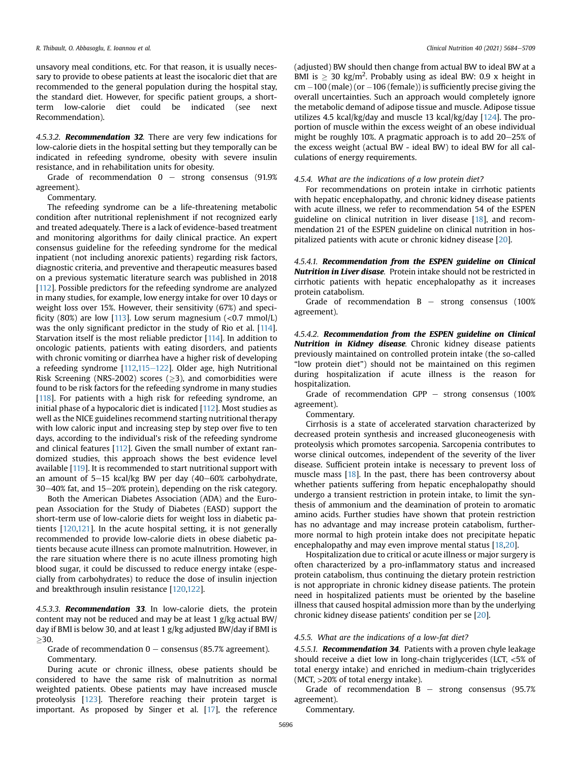unsavory meal conditions, etc. For that reason, it is usually necessary to provide to obese patients at least the isocaloric diet that are recommended to the general population during the hospital stay, the standard diet. However, for specific patient groups, a shortterm low-calorie diet could be indicated (see next Recommendation).

4.5.3.2. **Recommendation 32**. There are very few indications for low-calorie diets in the hospital setting but they temporally can be indicated in refeeding syndrome, obesity with severe insulin resistance, and in rehabilitation units for obesity.

Grade of recommendation  $0 -$  strong consensus (91.9%) agreement).

Commentary.

The refeeding syndrome can be a life-threatening metabolic condition after nutritional replenishment if not recognized early and treated adequately. There is a lack of evidence-based treatment and monitoring algorithms for daily clinical practice. An expert consensus guideline for the refeeding syndrome for the medical inpatient (not including anorexic patients) regarding risk factors, diagnostic criteria, and preventive and therapeutic measures based on a previous systematic literature search was published in 2018 [[112\]](#page-22-47). Possible predictors for the refeeding syndrome are analyzed in many studies, for example, low energy intake for over 10 days or weight loss over 15%. However, their sensitivity (67%) and speci-ficity (80%) are low [[113\]](#page-22-48). Low serum magnesium  $(*0.7* mmol/L)$ was the only significant predictor in the study of Rio et al. [[114\]](#page-23-0). Starvation itself is the most reliable predictor [\[114](#page-23-0)]. In addition to oncologic patients, patients with eating disorders, and patients with chronic vomiting or diarrhea have a higher risk of developing a refeeding syndrome  $[112,115-122]$  $[112,115-122]$  $[112,115-122]$  $[112,115-122]$  $[112,115-122]$ . Older age, high Nutritional Risk Screening (NRS-2002) scores  $(>3)$ , and comorbidities were found to be risk factors for the refeeding syndrome in many studies [[118](#page-23-2)]. For patients with a high risk for refeeding syndrome, an initial phase of a hypocaloric diet is indicated [\[112](#page-22-47)]. Most studies as well as the NICE guidelines recommend starting nutritional therapy with low caloric input and increasing step by step over five to ten days, according to the individual's risk of the refeeding syndrome and clinical features [\[112](#page-22-47)]. Given the small number of extant randomized studies, this approach shows the best evidence level available [[119\]](#page-23-3). It is recommended to start nutritional support with an amount of  $5-15$  kcal/kg BW per day (40-60% carbohydrate,  $30-40\%$  fat, and  $15-20\%$  protein), depending on the risk category.

Both the American Diabetes Association (ADA) and the European Association for the Study of Diabetes (EASD) support the short-term use of low-calorie diets for weight loss in diabetic patients [[120](#page-23-4)[,121](#page-23-5)]. In the acute hospital setting, it is not generally recommended to provide low-calorie diets in obese diabetic patients because acute illness can promote malnutrition. However, in the rare situation where there is no acute illness promoting high blood sugar, it could be discussed to reduce energy intake (especially from carbohydrates) to reduce the dose of insulin injection and breakthrough insulin resistance [[120](#page-23-4)[,122\]](#page-23-6).

4.5.3.3. Recommendation 33. In low-calorie diets, the protein content may not be reduced and may be at least 1 g/kg actual BW/ day if BMI is below 30, and at least 1 g/kg adjusted BW/day if BMI is  $>30.$ 

Grade of recommendation  $0 -$  consensus (85.7% agreement). Commentary.

During acute or chronic illness, obese patients should be considered to have the same risk of malnutrition as normal weighted patients. Obese patients may have increased muscle proteolysis [\[123\]](#page-23-7). Therefore reaching their protein target is important. As proposed by Singer et al. [\[17](#page-21-21)], the reference

(adjusted) BW should then change from actual BW to ideal BW at a BMI is  $\geq$  30 kg/m<sup>2</sup>. Probably using as ideal BW: 0.9 x height in  $cm - 100$  (male) (or  $-106$  (female)) is sufficiently precise giving the overall uncertainties. Such an approach would completely ignore the metabolic demand of adipose tissue and muscle. Adipose tissue utilizes 4.5 kcal/kg/day and muscle 13 kcal/kg/day [\[124](#page-23-8)]. The proportion of muscle within the excess weight of an obese individual might be roughly 10%. A pragmatic approach is to add  $20-25\%$  of the excess weight (actual BW - ideal BW) to ideal BW for all calculations of energy requirements.

### 4.5.4. What are the indications of a low protein diet?

For recommendations on protein intake in cirrhotic patients with hepatic encephalopathy, and chronic kidney disease patients with acute illness, we refer to recommendation 54 of the ESPEN guideline on clinical nutrition in liver disease [[18\]](#page-21-44), and recommendation 21 of the ESPEN guideline on clinical nutrition in hospitalized patients with acute or chronic kidney disease [\[20\]](#page-21-46).

4.5.4.1. Recommendation from the ESPEN guideline on Clinical Nutrition in Liver disase. Protein intake should not be restricted in cirrhotic patients with hepatic encephalopathy as it increases protein catabolism.

Grade of recommendation  $B -$  strong consensus (100%) agreement).

4.5.4.2. Recommendation from the ESPEN guideline on Clinical Nutrition in Kidney disease. Chronic kidney disease patients previously maintained on controlled protein intake (the so-called "low protein diet") should not be maintained on this regimen during hospitalization if acute illness is the reason for hospitalization.

Grade of recommendation GPP  $-$  strong consensus (100%) agreement).

Commentary.

Cirrhosis is a state of accelerated starvation characterized by decreased protein synthesis and increased gluconeogenesis with proteolysis which promotes sarcopenia. Sarcopenia contributes to worse clinical outcomes, independent of the severity of the liver disease. Sufficient protein intake is necessary to prevent loss of muscle mass [\[18\]](#page-21-44). In the past, there has been controversy about whether patients suffering from hepatic encephalopathy should undergo a transient restriction in protein intake, to limit the synthesis of ammonium and the deamination of protein to aromatic amino acids. Further studies have shown that protein restriction has no advantage and may increase protein catabolism, furthermore normal to high protein intake does not precipitate hepatic encephalopathy and may even improve mental status [[18](#page-21-44)[,20\]](#page-21-46).

Hospitalization due to critical or acute illness or major surgery is often characterized by a pro-inflammatory status and increased protein catabolism, thus continuing the dietary protein restriction is not appropriate in chronic kidney disease patients. The protein need in hospitalized patients must be oriented by the baseline illness that caused hospital admission more than by the underlying chronic kidney disease patients' condition per se [[20](#page-21-46)].

## 4.5.5. What are the indications of a low-fat diet?

4.5.5.1. Recommendation 34. Patients with a proven chyle leakage should receive a diet low in long-chain triglycerides (LCT, <5% of total energy intake) and enriched in medium-chain triglycerides (MCT, >20% of total energy intake).

Grade of recommendation  $B -$  strong consensus (95.7%) agreement).

Commentary.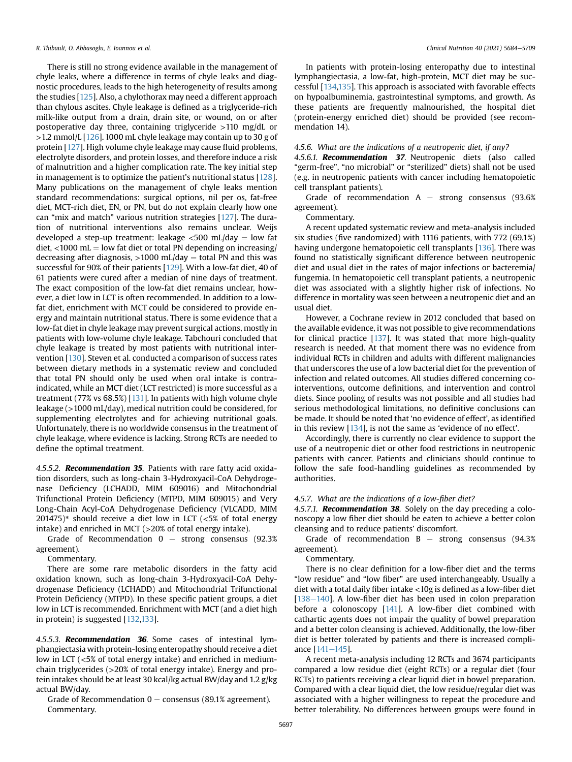There is still no strong evidence available in the management of chyle leaks, where a difference in terms of chyle leaks and diagnostic procedures, leads to the high heterogeneity of results among the studies [\[125\]](#page-23-9). Also, a chylothorax may need a different approach than chylous ascites. Chyle leakage is defined as a triglyceride-rich milk-like output from a drain, drain site, or wound, on or after postoperative day three, containing triglyceride >110 mg/dL or  $>1.2$  mmol/L [[126](#page-23-10)]. 1000 mL chyle leakage may contain up to 30 g of protein [[127](#page-23-11)]. High volume chyle leakage may cause fluid problems, electrolyte disorders, and protein losses, and therefore induce a risk of malnutrition and a higher complication rate. The key initial step in management is to optimize the patient's nutritional status [[128\]](#page-23-12). Many publications on the management of chyle leaks mention standard recommendations: surgical options, nil per os, fat-free diet, MCT-rich diet, EN, or PN, but do not explain clearly how one can "mix and match" various nutrition strategies [\[127\]](#page-23-11). The duration of nutritional interventions also remains unclear. Weijs developed a step-up treatment: leakage  $\langle$ 500 mL/day = low fat diet, <1000 mL = low fat diet or total PN depending on increasing/ decreasing after diagnosis,  $>1000$  mL/day = total PN and this was successful for 90% of their patients [[129\]](#page-23-13). With a low-fat diet, 40 of 61 patients were cured after a median of nine days of treatment. The exact composition of the low-fat diet remains unclear, however, a diet low in LCT is often recommended. In addition to a lowfat diet, enrichment with MCT could be considered to provide energy and maintain nutritional status. There is some evidence that a low-fat diet in chyle leakage may prevent surgical actions, mostly in patients with low-volume chyle leakage. Tabchouri concluded that chyle leakage is treated by most patients with nutritional intervention [\[130\]](#page-23-14). Steven et al. conducted a comparison of success rates between dietary methods in a systematic review and concluded that total PN should only be used when oral intake is contraindicated, while an MCT diet (LCT restricted) is more successful as a treatment (77% vs 68.5%) [[131](#page-23-15)]. In patients with high volume chyle leakage (>1000 mL/day), medical nutrition could be considered, for supplementing electrolytes and for achieving nutritional goals. Unfortunately, there is no worldwide consensus in the treatment of chyle leakage, where evidence is lacking. Strong RCTs are needed to define the optimal treatment.

4.5.5.2. Recommendation 35. Patients with rare fatty acid oxidation disorders, such as long-chain 3-Hydroxyacil-CoA Dehydrogenase Deficiency (LCHADD, MIM 609016) and Mitochondrial Trifunctional Protein Deficiency (MTPD, MIM 609015) and Very Long-Chain Acyl-CoA Dehydrogenase Deficiency (VLCADD, MIM 201475)\* should receive a diet low in LCT ( $< 5\%$  of total energy intake) and enriched in MCT (>20% of total energy intake).

Grade of Recommendation  $0 -$  strong consensus (92.3%) agreement).

Commentary.

There are some rare metabolic disorders in the fatty acid oxidation known, such as long-chain 3-Hydroxyacil-CoA Dehydrogenase Deficiency (LCHADD) and Mitochondrial Trifunctional Protein Deficiency (MTPD). In these specific patient groups, a diet low in LCT is recommended. Enrichment with MCT (and a diet high in protein) is suggested [[132](#page-23-16)[,133](#page-23-17)].

4.5.5.3. **Recommendation 36**. Some cases of intestinal lymphangiectasia with protein-losing enteropathy should receive a diet low in LCT (<5% of total energy intake) and enriched in mediumchain triglycerides (>20% of total energy intake). Energy and protein intakes should be at least 30 kcal/kg actual BW/day and 1.2 g/kg actual BW/day.

Grade of Recommendation  $0 -$  consensus (89.1% agreement). Commentary.

In patients with protein-losing enteropathy due to intestinal lymphangiectasia, a low-fat, high-protein, MCT diet may be successful [\[134,](#page-23-18)[135\]](#page-23-19). This approach is associated with favorable effects on hypoalbuminemia, gastrointestinal symptoms, and growth. As these patients are frequently malnourished, the hospital diet (protein-energy enriched diet) should be provided (see recommendation 14).

#### 4.5.6. What are the indications of a neutropenic diet, if any?

4.5.6.1. Recommendation 37. Neutropenic diets (also called "germ-free", "no microbial" or "sterilized" diets) shall not be used (e.g. in neutropenic patients with cancer including hematopoietic cell transplant patients).

Grade of recommendation  $A -$  strong consensus (93.6%) agreement).

Commentary.

A recent updated systematic review and meta-analysis included six studies (five randomized) with 1116 patients, with 772 (69.1%) having undergone hematopoietic cell transplants [[136\]](#page-23-20). There was found no statistically significant difference between neutropenic diet and usual diet in the rates of major infections or bacteremia/ fungemia. In hematopoietic cell transplant patients, a neutropenic diet was associated with a slightly higher risk of infections. No difference in mortality was seen between a neutropenic diet and an usual diet.

However, a Cochrane review in 2012 concluded that based on the available evidence, it was not possible to give recommendations for clinical practice  $[137]$ . It was stated that more high-quality research is needed. At that moment there was no evidence from individual RCTs in children and adults with different malignancies that underscores the use of a low bacterial diet for the prevention of infection and related outcomes. All studies differed concerning cointerventions, outcome definitions, and intervention and control diets. Since pooling of results was not possible and all studies had serious methodological limitations, no definitive conclusions can be made. It should be noted that 'no evidence of effect', as identified in this review [\[134\]](#page-23-18), is not the same as 'evidence of no effect'.

Accordingly, there is currently no clear evidence to support the use of a neutropenic diet or other food restrictions in neutropenic patients with cancer. Patients and clinicians should continue to follow the safe food-handling guidelines as recommended by authorities.

#### 4.5.7. What are the indications of a low-fiber diet?

4.5.7.1. Recommendation 38. Solely on the day preceding a colonoscopy a low fiber diet should be eaten to achieve a better colon cleansing and to reduce patients' discomfort.

Grade of recommendation  $B -$  strong consensus (94.3%) agreement).

Commentary.

There is no clear definition for a low-fiber diet and the terms "low residue" and "low fiber" are used interchangeably. Usually a diet with a total daily fiber intake <10g is defined as a low-fiber diet  $[138-140]$  $[138-140]$  $[138-140]$  $[138-140]$  $[138-140]$ . A low-fiber diet has been used in colon preparation before a colonoscopy [\[141\]](#page-23-23). A low-fiber diet combined with cathartic agents does not impair the quality of bowel preparation and a better colon cleansing is achieved. Additionally, the low-fiber diet is better tolerated by patients and there is increased compliance  $[141-145]$  $[141-145]$  $[141-145]$ .

A recent meta-analysis including 12 RCTs and 3674 participants compared a low residue diet (eight RCTs) or a regular diet (four RCTs) to patients receiving a clear liquid diet in bowel preparation. Compared with a clear liquid diet, the low residue/regular diet was associated with a higher willingness to repeat the procedure and better tolerability. No differences between groups were found in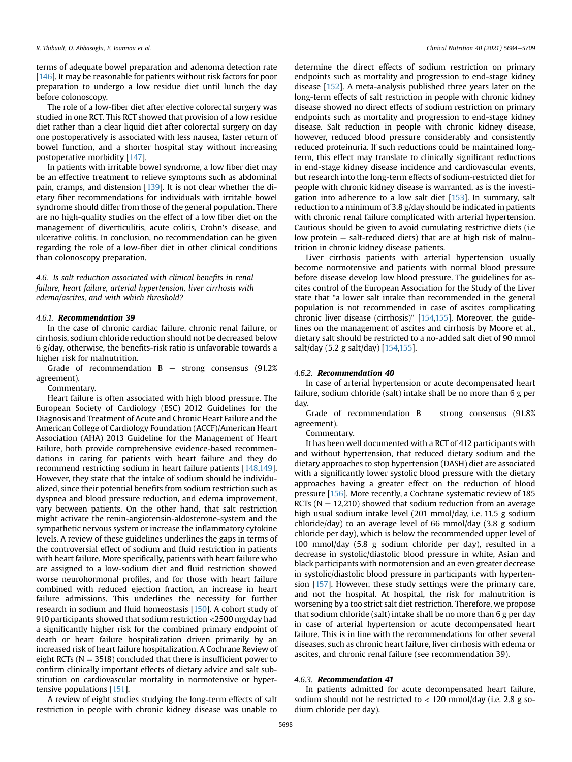terms of adequate bowel preparation and adenoma detection rate [[146](#page-23-24)]. It may be reasonable for patients without risk factors for poor preparation to undergo a low residue diet until lunch the day before colonoscopy.

The role of a low-fiber diet after elective colorectal surgery was studied in one RCT. This RCT showed that provision of a low residue diet rather than a clear liquid diet after colorectal surgery on day one postoperatively is associated with less nausea, faster return of bowel function, and a shorter hospital stay without increasing postoperative morbidity [[147](#page-23-25)].

In patients with irritable bowel syndrome, a low fiber diet may be an effective treatment to relieve symptoms such as abdominal pain, cramps, and distension [[139\]](#page-23-26). It is not clear whether the dietary fiber recommendations for individuals with irritable bowel syndrome should differ from those of the general population. There are no high-quality studies on the effect of a low fiber diet on the management of diverticulitis, acute colitis, Crohn's disease, and ulcerative colitis. In conclusion, no recommendation can be given regarding the role of a low-fiber diet in other clinical conditions than colonoscopy preparation.

4.6. Is salt reduction associated with clinical benefits in renal failure, heart failure, arterial hypertension, liver cirrhosis with edema/ascites, and with which threshold?

## 4.6.1. Recommendation 39

In the case of chronic cardiac failure, chronic renal failure, or cirrhosis, sodium chloride reduction should not be decreased below 6 g/day, otherwise, the benefits-risk ratio is unfavorable towards a higher risk for malnutrition.

Grade of recommendation  $B -$  strong consensus (91.2%) agreement).

Commentary.

Heart failure is often associated with high blood pressure. The European Society of Cardiology (ESC) 2012 Guidelines for the Diagnosis and Treatment of Acute and Chronic Heart Failure and the American College of Cardiology Foundation (ACCF)/American Heart Association (AHA) 2013 Guideline for the Management of Heart Failure, both provide comprehensive evidence-based recommendations in caring for patients with heart failure and they do recommend restricting sodium in heart failure patients [[148,](#page-23-27)[149\]](#page-23-28). However, they state that the intake of sodium should be individualized, since their potential benefits from sodium restriction such as dyspnea and blood pressure reduction, and edema improvement, vary between patients. On the other hand, that salt restriction might activate the renin-angiotensin-aldosterone-system and the sympathetic nervous system or increase the inflammatory cytokine levels. A review of these guidelines underlines the gaps in terms of the controversial effect of sodium and fluid restriction in patients with heart failure. More specifically, patients with heart failure who are assigned to a low-sodium diet and fluid restriction showed worse neurohormonal profiles, and for those with heart failure combined with reduced ejection fraction, an increase in heart failure admissions. This underlines the necessity for further research in sodium and fluid homeostasis [[150](#page-23-29)]. A cohort study of 910 participants showed that sodium restriction <2500 mg/day had a significantly higher risk for the combined primary endpoint of death or heart failure hospitalization driven primarily by an increased risk of heart failure hospitalization. A Cochrane Review of eight RCTs ( $N = 3518$ ) concluded that there is insufficient power to confirm clinically important effects of dietary advice and salt substitution on cardiovascular mortality in normotensive or hypertensive populations [\[151](#page-23-30)].

A review of eight studies studying the long-term effects of salt restriction in people with chronic kidney disease was unable to determine the direct effects of sodium restriction on primary endpoints such as mortality and progression to end-stage kidney disease [\[152\]](#page-23-31). A meta-analysis published three years later on the long-term effects of salt restriction in people with chronic kidney disease showed no direct effects of sodium restriction on primary endpoints such as mortality and progression to end-stage kidney disease. Salt reduction in people with chronic kidney disease, however, reduced blood pressure considerably and consistently reduced proteinuria. If such reductions could be maintained longterm, this effect may translate to clinically significant reductions in end-stage kidney disease incidence and cardiovascular events, but research into the long-term effects of sodium-restricted diet for people with chronic kidney disease is warranted, as is the investigation into adherence to a low salt diet [\[153\]](#page-23-32). In summary, salt reduction to a minimum of 3.8 g/day should be indicated in patients with chronic renal failure complicated with arterial hypertension. Cautious should be given to avoid cumulating restrictive diets (i.e low protein  $+$  salt-reduced diets) that are at high risk of malnutrition in chronic kidney disease patients.

Liver cirrhosis patients with arterial hypertension usually become normotensive and patients with normal blood pressure before disease develop low blood pressure. The guidelines for ascites control of the European Association for the Study of the Liver state that "a lower salt intake than recommended in the general population is not recommended in case of ascites complicating chronic liver disease (cirrhosis)" [\[154](#page-23-33),[155](#page-23-34)]. Moreover, the guidelines on the management of ascites and cirrhosis by Moore et al., dietary salt should be restricted to a no-added salt diet of 90 mmol salt/day (5.2 g salt/day) [[154](#page-23-33)[,155](#page-23-34)].

#### 4.6.2. Recommendation 40

In case of arterial hypertension or acute decompensated heart failure, sodium chloride (salt) intake shall be no more than 6 g per day.

Grade of recommendation  $B -$  strong consensus (91.8%) agreement).

Commentary.

It has been well documented with a RCT of 412 participants with and without hypertension, that reduced dietary sodium and the dietary approaches to stop hypertension (DASH) diet are associated with a significantly lower systolic blood pressure with the dietary approaches having a greater effect on the reduction of blood pressure [[156\]](#page-23-35). More recently, a Cochrane systematic review of 185 RCTs ( $N = 12,210$ ) showed that sodium reduction from an average high usual sodium intake level (201 mmol/day, i.e. 11.5 g sodium chloride/day) to an average level of 66 mmol/day (3.8 g sodium chloride per day), which is below the recommended upper level of 100 mmol/day (5.8 g sodium chloride per day), resulted in a decrease in systolic/diastolic blood pressure in white, Asian and black participants with normotension and an even greater decrease in systolic/diastolic blood pressure in participants with hypertension [\[157\]](#page-23-36). However, these study settings were the primary care, and not the hospital. At hospital, the risk for malnutrition is worsening by a too strict salt diet restriction. Therefore, we propose that sodium chloride (salt) intake shall be no more than 6 g per day in case of arterial hypertension or acute decompensated heart failure. This is in line with the recommendations for other several diseases, such as chronic heart failure, liver cirrhosis with edema or ascites, and chronic renal failure (see recommendation 39).

## 4.6.3. Recommendation 41

In patients admitted for acute decompensated heart failure, sodium should not be restricted to  $<$  120 mmol/day (i.e. 2.8 g sodium chloride per day).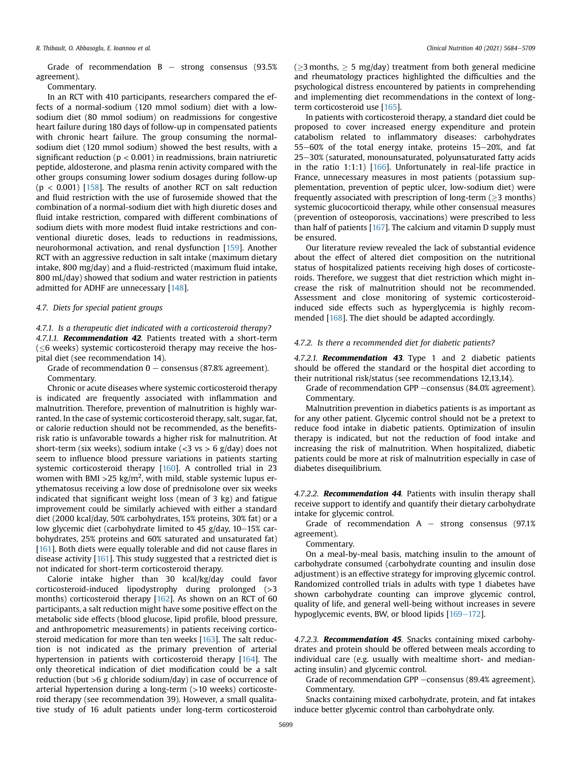Grade of recommendation  $B -$  strong consensus (93.5%) agreement).

Commentary.

In an RCT with 410 participants, researchers compared the effects of a normal-sodium (120 mmol sodium) diet with a lowsodium diet (80 mmol sodium) on readmissions for congestive heart failure during 180 days of follow-up in compensated patients with chronic heart failure. The group consuming the normalsodium diet (120 mmol sodium) showed the best results, with a significant reduction ( $p < 0.001$ ) in readmissions, brain natriuretic peptide, aldosterone, and plasma renin activity compared with the other groups consuming lower sodium dosages during follow-up  $(p < 0.001)$  [[158](#page-23-37)]. The results of another RCT on salt reduction and fluid restriction with the use of furosemide showed that the combination of a normal-sodium diet with high diuretic doses and fluid intake restriction, compared with different combinations of sodium diets with more modest fluid intake restrictions and conventional diuretic doses, leads to reductions in readmissions, neurohormonal activation, and renal dysfunction [[159](#page-23-38)]. Another RCT with an aggressive reduction in salt intake (maximum dietary intake, 800 mg/day) and a fluid-restricted (maximum fluid intake, 800 mL/day) showed that sodium and water restriction in patients admitted for ADHF are unnecessary [[148\]](#page-23-27).

### 4.7. Diets for special patient groups

4.7.1. Is a therapeutic diet indicated with a corticosteroid therapy? 4.7.1.1. Recommendation 42. Patients treated with a short-term  $(<$ 6 weeks) systemic corticosteroid therapy may receive the hospital diet (see recommendation 14).

Grade of recommendation  $0 -$  consensus (87.8% agreement). Commentary.

Chronic or acute diseases where systemic corticosteroid therapy is indicated are frequently associated with inflammation and malnutrition. Therefore, prevention of malnutrition is highly warranted. In the case of systemic corticosteroid therapy, salt, sugar, fat, or calorie reduction should not be recommended, as the benefitsrisk ratio is unfavorable towards a higher risk for malnutrition. At short-term (six weeks), sodium intake ( $<$ 3 vs > 6 g/day) does not seem to influence blood pressure variations in patients starting systemic corticosteroid therapy [\[160\]](#page-23-39). A controlled trial in 23 women with BMI >25 kg/m<sup>2</sup>, with mild, stable systemic lupus erythematosus receiving a low dose of prednisolone over six weeks indicated that significant weight loss (mean of 3 kg) and fatigue improvement could be similarly achieved with either a standard diet (2000 kcal/day, 50% carbohydrates, 15% proteins, 30% fat) or a low glycemic diet (carbohydrate limited to 45 g/day,  $10-15\%$  carbohydrates, 25% proteins and 60% saturated and unsaturated fat) [[161\]](#page-23-40). Both diets were equally tolerable and did not cause flares in disease activity [[161](#page-23-40)]. This study suggested that a restricted diet is not indicated for short-term corticosteroid therapy.

Calorie intake higher than 30 kcal/kg/day could favor corticosteroid-induced lipodystrophy during prolonged (>3 months) corticosteroid therapy [\[162\]](#page-23-41). As shown on an RCT of 60 participants, a salt reduction might have some positive effect on the metabolic side effects (blood glucose, lipid profile, blood pressure, and anthropometric measurements) in patients receiving corticosteroid medication for more than ten weeks [[163](#page-23-42)]. The salt reduction is not indicated as the primary prevention of arterial hypertension in patients with corticosteroid therapy [[164\]](#page-23-43). The only theoretical indication of diet modification could be a salt reduction (but >6 g chloride sodium/day) in case of occurrence of arterial hypertension during a long-term (>10 weeks) corticosteroid therapy (see recommendation 39). However, a small qualitative study of 16 adult patients under long-term corticosteroid ( $>$ 3 months,  $>$  5 mg/day) treatment from both general medicine and rheumatology practices highlighted the difficulties and the psychological distress encountered by patients in comprehending and implementing diet recommendations in the context of longterm corticosteroid use [\[165\]](#page-23-44).

In patients with corticosteroid therapy, a standard diet could be proposed to cover increased energy expenditure and protein catabolism related to inflammatory diseases: carbohydrates  $55-60%$  of the total energy intake, proteins  $15-20%$ , and fat 25-30% (saturated, monounsaturated, polyunsaturated fatty acids in the ratio 1:1:1) [[166](#page-23-45)]. Unfortunately in real-life practice in France, unnecessary measures in most patients (potassium supplementation, prevention of peptic ulcer, low-sodium diet) were frequently associated with prescription of long-term ( $\geq$ 3 months) systemic glucocorticoid therapy, while other consensual measures (prevention of osteoporosis, vaccinations) were prescribed to less than half of patients  $[167]$  $[167]$  $[167]$ . The calcium and vitamin D supply must be ensured.

Our literature review revealed the lack of substantial evidence about the effect of altered diet composition on the nutritional status of hospitalized patients receiving high doses of corticosteroids. Therefore, we suggest that diet restriction which might increase the risk of malnutrition should not be recommended. Assessment and close monitoring of systemic corticosteroidinduced side effects such as hyperglycemia is highly recommended [\[168\]](#page-23-47). The diet should be adapted accordingly.

#### 4.7.2. Is there a recommended diet for diabetic patients?

4.7.2.1. Recommendation 43. Type 1 and 2 diabetic patients should be offered the standard or the hospital diet according to their nutritional risk/status (see recommendations 12,13,14).

Grade of recommendation GPP -consensus (84.0% agreement). Commentary.

Malnutrition prevention in diabetics patients is as important as for any other patient. Glycemic control should not be a pretext to reduce food intake in diabetic patients. Optimization of insulin therapy is indicated, but not the reduction of food intake and increasing the risk of malnutrition. When hospitalized, diabetic patients could be more at risk of malnutrition especially in case of diabetes disequilibrium.

4.7.2.2. **Recommendation 44**. Patients with insulin therapy shall receive support to identify and quantify their dietary carbohydrate intake for glycemic control.

Grade of recommendation  $A -$  strong consensus (97.1%) agreement).

Commentary.

On a meal-by-meal basis, matching insulin to the amount of carbohydrate consumed (carbohydrate counting and insulin dose adjustment) is an effective strategy for improving glycemic control. Randomized controlled trials in adults with type 1 diabetes have shown carbohydrate counting can improve glycemic control, quality of life, and general well-being without increases in severe hypoglycemic events, BW, or blood lipids  $[169-172]$  $[169-172]$  $[169-172]$  $[169-172]$ .

4.7.2.3. Recommendation 45. Snacks containing mixed carbohydrates and protein should be offered between meals according to individual care (e.g. usually with mealtime short- and medianacting insulin) and glycemic control.

Grade of recommendation GPP -consensus (89.4% agreement). Commentary.

Snacks containing mixed carbohydrate, protein, and fat intakes induce better glycemic control than carbohydrate only.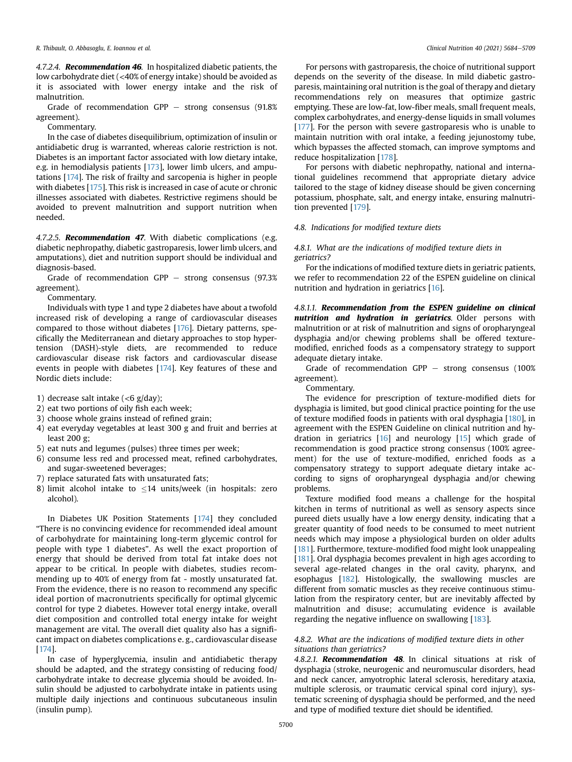4.7.2.4. Recommendation 46. In hospitalized diabetic patients, the low carbohydrate diet (<40% of energy intake) should be avoided as it is associated with lower energy intake and the risk of malnutrition.

Grade of recommendation GPP  $-$  strong consensus (91.8%) agreement).

Commentary.

In the case of diabetes disequilibrium, optimization of insulin or antidiabetic drug is warranted, whereas calorie restriction is not. Diabetes is an important factor associated with low dietary intake, e.g. in hemodialysis patients [[173](#page-24-1)], lower limb ulcers, and amputations [\[174\]](#page-24-2). The risk of frailty and sarcopenia is higher in people with diabetes [\[175\]](#page-24-3). This risk is increased in case of acute or chronic illnesses associated with diabetes. Restrictive regimens should be avoided to prevent malnutrition and support nutrition when needed.

4.7.2.5. Recommendation 47. With diabetic complications (e.g. diabetic nephropathy, diabetic gastroparesis, lower limb ulcers, and amputations), diet and nutrition support should be individual and diagnosis-based.

Grade of recommendation GPP  $-$  strong consensus (97.3%) agreement).

Commentary.

Individuals with type 1 and type 2 diabetes have about a twofold increased risk of developing a range of cardiovascular diseases compared to those without diabetes [[176](#page-24-4)]. Dietary patterns, specifically the Mediterranean and dietary approaches to stop hypertension (DASH)-style diets, are recommended to reduce cardiovascular disease risk factors and cardiovascular disease events in people with diabetes [[174\]](#page-24-2). Key features of these and Nordic diets include:

- 1) decrease salt intake  $( $6 \frac{g}{day}$ ):$
- 2) eat two portions of oily fish each week;
- 3) choose whole grains instead of refined grain;
- 4) eat everyday vegetables at least 300 g and fruit and berries at least 200 g;
- 5) eat nuts and legumes (pulses) three times per week;
- 6) consume less red and processed meat, refined carbohydrates, and sugar-sweetened beverages;
- 7) replace saturated fats with unsaturated fats;
- 8) limit alcohol intake to  $\leq$ 14 units/week (in hospitals: zero alcohol).

In Diabetes UK Position Statements [\[174\]](#page-24-2) they concluded "There is no convincing evidence for recommended ideal amount of carbohydrate for maintaining long-term glycemic control for people with type 1 diabetes". As well the exact proportion of energy that should be derived from total fat intake does not appear to be critical. In people with diabetes, studies recommending up to 40% of energy from fat - mostly unsaturated fat. From the evidence, there is no reason to recommend any specific ideal portion of macronutrients specifically for optimal glycemic control for type 2 diabetes. However total energy intake, overall diet composition and controlled total energy intake for weight management are vital. The overall diet quality also has a significant impact on diabetes complications e. g., cardiovascular disease [[174\]](#page-24-2).

In case of hyperglycemia, insulin and antidiabetic therapy should be adapted, and the strategy consisting of reducing food/ carbohydrate intake to decrease glycemia should be avoided. Insulin should be adjusted to carbohydrate intake in patients using multiple daily injections and continuous subcutaneous insulin (insulin pump).

For persons with gastroparesis, the choice of nutritional support depends on the severity of the disease. In mild diabetic gastroparesis, maintaining oral nutrition is the goal of therapy and dietary recommendations rely on measures that optimize gastric emptying. These are low-fat, low-fiber meals, small frequent meals, complex carbohydrates, and energy-dense liquids in small volumes [[177\]](#page-24-5). For the person with severe gastroparesis who is unable to maintain nutrition with oral intake, a feeding jejunostomy tube, which bypasses the affected stomach, can improve symptoms and reduce hospitalization [\[178\]](#page-24-6).

For persons with diabetic nephropathy, national and international guidelines recommend that appropriate dietary advice tailored to the stage of kidney disease should be given concerning potassium, phosphate, salt, and energy intake, ensuring malnutrition prevented [[179](#page-24-7)].

#### 4.8. Indications for modified texture diets

## 4.8.1. What are the indications of modified texture diets in geriatrics?

For the indications of modified texture diets in geriatric patients, we refer to recommendation 22 of the ESPEN guideline on clinical nutrition and hydration in geriatrics [\[16](#page-21-13)].

4.8.1.1. Recommendation from the ESPEN guideline on clinical nutrition and hydration in geriatrics. Older persons with malnutrition or at risk of malnutrition and signs of oropharyngeal dysphagia and/or chewing problems shall be offered texturemodified, enriched foods as a compensatory strategy to support adequate dietary intake.

Grade of recommendation GPP  $-$  strong consensus (100%) agreement).

Commentary.

The evidence for prescription of texture-modified diets for dysphagia is limited, but good clinical practice pointing for the use of texture modified foods in patients with oral dysphagia [\[180\]](#page-24-8), in agreement with the ESPEN Guideline on clinical nutrition and hydration in geriatrics [\[16](#page-21-13)] and neurology [\[15](#page-21-47)] which grade of recommendation is good practice strong consensus (100% agreement) for the use of texture-modified, enriched foods as a compensatory strategy to support adequate dietary intake according to signs of oropharyngeal dysphagia and/or chewing problems.

Texture modified food means a challenge for the hospital kitchen in terms of nutritional as well as sensory aspects since pureed diets usually have a low energy density, indicating that a greater quantity of food needs to be consumed to meet nutrient needs which may impose a physiological burden on older adults [[181](#page-24-9)]. Furthermore, texture-modified food might look unappealing [[181](#page-24-9)]. Oral dysphagia becomes prevalent in high ages according to several age-related changes in the oral cavity, pharynx, and esophagus [[182\]](#page-24-10). Histologically, the swallowing muscles are different from somatic muscles as they receive continuous stimulation from the respiratory center, but are inevitably affected by malnutrition and disuse; accumulating evidence is available regarding the negative influence on swallowing [[183\]](#page-24-11).

## 4.8.2. What are the indications of modified texture diets in other situations than geriatrics?

4.8.2.1. Recommendation 48. In clinical situations at risk of dysphagia (stroke, neurogenic and neuromuscular disorders, head and neck cancer, amyotrophic lateral sclerosis, hereditary ataxia, multiple sclerosis, or traumatic cervical spinal cord injury), systematic screening of dysphagia should be performed, and the need and type of modified texture diet should be identified.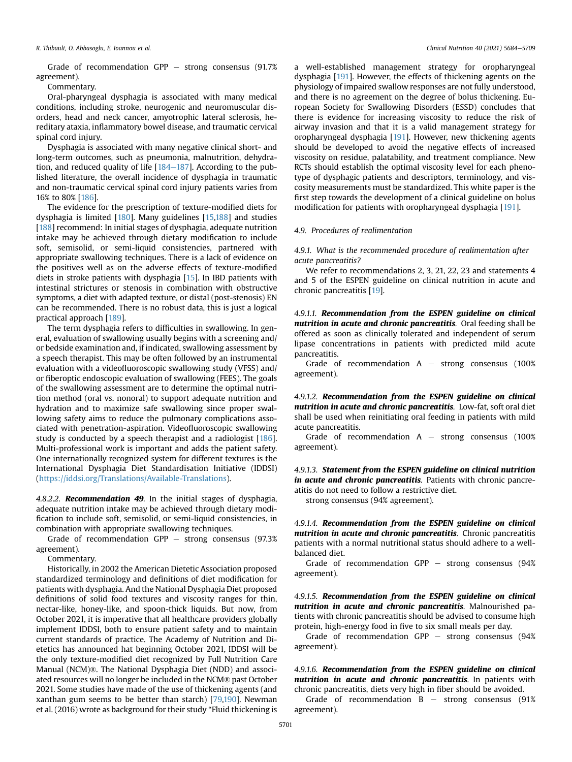Grade of recommendation GPP  $-$  strong consensus (91.7%) agreement).

Commentary.

Oral-pharyngeal dysphagia is associated with many medical conditions, including stroke, neurogenic and neuromuscular disorders, head and neck cancer, amyotrophic lateral sclerosis, hereditary ataxia, inflammatory bowel disease, and traumatic cervical spinal cord injury.

Dysphagia is associated with many negative clinical short- and long-term outcomes, such as pneumonia, malnutrition, dehydration, and reduced quality of life  $[184-187]$  $[184-187]$  $[184-187]$  $[184-187]$ . According to the published literature, the overall incidence of dysphagia in traumatic and non-traumatic cervical spinal cord injury patients varies from 16% to 80% [\[186\]](#page-24-13).

The evidence for the prescription of texture-modified diets for dysphagia is limited [\[180\]](#page-24-8). Many guidelines [[15,](#page-21-47)[188\]](#page-24-14) and studies [[188](#page-24-14)] recommend: In initial stages of dysphagia, adequate nutrition intake may be achieved through dietary modification to include soft, semisolid, or semi-liquid consistencies, partnered with appropriate swallowing techniques. There is a lack of evidence on the positives well as on the adverse effects of texture-modified diets in stroke patients with dysphagia [[15\]](#page-21-47). In IBD patients with intestinal strictures or stenosis in combination with obstructive symptoms, a diet with adapted texture, or distal (post-stenosis) EN can be recommended. There is no robust data, this is just a logical practical approach [[189](#page-24-15)].

The term dysphagia refers to difficulties in swallowing. In general, evaluation of swallowing usually begins with a screening and/ or bedside examination and, if indicated, swallowing assessment by a speech therapist. This may be often followed by an instrumental evaluation with a videofluoroscopic swallowing study (VFSS) and/ or fiberoptic endoscopic evaluation of swallowing (FEES). The goals of the swallowing assessment are to determine the optimal nutrition method (oral vs. nonoral) to support adequate nutrition and hydration and to maximize safe swallowing since proper swallowing safety aims to reduce the pulmonary complications associated with penetration-aspiration. Videofluoroscopic swallowing study is conducted by a speech therapist and a radiologist [\[186\]](#page-24-13). Multi-professional work is important and adds the patient safety. One internationally recognized system for different textures is the International Dysphagia Diet Standardisation Initiative (IDDSI) ([https://iddsi.org/Translations/Available-Translations\)](https://iddsi.org/Translations/Available-Translations).

4.8.2.2. **Recommendation 49**. In the initial stages of dysphagia, adequate nutrition intake may be achieved through dietary modification to include soft, semisolid, or semi-liquid consistencies, in combination with appropriate swallowing techniques.

Grade of recommendation GPP  $-$  strong consensus (97.3%) agreement).

Commentary.

Historically, in 2002 the American Dietetic Association proposed standardized terminology and definitions of diet modification for patients with dysphagia. And the National Dysphagia Diet proposed definitions of solid food textures and viscosity ranges for thin, nectar-like, honey-like, and spoon-thick liquids. But now, from October 2021, it is imperative that all healthcare providers globally implement IDDSI, both to ensure patient safety and to maintain current standards of practice. The Academy of Nutrition and Dietetics has announced hat beginning October 2021, IDDSI will be the only texture-modified diet recognized by Full Nutrition Care Manual (NCM)®. The National Dysphagia Diet (NDD) and associated resources will no longer be included in the NCM® past October 2021. Some studies have made of the use of thickening agents (and xanthan gum seems to be better than starch) [[79](#page-22-20)[,190](#page-24-16)]. Newman et al. (2016) wrote as background for their study "Fluid thickening is a well-established management strategy for oropharyngeal dysphagia [[191\]](#page-24-17). However, the effects of thickening agents on the physiology of impaired swallow responses are not fully understood, and there is no agreement on the degree of bolus thickening. European Society for Swallowing Disorders (ESSD) concludes that there is evidence for increasing viscosity to reduce the risk of airway invasion and that it is a valid management strategy for oropharyngeal dysphagia [\[191\]](#page-24-17). However, new thickening agents should be developed to avoid the negative effects of increased viscosity on residue, palatability, and treatment compliance. New RCTs should establish the optimal viscosity level for each phenotype of dysphagic patients and descriptors, terminology, and viscosity measurements must be standardized. This white paper is the first step towards the development of a clinical guideline on bolus modification for patients with oropharyngeal dysphagia [\[191\]](#page-24-17).

#### 4.9. Procedures of realimentation

4.9.1. What is the recommended procedure of realimentation after acute pancreatitis?

We refer to recommendations 2, 3, 21, 22, 23 and statements 4 and 5 of the ESPEN guideline on clinical nutrition in acute and chronic pancreatitis [[19\]](#page-21-45).

4.9.1.1. Recommendation from the ESPEN guideline on clinical nutrition in acute and chronic pancreatitis. Oral feeding shall be offered as soon as clinically tolerated and independent of serum lipase concentrations in patients with predicted mild acute pancreatitis.

Grade of recommendation  $A -$  strong consensus (100%) agreement).

4.9.1.2. Recommendation from the ESPEN guideline on clinical nutrition in acute and chronic pancreatitis. Low-fat, soft oral diet shall be used when reinitiating oral feeding in patients with mild acute pancreatitis.

Grade of recommendation  $A -$  strong consensus (100%) agreement).

4.9.1.3. Statement from the ESPEN guideline on clinical nutrition in acute and chronic pancreatitis. Patients with chronic pancreatitis do not need to follow a restrictive diet.

strong consensus (94% agreement).

4.9.1.4. Recommendation from the ESPEN guideline on clinical nutrition in acute and chronic pancreatitis. Chronic pancreatitis patients with a normal nutritional status should adhere to a wellbalanced diet.

Grade of recommendation  $GPP -$  strong consensus (94%) agreement).

4.9.1.5. Recommendation from the ESPEN guideline on clinical nutrition in acute and chronic pancreatitis. Malnourished patients with chronic pancreatitis should be advised to consume high protein, high-energy food in five to six small meals per day.

Grade of recommendation GPP  $-$  strong consensus (94%) agreement).

4.9.1.6. Recommendation from the ESPEN guideline on clinical nutrition in acute and chronic pancreatitis. In patients with chronic pancreatitis, diets very high in fiber should be avoided.

Grade of recommendation  $B -$  strong consensus (91%) agreement).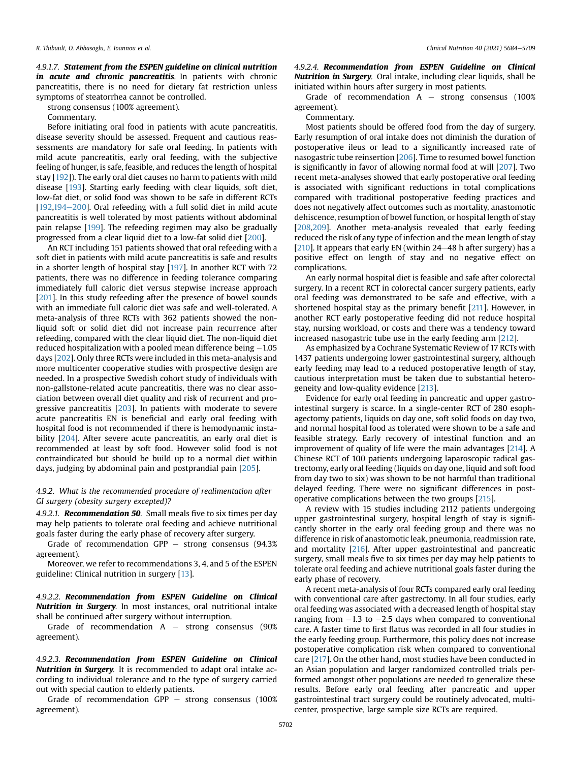4.9.1.7. Statement from the ESPEN guideline on clinical nutrition in acute and chronic pancreatitis. In patients with chronic pancreatitis, there is no need for dietary fat restriction unless symptoms of steatorrhea cannot be controlled.

strong consensus (100% agreement).

Commentary.

Before initiating oral food in patients with acute pancreatitis, disease severity should be assessed. Frequent and cautious reassessments are mandatory for safe oral feeding. In patients with mild acute pancreatitis, early oral feeding, with the subjective feeling of hunger, is safe, feasible, and reduces the length of hospital stay [[192](#page-24-18)]). The early oral diet causes no harm to patients with mild disease [[193](#page-24-19)]. Starting early feeding with clear liquids, soft diet, low-fat diet, or solid food was shown to be safe in different RCTs  $[192,194-200]$  $[192,194-200]$  $[192,194-200]$  $[192,194-200]$  $[192,194-200]$ . Oral refeeding with a full solid diet in mild acute pancreatitis is well tolerated by most patients without abdominal pain relapse [[199](#page-24-21)]. The refeeding regimen may also be gradually progressed from a clear liquid diet to a low-fat solid diet [[200](#page-24-22)].

An RCT including 151 patients showed that oral refeeding with a soft diet in patients with mild acute pancreatitis is safe and results in a shorter length of hospital stay [\[197\]](#page-24-23). In another RCT with 72 patients, there was no difference in feeding tolerance comparing immediately full caloric diet versus stepwise increase approach [[201\]](#page-24-24). In this study refeeding after the presence of bowel sounds with an immediate full caloric diet was safe and well-tolerated. A meta-analysis of three RCTs with 362 patients showed the nonliquid soft or solid diet did not increase pain recurrence after refeeding, compared with the clear liquid diet. The non-liquid diet reduced hospitalization with a pooled mean difference being  $-1.05$ days [\[202\]](#page-24-25). Only three RCTs were included in this meta-analysis and more multicenter cooperative studies with prospective design are needed. In a prospective Swedish cohort study of individuals with non-gallstone-related acute pancreatitis, there was no clear association between overall diet quality and risk of recurrent and progressive pancreatitis [[203](#page-24-26)]. In patients with moderate to severe acute pancreatitis EN is beneficial and early oral feeding with hospital food is not recommended if there is hemodynamic insta-bility [[204](#page-24-27)]. After severe acute pancreatitis, an early oral diet is recommended at least by soft food. However solid food is not contraindicated but should be build up to a normal diet within days, judging by abdominal pain and postprandial pain [\[205](#page-24-28)].

4.9.2. What is the recommended procedure of realimentation after GI surgery (obesity surgery excepted)?

4.9.2.1. Recommendation 50. Small meals five to six times per day may help patients to tolerate oral feeding and achieve nutritional goals faster during the early phase of recovery after surgery.

Grade of recommendation GPP  $-$  strong consensus (94.3%) agreement).

Moreover, we refer to recommendations 3, 4, and 5 of the ESPEN guideline: Clinical nutrition in surgery [\[13](#page-21-48)].

4.9.2.2. Recommendation from ESPEN Guideline on Clinical Nutrition in Surgery. In most instances, oral nutritional intake shall be continued after surgery without interruption.

Grade of recommendation  $A -$  strong consensus (90%) agreement).

4.9.2.3. Recommendation from ESPEN Guideline on Clinical Nutrition in Surgery. It is recommended to adapt oral intake according to individual tolerance and to the type of surgery carried out with special caution to elderly patients.

Grade of recommendation GPP  $-$  strong consensus (100%) agreement).

4.9.2.4. Recommendation from ESPEN Guideline on Clinical Nutrition in Surgery. Oral intake, including clear liquids, shall be initiated within hours after surgery in most patients.

Grade of recommendation  $A -$  strong consensus (100%) agreement).

## Commentary.

Most patients should be offered food from the day of surgery. Early resumption of oral intake does not diminish the duration of postoperative ileus or lead to a significantly increased rate of nasogastric tube reinsertion [[206](#page-24-29)]. Time to resumed bowel function is significantly in favor of allowing normal food at will [[207\]](#page-24-30). Two recent meta-analyses showed that early postoperative oral feeding is associated with significant reductions in total complications compared with traditional postoperative feeding practices and does not negatively affect outcomes such as mortality, anastomotic dehiscence, resumption of bowel function, or hospital length of stay [[208,](#page-24-31)[209\]](#page-24-32). Another meta-analysis revealed that early feeding reduced the risk of any type of infection and the mean length of stay [ $210$ ]. It appears that early EN (within  $24-48$  h after surgery) has a positive effect on length of stay and no negative effect on complications.

An early normal hospital diet is feasible and safe after colorectal surgery. In a recent RCT in colorectal cancer surgery patients, early oral feeding was demonstrated to be safe and effective, with a shortened hospital stay as the primary benefit [[211\]](#page-24-34). However, in another RCT early postoperative feeding did not reduce hospital stay, nursing workload, or costs and there was a tendency toward increased nasogastric tube use in the early feeding arm [[212](#page-24-35)].

As emphasized by a Cochrane Systematic Review of 17 RCTs with 1437 patients undergoing lower gastrointestinal surgery, although early feeding may lead to a reduced postoperative length of stay, cautious interpretation must be taken due to substantial heterogeneity and low-quality evidence [\[213\]](#page-24-36).

Evidence for early oral feeding in pancreatic and upper gastrointestinal surgery is scarce. In a single-center RCT of 280 esophagectomy patients, liquids on day one, soft solid foods on day two, and normal hospital food as tolerated were shown to be a safe and feasible strategy. Early recovery of intestinal function and an improvement of quality of life were the main advantages [\[214\]](#page-24-37). A Chinese RCT of 100 patients undergoing laparoscopic radical gastrectomy, early oral feeding (liquids on day one, liquid and soft food from day two to six) was shown to be not harmful than traditional delayed feeding. There were no significant differences in postoperative complications between the two groups [\[215](#page-24-38)].

A review with 15 studies including 2112 patients undergoing upper gastrointestinal surgery, hospital length of stay is significantly shorter in the early oral feeding group and there was no difference in risk of anastomotic leak, pneumonia, readmission rate, and mortality [[216](#page-24-39)]. After upper gastrointestinal and pancreatic surgery, small meals five to six times per day may help patients to tolerate oral feeding and achieve nutritional goals faster during the early phase of recovery.

A recent meta-analysis of four RCTs compared early oral feeding with conventional care after gastrectomy. In all four studies, early oral feeding was associated with a decreased length of hospital stay ranging from  $-1.3$  to  $-2.5$  days when compared to conventional care. A faster time to first flatus was recorded in all four studies in the early feeding group. Furthermore, this policy does not increase postoperative complication risk when compared to conventional care [\[217](#page-24-40)]. On the other hand, most studies have been conducted in an Asian population and larger randomized controlled trials performed amongst other populations are needed to generalize these results. Before early oral feeding after pancreatic and upper gastrointestinal tract surgery could be routinely advocated, multicenter, prospective, large sample size RCTs are required.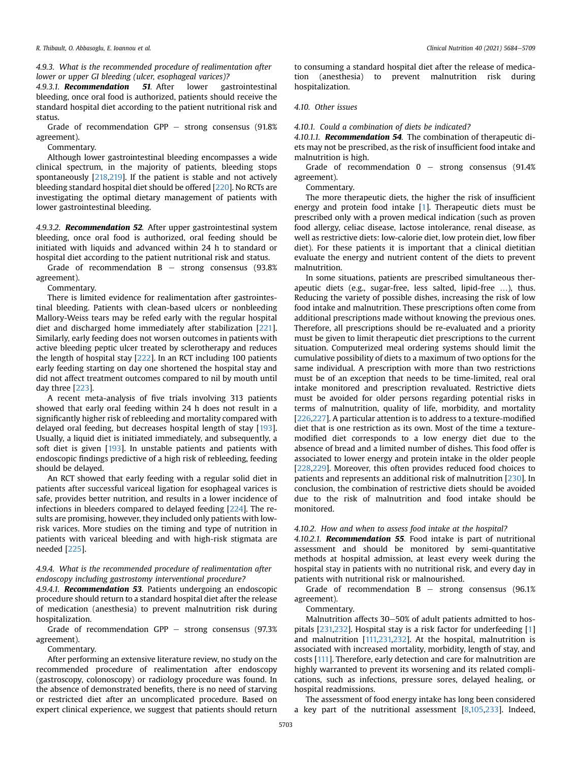4.9.3. What is the recommended procedure of realimentation after lower or upper GI bleeding (ulcer, esophageal varices)?

4.9.3.1. **Recommendation** 51. After lower gastrointestinal bleeding, once oral food is authorized, patients should receive the standard hospital diet according to the patient nutritional risk and status.

Grade of recommendation  $GPP -$  strong consensus (91.8%) agreement).

Commentary.

Although lower gastrointestinal bleeding encompasses a wide clinical spectrum, in the majority of patients, bleeding stops spontaneously [[218](#page-24-41),[219](#page-24-42)]. If the patient is stable and not actively bleeding standard hospital diet should be offered [\[220\]](#page-24-43). No RCTs are investigating the optimal dietary management of patients with lower gastrointestinal bleeding.

4.9.3.2. Recommendation 52. After upper gastrointestinal system bleeding, once oral food is authorized, oral feeding should be initiated with liquids and advanced within 24 h to standard or hospital diet according to the patient nutritional risk and status.

Grade of recommendation  $B -$  strong consensus (93.8%) agreement).

Commentary.

There is limited evidence for realimentation after gastrointestinal bleeding. Patients with clean-based ulcers or nonbleeding Mallory-Weiss tears may be refed early with the regular hospital diet and discharged home immediately after stabilization [[221\]](#page-24-44). Similarly, early feeding does not worsen outcomes in patients with active bleeding peptic ulcer treated by sclerotherapy and reduces the length of hospital stay [[222](#page-24-45)]. In an RCT including 100 patients early feeding starting on day one shortened the hospital stay and did not affect treatment outcomes compared to nil by mouth until day three [[223](#page-24-46)].

A recent meta-analysis of five trials involving 313 patients showed that early oral feeding within 24 h does not result in a significantly higher risk of rebleeding and mortality compared with delayed oral feeding, but decreases hospital length of stay [\[193\]](#page-24-19). Usually, a liquid diet is initiated immediately, and subsequently, a soft diet is given [[193](#page-24-19)]. In unstable patients and patients with endoscopic findings predictive of a high risk of rebleeding, feeding should be delayed.

An RCT showed that early feeding with a regular solid diet in patients after successful variceal ligation for esophageal varices is safe, provides better nutrition, and results in a lower incidence of infections in bleeders compared to delayed feeding [\[224](#page-25-0)]. The results are promising, however, they included only patients with lowrisk varices. More studies on the timing and type of nutrition in patients with variceal bleeding and with high-risk stigmata are needed [[225](#page-25-1)].

## 4.9.4. What is the recommended procedure of realimentation after endoscopy including gastrostomy interventional procedure?

4.9.4.1. Recommendation 53. Patients undergoing an endoscopic procedure should return to a standard hospital diet after the release of medication (anesthesia) to prevent malnutrition risk during hospitalization.

Grade of recommendation GPP  $-$  strong consensus (97.3%) agreement).

Commentary.

After performing an extensive literature review, no study on the recommended procedure of realimentation after endoscopy (gastroscopy, colonoscopy) or radiology procedure was found. In the absence of demonstrated benefits, there is no need of starving or restricted diet after an uncomplicated procedure. Based on expert clinical experience, we suggest that patients should return to consuming a standard hospital diet after the release of medication (anesthesia) to prevent malnutrition risk during hospitalization.

## 4.10. Other issues

4.10.1. Could a combination of diets be indicated?

4.10.1.1. **Recommendation 54**. The combination of therapeutic diets may not be prescribed, as the risk of insufficient food intake and malnutrition is high.

Grade of recommendation  $0 -$  strong consensus (91.4%) agreement).

Commentary.

The more therapeutic diets, the higher the risk of insufficient energy and protein food intake [\[1\]](#page-21-0). Therapeutic diets must be prescribed only with a proven medical indication (such as proven food allergy, celiac disease, lactose intolerance, renal disease, as well as restrictive diets: low-calorie diet, low protein diet, low fiber diet). For these patients it is important that a clinical dietitian evaluate the energy and nutrient content of the diets to prevent malnutrition.

In some situations, patients are prescribed simultaneous therapeutic diets (e.g., sugar-free, less salted, lipid-free …), thus. Reducing the variety of possible dishes, increasing the risk of low food intake and malnutrition. These prescriptions often come from additional prescriptions made without knowing the previous ones. Therefore, all prescriptions should be re-evaluated and a priority must be given to limit therapeutic diet prescriptions to the current situation. Computerized meal ordering systems should limit the cumulative possibility of diets to a maximum of two options for the same individual. A prescription with more than two restrictions must be of an exception that needs to be time-limited, real oral intake monitored and prescription revaluated. Restrictive diets must be avoided for older persons regarding potential risks in terms of malnutrition, quality of life, morbidity, and mortality [[226,](#page-25-2)[227\]](#page-25-3). A particular attention is to address to a texture-modified diet that is one restriction as its own. Most of the time a texturemodified diet corresponds to a low energy diet due to the absence of bread and a limited number of dishes. This food offer is associated to lower energy and protein intake in the older people [[228,](#page-25-4)[229\]](#page-25-5). Moreover, this often provides reduced food choices to patients and represents an additional risk of malnutrition [[230](#page-25-6)]. In conclusion, the combination of restrictive diets should be avoided due to the risk of malnutrition and food intake should be monitored.

## 4.10.2. How and when to assess food intake at the hospital?

4.10.2.1. Recommendation 55. Food intake is part of nutritional assessment and should be monitored by semi-quantitative methods at hospital admission, at least every week during the hospital stay in patients with no nutritional risk, and every day in patients with nutritional risk or malnourished.

Grade of recommendation  $B -$  strong consensus (96.1%) agreement).

Commentary.

Malnutrition affects 30–50% of adult patients admitted to hospitals [\[231,](#page-25-7)[232](#page-25-8)]. Hospital stay is a risk factor for underfeeding [[1\]](#page-21-0) and malnutrition [[111,](#page-22-46)[231,](#page-25-7)[232\]](#page-25-8). At the hospital, malnutrition is associated with increased mortality, morbidity, length of stay, and costs [\[111\]](#page-22-46). Therefore, early detection and care for malnutrition are highly warranted to prevent its worsening and its related complications, such as infections, pressure sores, delayed healing, or hospital readmissions.

The assessment of food energy intake has long been considered a key part of the nutritional assessment [[8](#page-21-6)[,105](#page-22-40)[,233\]](#page-25-9). Indeed,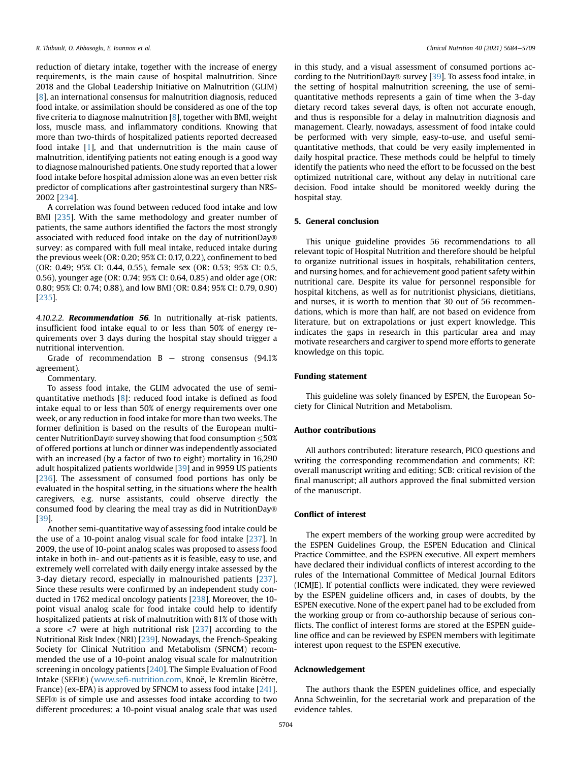reduction of dietary intake, together with the increase of energy requirements, is the main cause of hospital malnutrition. Since 2018 and the Global Leadership Initiative on Malnutrition (GLIM) [[8](#page-21-6)], an international consensus for malnutrition diagnosis, reduced food intake, or assimilation should be considered as one of the top five criteria to diagnose malnutrition  $[8]$  $[8]$ , together with BMI, weight loss, muscle mass, and inflammatory conditions. Knowing that more than two-thirds of hospitalized patients reported decreased food intake [\[1](#page-21-0)], and that undernutrition is the main cause of malnutrition, identifying patients not eating enough is a good way to diagnose malnourished patients. One study reported that a lower food intake before hospital admission alone was an even better risk predictor of complications after gastrointestinal surgery than NRS-2002 [\[234](#page-25-10)].

A correlation was found between reduced food intake and low BMI [\[235\]](#page-25-11). With the same methodology and greater number of patients, the same authors identified the factors the most strongly associated with reduced food intake on the day of nutritionDay® survey: as compared with full meal intake, reduced intake during the previous week (OR: 0.20; 95% CI: 0.17, 0.22), confinement to bed (OR: 0.49; 95% CI: 0.44, 0.55), female sex (OR: 0.53; 95% CI: 0.5, 0.56), younger age (OR: 0.74; 95% CI: 0.64, 0.85) and older age (OR: 0.80; 95% CI: 0.74; 0.88), and low BMI (OR: 0.84; 95% CI: 0.79, 0.90) [[235\]](#page-25-11).

4.10.2.2. Recommendation 56. In nutritionally at-risk patients, insufficient food intake equal to or less than 50% of energy requirements over 3 days during the hospital stay should trigger a nutritional intervention.

Grade of recommendation  $B -$  strong consensus (94.1%) agreement).

Commentary.

To assess food intake, the GLIM advocated the use of semiquantitative methods [[8](#page-21-6)]: reduced food intake is defined as food intake equal to or less than 50% of energy requirements over one week, or any reduction in food intake for more than two weeks. The former definition is based on the results of the European multicenter NutritionDay® survey showing that food consumption  $\leq 50\%$ of offered portions at lunch or dinner was independently associated with an increased (by a factor of two to eight) mortality in 16,290 adult hospitalized patients worldwide [\[39\]](#page-21-29) and in 9959 US patients [[236\]](#page-25-12). The assessment of consumed food portions has only be evaluated in the hospital setting, in the situations where the health caregivers, e.g. nurse assistants, could observe directly the consumed food by clearing the meal tray as did in NutritionDay® [[39](#page-21-29)].

Another semi-quantitative way of assessing food intake could be the use of a 10-point analog visual scale for food intake [\[237](#page-25-13)]. In 2009, the use of 10-point analog scales was proposed to assess food intake in both in- and out-patients as it is feasible, easy to use, and extremely well correlated with daily energy intake assessed by the 3-day dietary record, especially in malnourished patients [[237\]](#page-25-13). Since these results were confirmed by an independent study conducted in 1762 medical oncology patients [[238](#page-25-14)]. Moreover, the 10 point visual analog scale for food intake could help to identify hospitalized patients at risk of malnutrition with 81% of those with a score  $\langle 7 \rangle$  were at high nutritional risk  $[237]$  $[237]$  $[237]$  according to the Nutritional Risk Index (NRI) [\[239](#page-25-15)]. Nowadays, the French-Speaking Society for Clinical Nutrition and Metabolism (SFNCM) recommended the use of a 10-point analog visual scale for malnutrition screening in oncology patients [[240](#page-25-16)]. The Simple Evaluation of Food Intake (SEFI®) (www.sefi[-nutrition.com,](http://www.sefi-nutrition.com/) Knoë, le Kremlin Bicêtre, France) (ex-EPA) is approved by SFNCM to assess food intake [\[241\]](#page-25-17). SEFI® is of simple use and assesses food intake according to two different procedures: a 10-point visual analog scale that was used

in this study, and a visual assessment of consumed portions according to the NutritionDay® survey [\[39\]](#page-21-29). To assess food intake, in the setting of hospital malnutrition screening, the use of semiquantitative methods represents a gain of time when the 3-day dietary record takes several days, is often not accurate enough, and thus is responsible for a delay in malnutrition diagnosis and management. Clearly, nowadays, assessment of food intake could be performed with very simple, easy-to-use, and useful semiquantitative methods, that could be very easily implemented in daily hospital practice. These methods could be helpful to timely identify the patients who need the effort to be focussed on the best optimized nutritional care, without any delay in nutritional care decision. Food intake should be monitored weekly during the hospital stay.

## 5. General conclusion

This unique guideline provides 56 recommendations to all relevant topic of Hospital Nutrition and therefore should be helpful to organize nutritional issues in hospitals, rehabilitation centers, and nursing homes, and for achievement good patient safety within nutritional care. Despite its value for personnel responsible for hospital kitchens, as well as for nutritionist physicians, dietitians, and nurses, it is worth to mention that 30 out of 56 recommendations, which is more than half, are not based on evidence from literature, but on extrapolations or just expert knowledge. This indicates the gaps in research in this particular area and may motivate researchers and cargiver to spend more efforts to generate knowledge on this topic.

#### Funding statement

This guideline was solely financed by ESPEN, the European Society for Clinical Nutrition and Metabolism.

## Author contributions

All authors contributed: literature research, PICO questions and writing the corresponding recommendation and comments; RT: overall manuscript writing and editing; SCB: critical revision of the final manuscript; all authors approved the final submitted version of the manuscript.

#### Conflict of interest

The expert members of the working group were accredited by the ESPEN Guidelines Group, the ESPEN Education and Clinical Practice Committee, and the ESPEN executive. All expert members have declared their individual conflicts of interest according to the rules of the International Committee of Medical Journal Editors (ICMJE). If potential conflicts were indicated, they were reviewed by the ESPEN guideline officers and, in cases of doubts, by the ESPEN executive. None of the expert panel had to be excluded from the working group or from co-authorship because of serious conflicts. The conflict of interest forms are stored at the ESPEN guideline office and can be reviewed by ESPEN members with legitimate interest upon request to the ESPEN executive.

#### Acknowledgement

The authors thank the ESPEN guidelines office, and especially Anna Schweinlin, for the secretarial work and preparation of the evidence tables.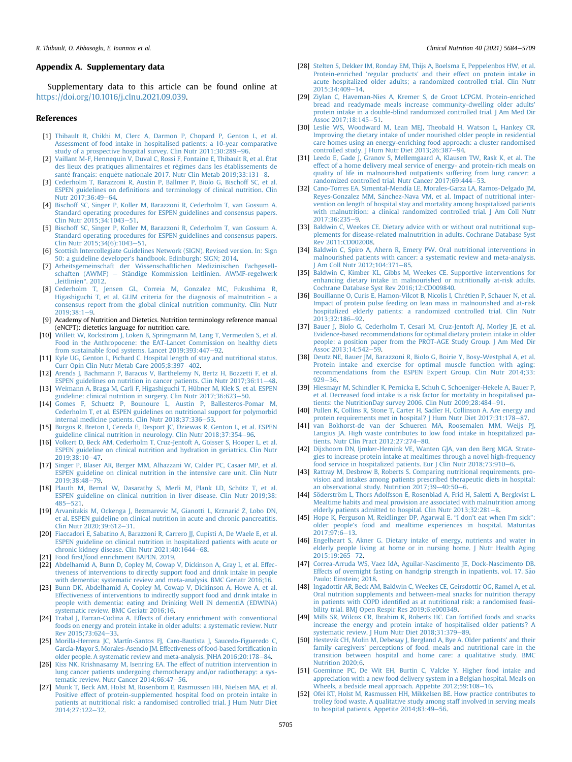#### Appendix A. Supplementary data

Supplementary data to this article can be found online at [https://doi.org/10.1016/j.clnu.2021.09.039.](https://doi.org/10.1016/j.clnu.2021.09.039)

#### References

- <span id="page-21-0"></span>[1] [Thibault R, Chikhi M, Clerc A, Darmon P, Chopard P, Genton L, et al.](http://refhub.elsevier.com/S0261-5614(21)00456-8/sref1) [Assessment of food intake in hospitalised patients: a 10-year comparative](http://refhub.elsevier.com/S0261-5614(21)00456-8/sref1) [study of a prospective hospital survey. Clin Nutr 2011;30:289](http://refhub.elsevier.com/S0261-5614(21)00456-8/sref1)-[96.](http://refhub.elsevier.com/S0261-5614(21)00456-8/sref1)
- <span id="page-21-1"></span>[2] [Vaillant M-F, Hennequin V, Duval C, Rossi F, Fontaine E, Thibault R, et al.](http://refhub.elsevier.com/S0261-5614(21)00456-8/sref2) État [des lieux des pratiques alimentaires et r](http://refhub.elsevier.com/S0261-5614(21)00456-8/sref2)é[gimes dans les](http://refhub.elsevier.com/S0261-5614(21)00456-8/sref2) établissements de santé français: enquête nationale 2017. Nutr Clin Metab 2019;33:131-[8.](http://refhub.elsevier.com/S0261-5614(21)00456-8/sref2)
- <span id="page-21-2"></span>[3] [Cederholm T, Barazzoni R, Austin P, Ballmer P, Biolo G, Bischoff SC, et al.](http://refhub.elsevier.com/S0261-5614(21)00456-8/sref3) ESPEN guidelines on defi[nitions and terminology of clinical nutrition. Clin](http://refhub.elsevier.com/S0261-5614(21)00456-8/sref3) Nutr 2017:36:49-[64.](http://refhub.elsevier.com/S0261-5614(21)00456-8/sref3)
- <span id="page-21-3"></span>[4] [Bischoff SC, Singer P, Koller M, Barazzoni R, Cederholm T, van Gossum A.](http://refhub.elsevier.com/S0261-5614(21)00456-8/sref4) [Standard operating procedures for ESPEN guidelines and consensus papers.](http://refhub.elsevier.com/S0261-5614(21)00456-8/sref4) [Clin Nutr 2015;34:1043](http://refhub.elsevier.com/S0261-5614(21)00456-8/sref4)-[51](http://refhub.elsevier.com/S0261-5614(21)00456-8/sref4).
- <span id="page-21-4"></span>[5] [Bischoff SC, Singer P, Koller M, Barazzoni R, Cederholm T, van Gossum A.](http://refhub.elsevier.com/S0261-5614(21)00456-8/sref5) [Standard operating procedures for ESPEN guidelines and consensus papers.](http://refhub.elsevier.com/S0261-5614(21)00456-8/sref5) Clin Nutr  $2015;34(6):1043-51$ .
- <span id="page-21-5"></span>[Scottish Intercollegiate Guidelines Network \(SIGN\). Revised version. In: Sign](http://refhub.elsevier.com/S0261-5614(21)00456-8/sref6) [50: a guideline developer's handbook. Edinburgh: SIGN; 2014.](http://refhub.elsevier.com/S0261-5614(21)00456-8/sref6)
- <span id="page-21-8"></span>[7] [Arbeitsgemeinschaft der Wissenschaftlichen Medizinischen Fachgesell](http://refhub.elsevier.com/S0261-5614(21)00456-8/sref7)[schaften \(AWMF\)](http://refhub.elsevier.com/S0261-5614(21)00456-8/sref7) - [St](http://refhub.elsevier.com/S0261-5614(21)00456-8/sref7)ändige Kommission Leitlinien. AWMF-regelwerk "[leitlinien](http://refhub.elsevier.com/S0261-5614(21)00456-8/sref7)". 2012.
- <span id="page-21-6"></span>[Cederholm T, Jensen GL, Correia M, Gonzalez MC, Fukushima R,](http://refhub.elsevier.com/S0261-5614(21)00456-8/sref8) [Higashiguchi T, et al. GLIM criteria for the diagnosis of malnutrition - a](http://refhub.elsevier.com/S0261-5614(21)00456-8/sref8) [consensus report from the global clinical nutrition community. Clin Nutr](http://refhub.elsevier.com/S0261-5614(21)00456-8/sref8)  $2019:38:1-9.$  $2019:38:1-9.$  $2019:38:1-9.$
- <span id="page-21-7"></span>[9] Academy of Nutrition and Dietetics. Nutrition terminology reference manual (eNCPT): dietetics language for nutrition care.
- <span id="page-21-9"></span>[10] Willett W, Rockström J, Loken B, Springmann M, Lang T, Vermeulen S, et al. [Food in the Anthropocene: the EAT-Lancet Commission on healthy diets](http://refhub.elsevier.com/S0261-5614(21)00456-8/sref10) from sustainable food systems. Lancet  $2019;393:447-92$  $2019;393:447-92$ .
- <span id="page-21-10"></span>[11] [Kyle UG, Genton L, Pichard C. Hospital length of stay and nutritional status.](http://refhub.elsevier.com/S0261-5614(21)00456-8/sref11) Curr Opin Clin Nutr Metab Care  $2005;8:397-402$  $2005;8:397-402$ .
- <span id="page-21-11"></span>[12] [Arends J, Bachmann P, Baracos V, Barthelemy N, Bertz H, Bozzetti F, et al.](http://refhub.elsevier.com/S0261-5614(21)00456-8/sref12) [ESPEN guidelines on nutrition in cancer patients. Clin Nutr 2017;36:11](http://refhub.elsevier.com/S0261-5614(21)00456-8/sref12)-[48](http://refhub.elsevier.com/S0261-5614(21)00456-8/sref12).
- <span id="page-21-48"></span>[13] [Weimann A, Braga M, Carli F, Higashiguchi T, Hübner M, Klek S, et al. ESPEN](http://refhub.elsevier.com/S0261-5614(21)00456-8/sref13) [guideline: clinical nutrition in surgery. Clin Nutr 2017;36:623](http://refhub.elsevier.com/S0261-5614(21)00456-8/sref13)-[50](http://refhub.elsevier.com/S0261-5614(21)00456-8/sref13).
- <span id="page-21-43"></span>[14] [Gomes F, Schuetz P, Bounoure L, Austin P, Ballesteros-Pomar M,](http://refhub.elsevier.com/S0261-5614(21)00456-8/sref14) [Cederholm T, et al. ESPEN guidelines on nutritional support for polymorbid](http://refhub.elsevier.com/S0261-5614(21)00456-8/sref14) [internal medicine patients. Clin Nutr 2018;37:336](http://refhub.elsevier.com/S0261-5614(21)00456-8/sref14)-[53](http://refhub.elsevier.com/S0261-5614(21)00456-8/sref14).
- <span id="page-21-47"></span>[15] [Burgos R, Breton I, Cereda E, Desport JC, Dziewas R, Genton L, et al. ESPEN](http://refhub.elsevier.com/S0261-5614(21)00456-8/sref15) [guideline clinical nutrition in neurology. Clin Nutr 2018;37:354](http://refhub.elsevier.com/S0261-5614(21)00456-8/sref15)-[96.](http://refhub.elsevier.com/S0261-5614(21)00456-8/sref15)
- <span id="page-21-13"></span>[16] [Volkert D, Beck AM, Cederholm T, Cruz-Jentoft A, Goisser S, Hooper L, et al.](http://refhub.elsevier.com/S0261-5614(21)00456-8/sref16) [ESPEN guideline on clinical nutrition and hydration in geriatrics. Clin Nutr](http://refhub.elsevier.com/S0261-5614(21)00456-8/sref16) [2019;38:10](http://refhub.elsevier.com/S0261-5614(21)00456-8/sref16)-[47.](http://refhub.elsevier.com/S0261-5614(21)00456-8/sref16)
- <span id="page-21-21"></span>[17] [Singer P, Blaser AR, Berger MM, Alhazzani W, Calder PC, Casaer MP, et al.](http://refhub.elsevier.com/S0261-5614(21)00456-8/sref17) [ESPEN guideline on clinical nutrition in the intensive care unit. Clin Nutr](http://refhub.elsevier.com/S0261-5614(21)00456-8/sref17) [2019;38:48](http://refhub.elsevier.com/S0261-5614(21)00456-8/sref17)-[79.](http://refhub.elsevier.com/S0261-5614(21)00456-8/sref17)
- <span id="page-21-44"></span>[18] [Plauth M, Bernal W, Dasarathy S, Merli M, Plank LD, Schütz T, et al.](http://refhub.elsevier.com/S0261-5614(21)00456-8/sref18) [ESPEN guideline on clinical nutrition in liver disease. Clin Nutr 2019;38:](http://refhub.elsevier.com/S0261-5614(21)00456-8/sref18)  $485 - 521$  $485 - 521$  $485 - 521$ .
- <span id="page-21-45"></span>[19] [Arvanitakis M, Ockenga J, Bezmarevic M, Gianotti L, Krznari](http://refhub.elsevier.com/S0261-5614(21)00456-8/sref19)ć Ž[, Lobo DN,](http://refhub.elsevier.com/S0261-5614(21)00456-8/sref19) [et al. ESPEN guideline on clinical nutrition in acute and chronic pancreatitis.](http://refhub.elsevier.com/S0261-5614(21)00456-8/sref19) Clin Nutr 2020:39:612-[31.](http://refhub.elsevier.com/S0261-5614(21)00456-8/sref19)
- <span id="page-21-46"></span>[20] [Fiaccadori E, Sabatino A, Barazzoni R, Carrero JJ, Cupisti A, De Waele E, et al.](http://refhub.elsevier.com/S0261-5614(21)00456-8/sref20) [ESPEN guideline on clinical nutrition in hospitalized patients with acute or](http://refhub.elsevier.com/S0261-5614(21)00456-8/sref20) chronic kidney disease. Clin Nutr  $2021:40:1644-68$ .
- <span id="page-21-12"></span>[21] Food fi[rst/food enrichment BAPEN. 2019](http://refhub.elsevier.com/S0261-5614(21)00456-8/sref21).
- <span id="page-21-14"></span>[22] [Abdelhamid A, Bunn D, Copley M, Cowap V, Dickinson A, Gray L, et al. Effec](http://refhub.elsevier.com/S0261-5614(21)00456-8/sref22)[tiveness of interventions to directly support food and drink intake in people](http://refhub.elsevier.com/S0261-5614(21)00456-8/sref22) [with dementia: systematic review and meta-analysis. BMC Geriatr 2016;16.](http://refhub.elsevier.com/S0261-5614(21)00456-8/sref22)
- [23] [Bunn DK, Abdelhamid A, Copley M, Cowap V, Dickinson A, Howe A, et al.](http://refhub.elsevier.com/S0261-5614(21)00456-8/sref23) [Effectiveness of interventions to indirectly support food and drink intake in](http://refhub.elsevier.com/S0261-5614(21)00456-8/sref23) [people with dementia: eating and Drinking Well IN dementiA \(EDWINA\)](http://refhub.elsevier.com/S0261-5614(21)00456-8/sref23) [systematic review. BMC Geriatr 2016;16](http://refhub.elsevier.com/S0261-5614(21)00456-8/sref23).
- [24] [Trabal J, Farran-Codina A. Effects of dietary enrichment with conventional](http://refhub.elsevier.com/S0261-5614(21)00456-8/sref24) [foods on energy and protein intake in older adults: a systematic review. Nutr](http://refhub.elsevier.com/S0261-5614(21)00456-8/sref24) Rev 2015:73:624-[33](http://refhub.elsevier.com/S0261-5614(21)00456-8/sref24).
- <span id="page-21-15"></span>[25] [Morilla-Herrera JC, Martín-Santos FJ, Caro-Bautista J, Saucedo-Figueredo C,](http://refhub.elsevier.com/S0261-5614(21)00456-8/sref25) [García-Mayor S, Morales-Asencio JM. Effectiveness of food-based forti](http://refhub.elsevier.com/S0261-5614(21)00456-8/sref25)fication in [older people. A systematic review and meta-analysis. JNHA 2016;20:178](http://refhub.elsevier.com/S0261-5614(21)00456-8/sref25)-[84](http://refhub.elsevier.com/S0261-5614(21)00456-8/sref25).
- <span id="page-21-16"></span>[26] [Kiss NK, Krishnasamy M, Isenring EA. The effect of nutrition intervention in](http://refhub.elsevier.com/S0261-5614(21)00456-8/sref26) [lung cancer patients undergoing chemotherapy and/or radiotherapy: a sys](http://refhub.elsevier.com/S0261-5614(21)00456-8/sref26)[tematic review. Nutr Cancer 2014;66:47](http://refhub.elsevier.com/S0261-5614(21)00456-8/sref26)-[56](http://refhub.elsevier.com/S0261-5614(21)00456-8/sref26).
- <span id="page-21-17"></span>[27] [Munk T, Beck AM, Holst M, Rosenbom E, Rasmussen HH, Nielsen MA, et al.](http://refhub.elsevier.com/S0261-5614(21)00456-8/sref27) [Positive effect of protein-supplemented hospital food on protein intake in](http://refhub.elsevier.com/S0261-5614(21)00456-8/sref27) [patients at nutritional risk: a randomised controlled trial. J Hum Nutr Diet](http://refhub.elsevier.com/S0261-5614(21)00456-8/sref27) [2014;27:122](http://refhub.elsevier.com/S0261-5614(21)00456-8/sref27)-[32.](http://refhub.elsevier.com/S0261-5614(21)00456-8/sref27)
- <span id="page-21-18"></span>[28] [Stelten S, Dekker IM, Ronday EM, Thijs A, Boelsma E, Peppelenbos HW, et al.](http://refhub.elsevier.com/S0261-5614(21)00456-8/sref28) [Protein-enriched 'regular products' and their effect on protein intake in](http://refhub.elsevier.com/S0261-5614(21)00456-8/sref28) [acute hospitalized older adults; a randomized controlled trial. Clin Nutr](http://refhub.elsevier.com/S0261-5614(21)00456-8/sref28) [2015;34:409](http://refhub.elsevier.com/S0261-5614(21)00456-8/sref28)-[14.](http://refhub.elsevier.com/S0261-5614(21)00456-8/sref28)
- <span id="page-21-19"></span>[29] [Ziylan C, Haveman-Nies A, Kremer S, de Groot LCPGM. Protein-enriched](http://refhub.elsevier.com/S0261-5614(21)00456-8/sref29) [bread and readymade meals increase community-dwelling older adults'](http://refhub.elsevier.com/S0261-5614(21)00456-8/sref29) [protein intake in a double-blind randomized controlled trial. J Am Med Dir](http://refhub.elsevier.com/S0261-5614(21)00456-8/sref29) Assoc 2017:18:145-[51.](http://refhub.elsevier.com/S0261-5614(21)00456-8/sref29)
- <span id="page-21-20"></span>[30] Leslie WS, Woodward M, Lean MEI, Theobald H, Watson L, Hankey CR, [Improving the dietary intake of under nourished older people in residential](http://refhub.elsevier.com/S0261-5614(21)00456-8/sref30) [care homes using an energy-enriching food approach: a cluster randomised](http://refhub.elsevier.com/S0261-5614(21)00456-8/sref30) controlled study. J Hum Nutr Diet  $2013;26:387-94$  $2013;26:387-94$ .
- <span id="page-21-23"></span>[31] [Leedo E, Gade J, Granov S, Mellemgaard A, Klausen TW, Rask K, et al. The](http://refhub.elsevier.com/S0261-5614(21)00456-8/sref31) [effect of a home delivery meal service of energy- and protein-rich meals on](http://refhub.elsevier.com/S0261-5614(21)00456-8/sref31) [quality of life in malnourished outpatients suffering from lung cancer: a](http://refhub.elsevier.com/S0261-5614(21)00456-8/sref31) randomized controlled trial. Nutr Cancer 2017:69:444-[53](http://refhub.elsevier.com/S0261-5614(21)00456-8/sref31).
- <span id="page-21-24"></span>[32] [Cano-Torres EA, Simental-Mendía LE, Morales-Garza LA, Ramos-Delgado JM,](http://refhub.elsevier.com/S0261-5614(21)00456-8/sref32) [Reyes-Gonzalez MM, S](http://refhub.elsevier.com/S0261-5614(21)00456-8/sref32)á[nchez-Nava VM, et al. Impact of nutritional inter](http://refhub.elsevier.com/S0261-5614(21)00456-8/sref32) [vention on length of hospital stay and mortality among hospitalized patients](http://refhub.elsevier.com/S0261-5614(21)00456-8/sref32) with malnutrition: a clinical randomized controlled trial. I Am Coll Nutr  $2017.36.235 - 9$
- <span id="page-21-22"></span>[33] [Baldwin C, Weekes CE. Dietary advice with or without oral nutritional sup](http://refhub.elsevier.com/S0261-5614(21)00456-8/sref33)[plements for disease-related malnutrition in adults. Cochrane Database Syst](http://refhub.elsevier.com/S0261-5614(21)00456-8/sref33) [Rev 2011:CD002008.](http://refhub.elsevier.com/S0261-5614(21)00456-8/sref33)
- [34] [Baldwin C, Spiro A, Ahern R, Emery PW. Oral nutritional interventions in](http://refhub.elsevier.com/S0261-5614(21)00456-8/sref34) [malnourished patients with cancer: a systematic review and meta-analysis.](http://refhub.elsevier.com/S0261-5614(21)00456-8/sref34) Am Coll Nutr 2012:104:371-[85](http://refhub.elsevier.com/S0261-5614(21)00456-8/sref34).
- <span id="page-21-26"></span>[35] [Baldwin C, Kimber KL, Gibbs M, Weekes CE. Supportive interventions for](http://refhub.elsevier.com/S0261-5614(21)00456-8/sref35) [enhancing dietary intake in malnourished or nutritionally at-risk adults.](http://refhub.elsevier.com/S0261-5614(21)00456-8/sref35) [Cochrane Database Syst Rev 2016;12:CD009840](http://refhub.elsevier.com/S0261-5614(21)00456-8/sref35).
- <span id="page-21-25"></span>[36] Bouillanne O, Curis E, Hamon-Vilcot B, Nicolis I, Chrétien P, Schauer N, et al. [Impact of protein pulse feeding on lean mass in malnourished and at-risk](http://refhub.elsevier.com/S0261-5614(21)00456-8/sref36) [hospitalized elderly patients: a randomized controlled trial. Clin Nutr](http://refhub.elsevier.com/S0261-5614(21)00456-8/sref36)  $2013:32:186 - 92$
- <span id="page-21-27"></span>[37] [Bauer J, Biolo G, Cederholm T, Cesari M, Cruz-Jentoft AJ, Morley JE, et al.](http://refhub.elsevier.com/S0261-5614(21)00456-8/sref37) [Evidence-based recommendations for optimal dietary protein intake in older](http://refhub.elsevier.com/S0261-5614(21)00456-8/sref37) [people: a position paper from the PROT-AGE Study Group. J Am Med Dir](http://refhub.elsevier.com/S0261-5614(21)00456-8/sref37) Assoc 2013:14:542-[59.](http://refhub.elsevier.com/S0261-5614(21)00456-8/sref37)
- <span id="page-21-28"></span>[38] [Deutz NE, Bauer JM, Barazzoni R, Biolo G, Boirie Y, Bosy-Westphal A, et al.](http://refhub.elsevier.com/S0261-5614(21)00456-8/sref38) [Protein intake and exercise for optimal muscle function with aging:](http://refhub.elsevier.com/S0261-5614(21)00456-8/sref38) [recommendations from the ESPEN Expert Group. Clin Nutr 2014;33:](http://refhub.elsevier.com/S0261-5614(21)00456-8/sref38)  $929 - 36$  $929 - 36$
- <span id="page-21-29"></span>[39] [Hiesmayr M, Schindler K, Pernicka E, Schuh C, Schoeniger-Hekele A, Bauer P,](http://refhub.elsevier.com/S0261-5614(21)00456-8/sref39) [et al. Decreased food intake is a risk factor for mortality in hospitalised pa](http://refhub.elsevier.com/S0261-5614(21)00456-8/sref39)[tients: the NutritionDay survey 2006. Clin Nutr 2009;28:484](http://refhub.elsevier.com/S0261-5614(21)00456-8/sref39)-[91.](http://refhub.elsevier.com/S0261-5614(21)00456-8/sref39)
- <span id="page-21-30"></span>[40] [Pullen K, Collins R, Stone T, Carter H, Sadler H, Collinson A. Are energy and](http://refhub.elsevier.com/S0261-5614(21)00456-8/sref40) [protein requirements met in hospital? J Hum Nutr Diet 2017;31:178](http://refhub.elsevier.com/S0261-5614(21)00456-8/sref40)-[87.](http://refhub.elsevier.com/S0261-5614(21)00456-8/sref40)
- <span id="page-21-31"></span>[41] [van Bokhorst-de van der Schueren MA, Roosemalen MM, Weijs PJ,](http://refhub.elsevier.com/S0261-5614(21)00456-8/sref41) [Langius JA. High waste contributes to low food intake in hospitalized pa](http://refhub.elsevier.com/S0261-5614(21)00456-8/sref41)[tients. Nutr Clin Pract 2012;27:274](http://refhub.elsevier.com/S0261-5614(21)00456-8/sref41)-[80](http://refhub.elsevier.com/S0261-5614(21)00456-8/sref41).
- <span id="page-21-32"></span>[42] [Dijxhoorn DN, Ijmker-Hemink VE, Wanten GJA, van den Berg MGA. Strate](http://refhub.elsevier.com/S0261-5614(21)00456-8/sref42)[gies to increase protein intake at mealtimes through a novel high-frequency](http://refhub.elsevier.com/S0261-5614(21)00456-8/sref42) [food service in hospitalized patients. Eur J Clin Nutr 2018;73:910](http://refhub.elsevier.com/S0261-5614(21)00456-8/sref42)-[6](http://refhub.elsevier.com/S0261-5614(21)00456-8/sref42).
- <span id="page-21-33"></span>[43] [Rattray M, Desbrow B, Roberts S. Comparing nutritional requirements, pro](http://refhub.elsevier.com/S0261-5614(21)00456-8/sref43)[vision and intakes among patients prescribed therapeutic diets in hospital:](http://refhub.elsevier.com/S0261-5614(21)00456-8/sref43) [an observational study. Nutrition 2017;39](http://refhub.elsevier.com/S0261-5614(21)00456-8/sref43)–[40:50](http://refhub.elsevier.com/S0261-5614(21)00456-8/sref43)–[6](http://refhub.elsevier.com/S0261-5614(21)00456-8/sref43).
- <span id="page-21-34"></span>[44] Söderström L, Thors Adolfsson E, Rosenblad A, Frid H, Saletti A, Bergkvist L. [Mealtime habits and meal provision are associated with malnutrition among](http://refhub.elsevier.com/S0261-5614(21)00456-8/sref44) elderly patients admitted to hospital. Clin Nutr  $2013;32:281-8$ .
- <span id="page-21-35"></span>[45] [Hope K, Ferguson M, Reidlinger DP, Agarwal E.](http://refhub.elsevier.com/S0261-5614(21)00456-8/sref45) "I don't eat when I'm sick": [older people's food and mealtime experiences in hospital. Maturitas](http://refhub.elsevier.com/S0261-5614(21)00456-8/sref45)  $2017:97:6-13.$  $2017:97:6-13.$  $2017:97:6-13.$
- <span id="page-21-36"></span>[46] [Engelheart S, Akner G. Dietary intake of energy, nutrients and water in](http://refhub.elsevier.com/S0261-5614(21)00456-8/sref46) [elderly people living at home or in nursing home. J Nutr Health Aging](http://refhub.elsevier.com/S0261-5614(21)00456-8/sref46)  $2015;19:265 - 72.$  $2015;19:265 - 72.$  $2015;19:265 - 72.$
- <span id="page-21-37"></span>[47] [Correa-Arruda WS, Vaez IdA, Aguilar-Nascimento JE, Dock-Nascimento DB.](http://refhub.elsevier.com/S0261-5614(21)00456-8/sref47) Effects of overnight fasting on handgrip strength in inpatients, vol. 17. São [Paulo: Einstein; 2018.](http://refhub.elsevier.com/S0261-5614(21)00456-8/sref47)
- <span id="page-21-38"></span>[48] [Ingadottir AR, Beck AM, Baldwin C, Weekes CE, Geirsdottir OG, Ramel A, et al.](http://refhub.elsevier.com/S0261-5614(21)00456-8/sref48) [Oral nutrition supplements and between-meal snacks for nutrition therapy](http://refhub.elsevier.com/S0261-5614(21)00456-8/sref48) in patients with COPD identifi[ed as at nutritional risk: a randomised feasi](http://refhub.elsevier.com/S0261-5614(21)00456-8/sref48)[bility trial. BMJ Open Respir Res 2019;6:e000349.](http://refhub.elsevier.com/S0261-5614(21)00456-8/sref48)
- <span id="page-21-39"></span>[49] [Mills SR, Wilcox CR, Ibrahim K, Roberts HC. Can forti](http://refhub.elsevier.com/S0261-5614(21)00456-8/sref49)fied foods and snacks [increase the energy and protein intake of hospitalised older patients? A](http://refhub.elsevier.com/S0261-5614(21)00456-8/sref49) [systematic review. J Hum Nutr Diet 2018;31:379](http://refhub.elsevier.com/S0261-5614(21)00456-8/sref49)-[89.](http://refhub.elsevier.com/S0261-5614(21)00456-8/sref49)
- <span id="page-21-40"></span>[50] [Hestevik CH, Molin M, Debesay J, Bergland A, Bye A. Older patients' and their](http://refhub.elsevier.com/S0261-5614(21)00456-8/sref50) [family caregivers' perceptions of food, meals and nutritional care in the](http://refhub.elsevier.com/S0261-5614(21)00456-8/sref50) [transition between hospital and home care: a qualitative study. BMC](http://refhub.elsevier.com/S0261-5614(21)00456-8/sref50) [Nutrition 2020;6.](http://refhub.elsevier.com/S0261-5614(21)00456-8/sref50)
- <span id="page-21-41"></span>[51] [Goeminne PC, De Wit EH, Burtin C, Valcke Y. Higher food intake and](http://refhub.elsevier.com/S0261-5614(21)00456-8/sref51) [appreciation with a new food delivery system in a Belgian hospital. Meals on](http://refhub.elsevier.com/S0261-5614(21)00456-8/sref51) Wheels, a bedside meal approach. Appetite  $2012;59:108-16$  $2012;59:108-16$ .
- <span id="page-21-42"></span>[52] [Ofei KT, Holst M, Rasmussen HH, Mikkelsen BE. How practice contributes to](http://refhub.elsevier.com/S0261-5614(21)00456-8/sref52) [trolley food waste. A qualitative study among staff involved in serving meals](http://refhub.elsevier.com/S0261-5614(21)00456-8/sref52) to hospital patients. Appetite  $2014;83:49-56$ .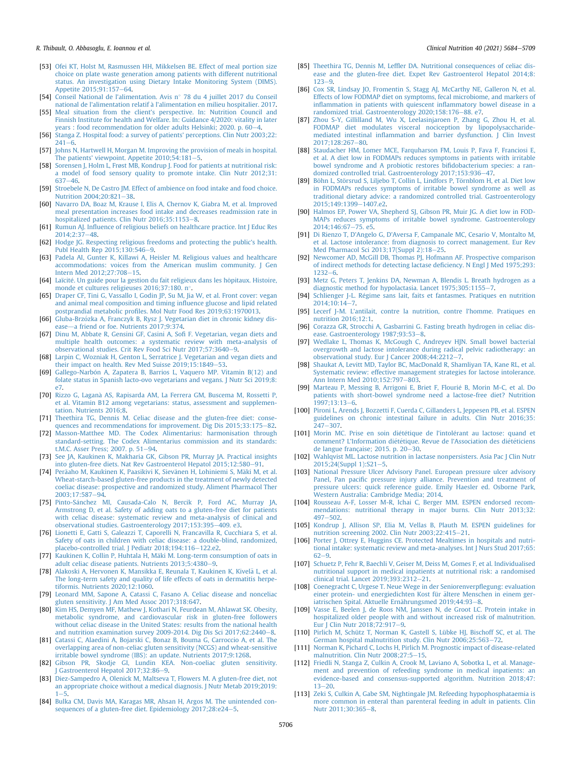#### R. Thibault, O. Abbasoglu, E. Ioannou et al. Clinical Nutrition 40 (2021) 5684-5709

- <span id="page-22-0"></span>[53] [Ofei KT, Holst M, Rasmussen HH, Mikkelsen BE. Effect of meal portion size](http://refhub.elsevier.com/S0261-5614(21)00456-8/sref53) [choice on plate waste generation among patients with different nutritional](http://refhub.elsevier.com/S0261-5614(21)00456-8/sref53) [status. An investigation using Dietary Intake Monitoring System \(DIMS\).](http://refhub.elsevier.com/S0261-5614(21)00456-8/sref53) [Appetite 2015;91:157](http://refhub.elsevier.com/S0261-5614(21)00456-8/sref53)-[64.](http://refhub.elsevier.com/S0261-5614(21)00456-8/sref53)
- <span id="page-22-1"></span>[54] [Conseil National de l](http://refhub.elsevier.com/S0261-5614(21)00456-8/sref54)'alimentation. Avis n° [78 du 4 juillet 2017 du Conseil](http://refhub.elsevier.com/S0261-5614(21)00456-8/sref54) [national de l'alimentation relatif](http://refhub.elsevier.com/S0261-5614(21)00456-8/sref54) à l'alimentation en milieu hospitalier. 2017.
- <span id="page-22-2"></span>[55] [Meal situation from the client's perspective. In: Nutrition Council and](http://refhub.elsevier.com/S0261-5614(21)00456-8/sref55) [Finnish Institute for health and Welfare. In: Guidance 4/2020: vitality in later](http://refhub.elsevier.com/S0261-5614(21)00456-8/sref55) years : food recommendation for older adults Helsinki: 2020. p.  $60-4$ .
- <span id="page-22-3"></span>[56] [Stanga Z. Hospital food: a survey of patients' perceptions. Clin Nutr 2003;22:](http://refhub.elsevier.com/S0261-5614(21)00456-8/sref56)  $241 - 6$  $241 - 6$ .
- <span id="page-22-4"></span>[57] [Johns N, Hartwell H, Morgan M. Improving the provision of meals in hospital.](http://refhub.elsevier.com/S0261-5614(21)00456-8/sref57) The patients' viewpoint. Appetite  $2010;54:181-5$ .
- <span id="page-22-5"></span>[58] [Sorensen J, Holm L, Fr](http://refhub.elsevier.com/S0261-5614(21)00456-8/sref58)ø[st MB, Kondrup J. Food for patients at nutritional risk:](http://refhub.elsevier.com/S0261-5614(21)00456-8/sref58) [a model of food sensory quality to promote intake. Clin Nutr 2012;31:](http://refhub.elsevier.com/S0261-5614(21)00456-8/sref58) [637](http://refhub.elsevier.com/S0261-5614(21)00456-8/sref58)-[46](http://refhub.elsevier.com/S0261-5614(21)00456-8/sref58)
- <span id="page-22-6"></span>[59] [Stroebele N, De Castro JM. Effect of ambience on food intake and food choice.](http://refhub.elsevier.com/S0261-5614(21)00456-8/sref59) Nutrition  $2004:20:821-38$ .
- <span id="page-22-7"></span>[60] [Navarro DA, Boaz M, Krause I, Elis A, Chernov K, Giabra M, et al. Improved](http://refhub.elsevier.com/S0261-5614(21)00456-8/sref60) [meal presentation increases food intake and decreases readmission rate in](http://refhub.elsevier.com/S0261-5614(21)00456-8/sref60) hospitalized patients. Clin Nutr  $2016:35:1153-8$ .
- <span id="page-22-8"></span>[61] Rumun AJ. Infl[uence of religious beliefs on healthcare practice. Int J Educ Res](http://refhub.elsevier.com/S0261-5614(21)00456-8/sref61)  $2014:2:37-48.$  $2014:2:37-48.$  $2014:2:37-48.$
- <span id="page-22-9"></span>[62] [Hodge JG. Respecting religious freedoms and protecting the public's health.](http://refhub.elsevier.com/S0261-5614(21)00456-8/sref62) [Publ Health Rep 2015;130:546](http://refhub.elsevier.com/S0261-5614(21)00456-8/sref62)-[9](http://refhub.elsevier.com/S0261-5614(21)00456-8/sref62).
- <span id="page-22-10"></span>[63] [Padela AI, Gunter K, Killawi A, Heisler M. Religious values and healthcare](http://refhub.elsevier.com/S0261-5614(21)00456-8/sref63) [accommodations: voices from the American muslim community. J Gen](http://refhub.elsevier.com/S0261-5614(21)00456-8/sref63) Intern Med  $2012:27:708-15$  $2012:27:708-15$ .
- <span id="page-22-11"></span>[64] [Laïcit](http://refhub.elsevier.com/S0261-5614(21)00456-8/sref64)é[. Un guide pour la gestion du fait religieux dans les h](http://refhub.elsevier.com/S0261-5614(21)00456-8/sref64)ô[pitaux. Histoire,](http://refhub.elsevier.com/S0261-5614(21)00456-8/sref64) [monde et cultures religieuses 2016;37:180. n](http://refhub.elsevier.com/S0261-5614(21)00456-8/sref64)°.
- <span id="page-22-12"></span>[65] [Draper CF, Tini G, Vassallo I, Godin JP, Su M, Jia W, et al. Front cover: vegan](http://refhub.elsevier.com/S0261-5614(21)00456-8/sref65) [and animal meal composition and timing in](http://refhub.elsevier.com/S0261-5614(21)00456-8/sref65)fluence glucose and lipid related postprandial metabolic profi[les. Mol Nutr Food Res 2019;63:1970013.](http://refhub.elsevier.com/S0261-5614(21)00456-8/sref65)
- [66] Gluba-Brzózka A, Franczyk B, Rysz J. Vegetarian diet in chronic kidney dis[ease](http://refhub.elsevier.com/S0261-5614(21)00456-8/sref66)-[a friend or foe. Nutrients 2017;9:374.](http://refhub.elsevier.com/S0261-5614(21)00456-8/sref66)
- [67] [Dinu M, Abbate R, Gensini GF, Casini A, So](http://refhub.elsevier.com/S0261-5614(21)00456-8/sref67)fi F. Vegetarian, vegan diets and [multiple health outcomes: a systematic review with meta-analysis of](http://refhub.elsevier.com/S0261-5614(21)00456-8/sref67) [observational studies. Crit Rev Food Sci Nutr 2017;57:3640](http://refhub.elsevier.com/S0261-5614(21)00456-8/sref67)-[9](http://refhub.elsevier.com/S0261-5614(21)00456-8/sref67).
- <span id="page-22-13"></span>[68] [Larpin C, Wozniak H, Genton L, Serratrice J. Vegetarian and vegan diets and](http://refhub.elsevier.com/S0261-5614(21)00456-8/sref68) [their impact on health. Rev Med Suisse 2019;15:1849](http://refhub.elsevier.com/S0261-5614(21)00456-8/sref68)-[53.](http://refhub.elsevier.com/S0261-5614(21)00456-8/sref68)
- <span id="page-22-14"></span>[69] Gallego-Narbón A, Zapatera B, Barrios L, Vaquero MP. Vitamin B(12) and [folate status in Spanish lacto-ovo vegetarians and vegans. J Nutr Sci 2019;8:](http://refhub.elsevier.com/S0261-5614(21)00456-8/sref69) [e7.](http://refhub.elsevier.com/S0261-5614(21)00456-8/sref69)
- <span id="page-22-15"></span>[70] [Rizzo G, Lagan](http://refhub.elsevier.com/S0261-5614(21)00456-8/sref70)à AS, Rapisarda AM, La Ferrera GM, Buscema M, Rossetti P, [et al. Vitamin B12 among vegetarians: status, assessment and supplemen](http://refhub.elsevier.com/S0261-5614(21)00456-8/sref70)[tation. Nutrients 2016;8](http://refhub.elsevier.com/S0261-5614(21)00456-8/sref70).
- <span id="page-22-16"></span>[71] [Theethira TG, Dennis M. Celiac disease and the gluten-free diet: conse](http://refhub.elsevier.com/S0261-5614(21)00456-8/sref71)[quences and recommendations for improvement. Dig Dis 2015;33:175](http://refhub.elsevier.com/S0261-5614(21)00456-8/sref71)-[82](http://refhub.elsevier.com/S0261-5614(21)00456-8/sref71).
- <span id="page-22-17"></span>[72] [Masson-Matthee MD. The Codex Alimentarius: harmonisation through](http://refhub.elsevier.com/S0261-5614(21)00456-8/sref72) [standard-setting. The Codex Alimentarius commission and its standards:](http://refhub.elsevier.com/S0261-5614(21)00456-8/sref72) [t.M.C. Asser Press; 2007. p. 51](http://refhub.elsevier.com/S0261-5614(21)00456-8/sref72)-[94](http://refhub.elsevier.com/S0261-5614(21)00456-8/sref72).
- <span id="page-22-18"></span>[73] [See JA, Kaukinen K, Makharia GK, Gibson PR, Murray JA. Practical insights](http://refhub.elsevier.com/S0261-5614(21)00456-8/sref73) [into gluten-free diets. Nat Rev Gastroenterol Hepatol 2015;12:580](http://refhub.elsevier.com/S0261-5614(21)00456-8/sref73)-[91](http://refhub.elsevier.com/S0261-5614(21)00456-8/sref73).
- <span id="page-22-19"></span>[74] [Per](http://refhub.elsevier.com/S0261-5614(21)00456-8/sref74)ä[aho M, Kaukinen K, Paasikivi K, Siev](http://refhub.elsevier.com/S0261-5614(21)00456-8/sref74)ä[nen H, Lohiniemi S, M](http://refhub.elsevier.com/S0261-5614(21)00456-8/sref74)äki M, et al. [Wheat-starch-based gluten-free products in the treatment of newly detected](http://refhub.elsevier.com/S0261-5614(21)00456-8/sref74) [coeliac disease: prospective and randomized study. Aliment Pharmacol Ther](http://refhub.elsevier.com/S0261-5614(21)00456-8/sref74) [2003;17:587](http://refhub.elsevier.com/S0261-5614(21)00456-8/sref74)-[94.](http://refhub.elsevier.com/S0261-5614(21)00456-8/sref74)
- [75] [Pinto-S](http://refhub.elsevier.com/S0261-5614(21)00456-8/sref75)á[nchez MI, Causada-Calo N, Bercik P, Ford AC, Murray JA,](http://refhub.elsevier.com/S0261-5614(21)00456-8/sref75) [Armstrong D, et al. Safety of adding oats to a gluten-free diet for patients](http://refhub.elsevier.com/S0261-5614(21)00456-8/sref75) [with celiac disease: systematic review and meta-analysis of clinical and](http://refhub.elsevier.com/S0261-5614(21)00456-8/sref75) [observational studies. Gastroenterology 2017;153:395](http://refhub.elsevier.com/S0261-5614(21)00456-8/sref75)-[409. e3](http://refhub.elsevier.com/S0261-5614(21)00456-8/sref75).
- [76] [Lionetti E, Gatti S, Galeazzi T, Caporelli N, Francavilla R, Cucchiara S, et al.](http://refhub.elsevier.com/S0261-5614(21)00456-8/sref76) [Safety of oats in children with celiac disease: a double-blind, randomized,](http://refhub.elsevier.com/S0261-5614(21)00456-8/sref76) [placebo-controlled trial. J Pediatr 2018;194:116](http://refhub.elsevier.com/S0261-5614(21)00456-8/sref76)-[122.e2](http://refhub.elsevier.com/S0261-5614(21)00456-8/sref76).
- [77] Kaukinen K, Collin P, Huhtala H, Mäki M. Long-term consumption of oats in [adult celiac disease patients. Nutrients 2013;5:4380](http://refhub.elsevier.com/S0261-5614(21)00456-8/sref77)-[9.](http://refhub.elsevier.com/S0261-5614(21)00456-8/sref77)
- [78] [Alakoski A, Hervonen K, Mansikka E, Reunala T, Kaukinen K, Kivel](http://refhub.elsevier.com/S0261-5614(21)00456-8/sref78)ä L, et al. [The long-term safety and quality of life effects of oats in dermatitis herpe](http://refhub.elsevier.com/S0261-5614(21)00456-8/sref78)[tiformis. Nutrients 2020;12:1060](http://refhub.elsevier.com/S0261-5614(21)00456-8/sref78).
- <span id="page-22-20"></span>[79] [Leonard MM, Sapone A, Catassi C, Fasano A. Celiac disease and nonceliac](http://refhub.elsevier.com/S0261-5614(21)00456-8/sref79) [gluten sensitivity. J Am Med Assoc 2017;318:647](http://refhub.elsevier.com/S0261-5614(21)00456-8/sref79).
- <span id="page-22-21"></span>[80] [Kim HS, Demyen MF, Mathew J, Kothari N, Feurdean M, Ahlawat SK. Obesity,](http://refhub.elsevier.com/S0261-5614(21)00456-8/sref80) [metabolic syndrome, and cardiovascular risk in gluten-free followers](http://refhub.elsevier.com/S0261-5614(21)00456-8/sref80) [without celiac disease in the United States: results from the national health](http://refhub.elsevier.com/S0261-5614(21)00456-8/sref80) [and nutrition examination survey 2009-2014. Dig Dis Sci 2017;62:2440](http://refhub.elsevier.com/S0261-5614(21)00456-8/sref80)-[8.](http://refhub.elsevier.com/S0261-5614(21)00456-8/sref80)
- <span id="page-22-22"></span>[81] [Catassi C, Alaedini A, Bojarski C, Bonaz B, Bouma G, Carroccio A, et al. The](http://refhub.elsevier.com/S0261-5614(21)00456-8/sref81) [overlapping area of non-celiac gluten sensitivity \(NCGS\) and wheat-sensitive](http://refhub.elsevier.com/S0261-5614(21)00456-8/sref81) [irritable bowel syndrome \(IBS\): an update. Nutrients 2017;9:1268.](http://refhub.elsevier.com/S0261-5614(21)00456-8/sref81)
- <span id="page-22-23"></span>[82] [Gibson PR, Skodje GI, Lundin KEA. Non-coeliac gluten sensitivity.](http://refhub.elsevier.com/S0261-5614(21)00456-8/sref82) Gastroenterol Hepatol 2017;32:86-[9.](http://refhub.elsevier.com/S0261-5614(21)00456-8/sref82)
- <span id="page-22-24"></span>[83] [Diez-Sampedro A, Olenick M, Maltseva T, Flowers M. A gluten-free diet, not](http://refhub.elsevier.com/S0261-5614(21)00456-8/sref83) [an appropriate choice without a medical diagnosis. J Nutr Metab 2019;2019:](http://refhub.elsevier.com/S0261-5614(21)00456-8/sref83)  $1 - 5.$  $1 - 5.$  $1 - 5.$  $1 - 5.$
- <span id="page-22-25"></span>[84] [Bulka CM, Davis MA, Karagas MR, Ahsan H, Argos M. The unintended con](http://refhub.elsevier.com/S0261-5614(21)00456-8/sref84)[sequences of a gluten-free diet. Epidemiology 2017;28:e24](http://refhub.elsevier.com/S0261-5614(21)00456-8/sref84)-[5.](http://refhub.elsevier.com/S0261-5614(21)00456-8/sref84)
- <span id="page-22-26"></span>[85] Theethira TG, Dennis M, Leffl[er DA. Nutritional consequences of celiac dis](http://refhub.elsevier.com/S0261-5614(21)00456-8/sref85)[ease and the gluten-free diet. Expet Rev Gastroenterol Hepatol 2014;8:](http://refhub.elsevier.com/S0261-5614(21)00456-8/sref85)  $123 - 9$  $123 - 9$
- <span id="page-22-27"></span>[86] [Cox SR, Lindsay JO, Fromentin S, Stagg AJ, McCarthy NE, Galleron N, et al.](http://refhub.elsevier.com/S0261-5614(21)00456-8/sref86) [Effects of low FODMAP diet on symptoms, fecal microbiome, and markers of](http://refhub.elsevier.com/S0261-5614(21)00456-8/sref86) infl[ammation in patients with quiescent in](http://refhub.elsevier.com/S0261-5614(21)00456-8/sref86)flammatory bowel disease in a [randomized trial. Gastroenterology 2020;158:176](http://refhub.elsevier.com/S0261-5614(21)00456-8/sref86)-[88. e7.](http://refhub.elsevier.com/S0261-5614(21)00456-8/sref86)
- [87] [Zhou S-Y, Gillilland M, Wu X, Leelasinjaroen P, Zhang G, Zhou H, et al.](http://refhub.elsevier.com/S0261-5614(21)00456-8/sref87) [FODMAP diet modulates visceral nociception by lipopolysaccharide](http://refhub.elsevier.com/S0261-5614(21)00456-8/sref87)mediated intestinal infl[ammation and barrier dysfunction. J Clin Invest](http://refhub.elsevier.com/S0261-5614(21)00456-8/sref87) 2017:128:267-[80](http://refhub.elsevier.com/S0261-5614(21)00456-8/sref87).
- [88] [Staudacher HM, Lomer MCE, Farquharson FM, Louis P, Fava F, Franciosi E,](http://refhub.elsevier.com/S0261-5614(21)00456-8/sref88) [et al. A diet low in FODMAPs reduces symptoms in patients with irritable](http://refhub.elsevier.com/S0261-5614(21)00456-8/sref88) [bowel syndrome and A probiotic restores bi](http://refhub.elsevier.com/S0261-5614(21)00456-8/sref88)fidobacterium species: a ran[domized controlled trial. Gastroenterology 2017;153:936](http://refhub.elsevier.com/S0261-5614(21)00456-8/sref88)-[47.](http://refhub.elsevier.com/S0261-5614(21)00456-8/sref88)
- [89] Böhn L, Störsrud S, Liljebo T, Collin L, Lindfors P, Törnblom H, et al. Diet low [in FODMAPs reduces symptoms of irritable bowel syndrome as well as](http://refhub.elsevier.com/S0261-5614(21)00456-8/sref89) [traditional dietary advice: a randomized controlled trial. Gastroenterology](http://refhub.elsevier.com/S0261-5614(21)00456-8/sref89)  $2015:149:1399 - 1407e2$
- [90] [Halmos EP, Power VA, Shepherd SJ, Gibson PR, Muir JG. A diet low in FOD-](http://refhub.elsevier.com/S0261-5614(21)00456-8/sref90)[MAPs reduces symptoms of irritable bowel syndrome. Gastroenterology](http://refhub.elsevier.com/S0261-5614(21)00456-8/sref90)  $2014.146.67 - 75. e5$
- <span id="page-22-28"></span>[91] [Di Rienzo T, D'Angelo G, D'Aversa F, Campanale MC, Cesario V, Montalto M,](http://refhub.elsevier.com/S0261-5614(21)00456-8/sref91) [et al. Lactose intolerance: from diagnosis to correct management. Eur Rev](http://refhub.elsevier.com/S0261-5614(21)00456-8/sref91) [Med Pharmacol Sci 2013;17\(Suppl 2\):18](http://refhub.elsevier.com/S0261-5614(21)00456-8/sref91)-[25.](http://refhub.elsevier.com/S0261-5614(21)00456-8/sref91)
- <span id="page-22-29"></span>[92] [Newcomer AD, McGill DB, Thomas PJ, Hofmann AF. Prospective comparison](http://refhub.elsevier.com/S0261-5614(21)00456-8/sref92) [of indirect methods for detecting lactase de](http://refhub.elsevier.com/S0261-5614(21)00456-8/sref92)ficiency. N Engl J Med 1975;293:  $1232 - 6$  $1232 - 6$  $1232 - 6$
- <span id="page-22-30"></span>[93] [Metz G, Peters T, Jenkins DA, Newman A, Blendis L. Breath hydrogen as a](http://refhub.elsevier.com/S0261-5614(21)00456-8/sref93) [diagnostic method for hypolactasia. Lancet 1975;305:1155](http://refhub.elsevier.com/S0261-5614(21)00456-8/sref93)-[7](http://refhub.elsevier.com/S0261-5614(21)00456-8/sref93).
- <span id="page-22-31"></span>[94] [Schlienger J-L. R](http://refhub.elsevier.com/S0261-5614(21)00456-8/sref94)é[gime sans lait, faits et fantasmes. Pratiques en nutrition](http://refhub.elsevier.com/S0261-5614(21)00456-8/sref94)  $2014:10:14 - 7$  $2014:10:14 - 7$ .
- <span id="page-22-32"></span>[95] Lecerf J-M. L'[antilait, contre la nutrition, contre l](http://refhub.elsevier.com/S0261-5614(21)00456-8/sref95)'homme. Pratiques en [nutrition 2016;12:1.](http://refhub.elsevier.com/S0261-5614(21)00456-8/sref95)
- <span id="page-22-33"></span>[96] [Corazza GR, Strocchi A, Gasbarrini G. Fasting breath hydrogen in celiac dis](http://refhub.elsevier.com/S0261-5614(21)00456-8/sref96)[ease. Gastroenterology 1987;93:53](http://refhub.elsevier.com/S0261-5614(21)00456-8/sref96)-[8.](http://refhub.elsevier.com/S0261-5614(21)00456-8/sref96)
- <span id="page-22-34"></span>[97] [Wedlake L, Thomas K, McGough C, Andreyev HJN. Small bowel bacterial](http://refhub.elsevier.com/S0261-5614(21)00456-8/sref97) [overgrowth and lactose intolerance during radical pelvic radiotherapy: an](http://refhub.elsevier.com/S0261-5614(21)00456-8/sref97) [observational study. Eur J Cancer 2008;44:2212](http://refhub.elsevier.com/S0261-5614(21)00456-8/sref97)-[7.](http://refhub.elsevier.com/S0261-5614(21)00456-8/sref97)
- <span id="page-22-35"></span>[98] [Shaukat A, Levitt MD, Taylor BC, MacDonald R, Shamliyan TA, Kane RL, et al.](http://refhub.elsevier.com/S0261-5614(21)00456-8/sref98) [Systematic review: effective management strategies for lactose intolerance.](http://refhub.elsevier.com/S0261-5614(21)00456-8/sref98) [Ann Intern Med 2010;152:797](http://refhub.elsevier.com/S0261-5614(21)00456-8/sref98)-[803](http://refhub.elsevier.com/S0261-5614(21)00456-8/sref98).
- <span id="page-22-36"></span>[99] [Marteau P, Messing B, Arrigoni E, Briet F, Flourie B, Morin M-C, et al. Do](http://refhub.elsevier.com/S0261-5614(21)00456-8/sref99) [patients with short-bowel syndrome need a lactose-free diet? Nutrition](http://refhub.elsevier.com/S0261-5614(21)00456-8/sref99)  $1997:13:13-6.$  $1997:13:13-6.$  $1997:13:13-6.$
- [100] [Pironi L, Arends J, Bozzetti F, Cuerda C, Gillanders L, Jeppesen PB, et al. ESPEN](http://refhub.elsevier.com/S0261-5614(21)00456-8/sref100) [guidelines on chronic intestinal failure in adults. Clin Nutr 2016;35:](http://refhub.elsevier.com/S0261-5614(21)00456-8/sref100)  $247 - 307$  $247 - 307$  $247 - 307$
- [101] [Morin MC. Prise en soin di](http://refhub.elsevier.com/S0261-5614(21)00456-8/sref101)é[t](http://refhub.elsevier.com/S0261-5614(21)00456-8/sref101)étique de l'intolérant au lactose: quand et comment? L'Information diété[tique. Revue de l'Association des di](http://refhub.elsevier.com/S0261-5614(21)00456-8/sref101)été[ticiens](http://refhub.elsevier.com/S0261-5614(21)00456-8/sref101) de langue française; 2015. p.  $20-30$ .
- <span id="page-22-37"></span>[102] [Wahlqvist ML. Lactose nutrition in lactase nonpersisters. Asia Pac J Clin Nutr](http://refhub.elsevier.com/S0261-5614(21)00456-8/sref102)  $2015;24(Suppl 1):S21-5.$  $2015;24(Suppl 1):S21-5.$  $2015;24(Suppl 1):S21-5.$
- <span id="page-22-38"></span>[103] [National Pressure Ulcer Advisory Panel. European pressure ulcer advisory](http://refhub.elsevier.com/S0261-5614(21)00456-8/sref103) Panel, Pan pacifi[c pressure injury alliance. Prevention and treatment of](http://refhub.elsevier.com/S0261-5614(21)00456-8/sref103) [pressure ulcers: quick reference guide. Emily Haesler ed. Osborne Park,](http://refhub.elsevier.com/S0261-5614(21)00456-8/sref103) [Western Australia: Cambridge Media; 2014.](http://refhub.elsevier.com/S0261-5614(21)00456-8/sref103)
- <span id="page-22-39"></span>[104] [Rousseau A-F, Losser M-R, Ichai C, Berger MM. ESPEN endorsed recom](http://refhub.elsevier.com/S0261-5614(21)00456-8/sref104)[mendations: nutritional therapy in major burns. Clin Nutr 2013;32:](http://refhub.elsevier.com/S0261-5614(21)00456-8/sref104)  $497 - 502.$  $497 - 502.$  $497 - 502.$  $497 - 502.$
- <span id="page-22-40"></span>[105] [Kondrup J, Allison SP, Elia M, Vellas B, Plauth M. ESPEN guidelines for](http://refhub.elsevier.com/S0261-5614(21)00456-8/sref105) [nutrition screening 2002. Clin Nutr 2003;22:415](http://refhub.elsevier.com/S0261-5614(21)00456-8/sref105)-[21.](http://refhub.elsevier.com/S0261-5614(21)00456-8/sref105)
- <span id="page-22-41"></span>[106] [Porter J, Ottrey E, Huggins CE. Protected Mealtimes in hospitals and nutri](http://refhub.elsevier.com/S0261-5614(21)00456-8/sref106)[tional intake: systematic review and meta-analyses. Int J Nurs Stud 2017;65:](http://refhub.elsevier.com/S0261-5614(21)00456-8/sref106)  $62 - 9.$  $62 - 9.$  $62 - 9.$  $62 - 9.$
- <span id="page-22-42"></span>[107] [Schuetz P, Fehr R, Baechli V, Geiser M, Deiss M, Gomes F, et al. Individualised](http://refhub.elsevier.com/S0261-5614(21)00456-8/sref107) [nutritional support in medical inpatients at nutritional risk: a randomised](http://refhub.elsevier.com/S0261-5614(21)00456-8/sref107) [clinical trial. Lancet 2019;393:2312](http://refhub.elsevier.com/S0261-5614(21)00456-8/sref107)-[21](http://refhub.elsevier.com/S0261-5614(21)00456-8/sref107).
- <span id="page-22-43"></span>[108] [Coenegracht C, Urgese T. Neue Wege in der Seniorenverp](http://refhub.elsevier.com/S0261-5614(21)00456-8/sref108)flegung: evaluation [einer protein- und energiedichten Kost für](http://refhub.elsevier.com/S0261-5614(21)00456-8/sref108) ältere Menschen in einem ger[iatrischen Spital. Aktuelle Ern](http://refhub.elsevier.com/S0261-5614(21)00456-8/sref108)ä[hrungsmed 2019;44:93](http://refhub.elsevier.com/S0261-5614(21)00456-8/sref108)-[8](http://refhub.elsevier.com/S0261-5614(21)00456-8/sref108).
- <span id="page-22-44"></span>[109] [Vasse E, Beelen J, de Roos NM, Janssen N, de Groot LC. Protein intake in](http://refhub.elsevier.com/S0261-5614(21)00456-8/sref109) [hospitalized older people with and without increased risk of malnutrition.](http://refhub.elsevier.com/S0261-5614(21)00456-8/sref109) Eur J Clin Nutr  $2018;72:917-9$  $2018;72:917-9$  $2018;72:917-9$ .
- <span id="page-22-45"></span>[110] [Pirlich M, Schütz T, Norman K, Gastell S, Lübke HJ, Bischoff SC, et al. The](http://refhub.elsevier.com/S0261-5614(21)00456-8/sref110) [German hospital malnutrition study. Clin Nutr 2006;25:563](http://refhub.elsevier.com/S0261-5614(21)00456-8/sref110)-[72](http://refhub.elsevier.com/S0261-5614(21)00456-8/sref110).
- <span id="page-22-46"></span>[111] [Norman K, Pichard C, Lochs H, Pirlich M. Prognostic impact of disease-related](http://refhub.elsevier.com/S0261-5614(21)00456-8/sref111) [malnutrition. Clin Nutr 2008;27:5](http://refhub.elsevier.com/S0261-5614(21)00456-8/sref111)-[15.](http://refhub.elsevier.com/S0261-5614(21)00456-8/sref111)
- <span id="page-22-47"></span>[112] [Friedli N, Stanga Z, Culkin A, Crook M, Laviano A, Sobotka L, et al. Manage](http://refhub.elsevier.com/S0261-5614(21)00456-8/sref112)[ment and prevention of refeeding syndrome in medical inpatients: an](http://refhub.elsevier.com/S0261-5614(21)00456-8/sref112) [evidence-based and consensus-supported algorithm. Nutrition 2018;47:](http://refhub.elsevier.com/S0261-5614(21)00456-8/sref112)  $13 - 20.$  $13 - 20.$  $13 - 20.$
- <span id="page-22-48"></span>[113] [Zeki S, Culkin A, Gabe SM, Nightingale JM. Refeeding hypophosphataemia is](http://refhub.elsevier.com/S0261-5614(21)00456-8/sref113) [more common in enteral than parenteral feeding in adult in patients. Clin](http://refhub.elsevier.com/S0261-5614(21)00456-8/sref113) [Nutr 2011;30:365](http://refhub.elsevier.com/S0261-5614(21)00456-8/sref113)-[8](http://refhub.elsevier.com/S0261-5614(21)00456-8/sref113).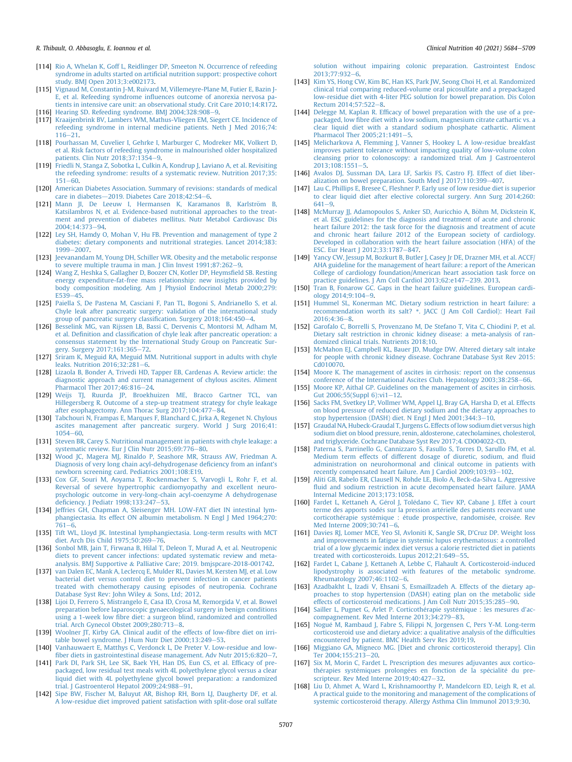- <span id="page-23-0"></span>[114] [Rio A, Whelan K, Goff L, Reidlinger DP, Smeeton N. Occurrence of refeeding](http://refhub.elsevier.com/S0261-5614(21)00456-8/sref114) syndrome in adults started on artifi[cial nutrition support: prospective cohort](http://refhub.elsevier.com/S0261-5614(21)00456-8/sref114) [study. BMJ Open 2013;3:e002173.](http://refhub.elsevier.com/S0261-5614(21)00456-8/sref114)
- <span id="page-23-1"></span>[115] [Vignaud M, Constantin J-M, Ruivard M, Villemeyre-Plane M, Futier E, Bazin J-](http://refhub.elsevier.com/S0261-5614(21)00456-8/sref115)E, et al. Refeeding syndrome infl[uences outcome of anorexia nervosa pa](http://refhub.elsevier.com/S0261-5614(21)00456-8/sref115)[tients in intensive care unit: an observational study. Crit Care 2010;14:R172](http://refhub.elsevier.com/S0261-5614(21)00456-8/sref115). [116] [Hearing SD. Refeeding syndrome. BMJ 2004;328:908](http://refhub.elsevier.com/S0261-5614(21)00456-8/sref116)-[9.](http://refhub.elsevier.com/S0261-5614(21)00456-8/sref116)
- [117] [Kraaijenbrink BV, Lambers WM, Mathus-Vliegen EM, Siegert CE. Incidence of](http://refhub.elsevier.com/S0261-5614(21)00456-8/sref117)
- [refeeding syndrome in internal medicine patients. Neth J Med 2016;74:](http://refhub.elsevier.com/S0261-5614(21)00456-8/sref117)  $116 - 21$  $116 - 21$
- <span id="page-23-2"></span>[118] [Pourhassan M, Cuvelier I, Gehrke I, Marburger C, Modreker MK, Volkert D,](http://refhub.elsevier.com/S0261-5614(21)00456-8/sref118) [et al. Risk factors of refeeding syndrome in malnourished older hospitalized](http://refhub.elsevier.com/S0261-5614(21)00456-8/sref118) patients. Clin Nutr 2018:37:1354-[9](http://refhub.elsevier.com/S0261-5614(21)00456-8/sref118).
- <span id="page-23-3"></span>[119] [Friedli N, Stanga Z, Sobotka L, Culkin A, Kondrup J, Laviano A, et al. Revisiting](http://refhub.elsevier.com/S0261-5614(21)00456-8/sref119) [the refeeding syndrome: results of a systematic review. Nutrition 2017;35:](http://refhub.elsevier.com/S0261-5614(21)00456-8/sref119)  $151 - 60.$  $151 - 60.$  $151 - 60.$
- <span id="page-23-4"></span>[120] [American Diabetes Association. Summary of revisions: standards of medical](http://refhub.elsevier.com/S0261-5614(21)00456-8/sref120) [care in diabetes](http://refhub.elsevier.com/S0261-5614(21)00456-8/sref120)-[2019. Diabetes Care 2018;42:S4](http://refhub.elsevier.com/S0261-5614(21)00456-8/sref120)-[6.](http://refhub.elsevier.com/S0261-5614(21)00456-8/sref120)
- <span id="page-23-5"></span>[121] Mann JI, De Leeuw I, Hermansen K, Karamanos B, Karlström B. [Katsilambros N, et al. Evidence-based nutritional approaches to the treat](http://refhub.elsevier.com/S0261-5614(21)00456-8/sref121)[ment and prevention of diabetes mellitus. Nutr Metabol Cardiovasc Dis](http://refhub.elsevier.com/S0261-5614(21)00456-8/sref121)  $2004:14:373-94$
- <span id="page-23-6"></span>[122] [Ley SH, Hamdy O, Mohan V, Hu FB. Prevention and management of type 2](http://refhub.elsevier.com/S0261-5614(21)00456-8/sref122) [diabetes: dietary components and nutritional strategies. Lancet 2014;383:](http://refhub.elsevier.com/S0261-5614(21)00456-8/sref122) [1999](http://refhub.elsevier.com/S0261-5614(21)00456-8/sref122)-[2007](http://refhub.elsevier.com/S0261-5614(21)00456-8/sref122)
- <span id="page-23-7"></span>[123] [Jeevanandam M, Young DH, Schiller WR. Obesity and the metabolic response](http://refhub.elsevier.com/S0261-5614(21)00456-8/sref123) [to severe multiple trauma in man. J Clin Invest 1991;87:262](http://refhub.elsevier.com/S0261-5614(21)00456-8/sref123)-[9](http://refhub.elsevier.com/S0261-5614(21)00456-8/sref123).
- <span id="page-23-8"></span>[124] [Wang Z, Heshka S, Gallagher D, Boozer CN, Kotler DP, Heyms](http://refhub.elsevier.com/S0261-5614(21)00456-8/sref124)field SB. Resting [energy expenditure-fat-free mass relationship: new insights provided by](http://refhub.elsevier.com/S0261-5614(21)00456-8/sref124) [body composition modeling. Am J Physiol Endocrinol Metab 2000;279:](http://refhub.elsevier.com/S0261-5614(21)00456-8/sref124)  $F539 - 45.$  $F539 - 45.$  $F539 - 45.$
- <span id="page-23-9"></span>[125] [Paiella S, De Pastena M, Casciani F, Pan TL, Bogoni S, Andrianello S, et al.](http://refhub.elsevier.com/S0261-5614(21)00456-8/sref125) [Chyle leak after pancreatic surgery: validation of the international study](http://refhub.elsevier.com/S0261-5614(21)00456-8/sref125) [group of pancreatic surgery classi](http://refhub.elsevier.com/S0261-5614(21)00456-8/sref125)fication. Surgery 2018;164:450-[4.](http://refhub.elsevier.com/S0261-5614(21)00456-8/sref125)
- <span id="page-23-10"></span>[126] [Besselink MG, van Rijssen LB, Bassi C, Dervenis C, Montorsi M, Adham M,](http://refhub.elsevier.com/S0261-5614(21)00456-8/sref126) et al. Definition and classifi[cation of chyle leak after pancreatic operation: a](http://refhub.elsevier.com/S0261-5614(21)00456-8/sref126) [consensus statement by the International Study Group on Pancreatic Sur-](http://refhub.elsevier.com/S0261-5614(21)00456-8/sref126)gery. Surgery 2017:161:365-[72](http://refhub.elsevier.com/S0261-5614(21)00456-8/sref126).
- <span id="page-23-11"></span>[127] [Sriram K, Meguid RA, Meguid MM. Nutritional support in adults with chyle](http://refhub.elsevier.com/S0261-5614(21)00456-8/sref127) leaks. Nutrition  $2016:32:281-6$  $2016:32:281-6$  $2016:32:281-6$ .
- <span id="page-23-12"></span>[128] [Lizaola B, Bonder A, Trivedi HD, Tapper EB, Cardenas A. Review article: the](http://refhub.elsevier.com/S0261-5614(21)00456-8/sref128) [diagnostic approach and current management of chylous ascites. Aliment](http://refhub.elsevier.com/S0261-5614(21)00456-8/sref128) [Pharmacol Ther 2017;46:816](http://refhub.elsevier.com/S0261-5614(21)00456-8/sref128)-[24](http://refhub.elsevier.com/S0261-5614(21)00456-8/sref128).
- <span id="page-23-13"></span>[129] [Weijs TJ, Ruurda JP, Broekhuizen ME, Bracco Gartner TCL, van](http://refhub.elsevier.com/S0261-5614(21)00456-8/sref129) [Hillegersberg R. Outcome of a step-up treatment strategy for chyle leakage](http://refhub.elsevier.com/S0261-5614(21)00456-8/sref129) [after esophagectomy. Ann Thorac Surg 2017;104:477](http://refhub.elsevier.com/S0261-5614(21)00456-8/sref129)-[84](http://refhub.elsevier.com/S0261-5614(21)00456-8/sref129).
- <span id="page-23-14"></span>[130] [Tabchouri N, Frampas E, Marques F, Blanchard C, Jirka A, Regenet N. Chylous](http://refhub.elsevier.com/S0261-5614(21)00456-8/sref130) [ascites management after pancreatic surgery. World J Surg 2016;41:](http://refhub.elsevier.com/S0261-5614(21)00456-8/sref130)  $1054 - 60.$  $1054 - 60.$  $1054 - 60.$  $1054 - 60.$
- <span id="page-23-15"></span>[131] [Steven BR, Carey S. Nutritional management in patients with chyle leakage: a](http://refhub.elsevier.com/S0261-5614(21)00456-8/sref131) [systematic review. Eur J Clin Nutr 2015;69:776](http://refhub.elsevier.com/S0261-5614(21)00456-8/sref131)-[80.](http://refhub.elsevier.com/S0261-5614(21)00456-8/sref131)
- <span id="page-23-16"></span>[132] [Wood JC, Magera MJ, Rinaldo P, Seashore MR, Strauss AW, Friedman A.](http://refhub.elsevier.com/S0261-5614(21)00456-8/sref132) [Diagnosis of very long chain acyl-dehydrogenase de](http://refhub.elsevier.com/S0261-5614(21)00456-8/sref132)ficiency from an infant's [newborn screening card. Pediatrics 2001;108:E19.](http://refhub.elsevier.com/S0261-5614(21)00456-8/sref132)
- <span id="page-23-17"></span>[133] [Cox GF, Souri M, Aoyama T, Rockenmacher S, Varvogli L, Rohr F, et al.](http://refhub.elsevier.com/S0261-5614(21)00456-8/sref133) [Reversal of severe hypertrophic cardiomyopathy and excellent neuro](http://refhub.elsevier.com/S0261-5614(21)00456-8/sref133)[psychologic outcome in very-long-chain acyl-coenzyme A dehydrogenase](http://refhub.elsevier.com/S0261-5614(21)00456-8/sref133) defi[ciency. J Pediatr 1998;133:247](http://refhub.elsevier.com/S0261-5614(21)00456-8/sref133)-[53](http://refhub.elsevier.com/S0261-5614(21)00456-8/sref133).
- <span id="page-23-18"></span>[134] [Jeffries GH, Chapman A, Sleisenger MH. LOW-FAT diet IN intestinal lym](http://refhub.elsevier.com/S0261-5614(21)00456-8/sref134)[phangiectasia. Its effect ON albumin metabolism. N Engl J Med 1964;270:](http://refhub.elsevier.com/S0261-5614(21)00456-8/sref134)  $761 - 6$  $761 - 6$
- <span id="page-23-19"></span>[135] [Tift WL, Lloyd JK. Intestinal lymphangiectasia. Long-term results with MCT](http://refhub.elsevier.com/S0261-5614(21)00456-8/sref135) [diet. Arch Dis Child 1975;50:269](http://refhub.elsevier.com/S0261-5614(21)00456-8/sref135)-[76](http://refhub.elsevier.com/S0261-5614(21)00456-8/sref135).
- <span id="page-23-20"></span>[136] [Sonbol MB, Jain T, Firwana B, Hilal T, Deleon T, Murad A, et al. Neutropenic](http://refhub.elsevier.com/S0261-5614(21)00456-8/sref136) [diets to prevent cancer infections: updated systematic review and meta](http://refhub.elsevier.com/S0261-5614(21)00456-8/sref136)[analysis. BMJ Supportive](http://refhub.elsevier.com/S0261-5614(21)00456-8/sref136) & [Palliative Care; 2019. bmjspcare-2018-001742.](http://refhub.elsevier.com/S0261-5614(21)00456-8/sref136)
- <span id="page-23-21"></span>[137] [van Dalen EC, Mank A, Leclercq E, Mulder RL, Davies M, Kersten MJ, et al. Low](http://refhub.elsevier.com/S0261-5614(21)00456-8/sref137) [bacterial diet versus control diet to prevent infection in cancer patients](http://refhub.elsevier.com/S0261-5614(21)00456-8/sref137) [treated with chemotherapy causing episodes of neutropenia. Cochrane](http://refhub.elsevier.com/S0261-5614(21)00456-8/sref137) [Database Syst Rev: John Wiley](http://refhub.elsevier.com/S0261-5614(21)00456-8/sref137) & [Sons, Ltd; 2012.](http://refhub.elsevier.com/S0261-5614(21)00456-8/sref137)
- <span id="page-23-22"></span>[138] [Lijoi D, Ferrero S, Mistrangelo E, Casa ID, Crosa M, Remorgida V, et al. Bowel](http://refhub.elsevier.com/S0261-5614(21)00456-8/sref138) [preparation before laparoscopic gynaecological surgery in benign conditions](http://refhub.elsevier.com/S0261-5614(21)00456-8/sref138) using a 1-week low fi[bre diet: a surgeon blind, randomized and controlled](http://refhub.elsevier.com/S0261-5614(21)00456-8/sref138) [trial. Arch Gynecol Obstet 2009;280:713](http://refhub.elsevier.com/S0261-5614(21)00456-8/sref138)-[8.](http://refhub.elsevier.com/S0261-5614(21)00456-8/sref138)
- <span id="page-23-26"></span>[139] [Woolner JT, Kirby GA. Clinical audit of the effects of low-](http://refhub.elsevier.com/S0261-5614(21)00456-8/sref139)fibre diet on irri[table bowel syndrome. J Hum Nutr Diet 2000;13:249](http://refhub.elsevier.com/S0261-5614(21)00456-8/sref139)-[53](http://refhub.elsevier.com/S0261-5614(21)00456-8/sref139).
- [140] [Vanhauwaert E, Matthys C, Verdonck L, De Preter V. Low-residue and low](http://refhub.elsevier.com/S0261-5614(21)00456-8/sref140)fi[ber diets in gastrointestinal disease management. Adv Nutr 2015;6:820](http://refhub.elsevier.com/S0261-5614(21)00456-8/sref140)-[7](http://refhub.elsevier.com/S0261-5614(21)00456-8/sref140).
- <span id="page-23-23"></span>[141] [Park DI, Park SH, Lee SK, Baek YH, Han DS, Eun CS, et al. Ef](http://refhub.elsevier.com/S0261-5614(21)00456-8/sref141)ficacy of pre[packaged, low residual test meals with 4L polyethylene glycol versus a clear](http://refhub.elsevier.com/S0261-5614(21)00456-8/sref141) [liquid diet with 4L polyethylene glycol bowel preparation: a randomized](http://refhub.elsevier.com/S0261-5614(21)00456-8/sref141) [trial. J Gastroenterol Hepatol 2009;24:988](http://refhub.elsevier.com/S0261-5614(21)00456-8/sref141)-[91.](http://refhub.elsevier.com/S0261-5614(21)00456-8/sref141)
- [142] [Sipe BW, Fischer M, Baluyut AR, Bishop RH, Born LJ, Daugherty DF, et al.](http://refhub.elsevier.com/S0261-5614(21)00456-8/sref142) [A low-residue diet improved patient satisfaction with split-dose oral sulfate](http://refhub.elsevier.com/S0261-5614(21)00456-8/sref142)

[solution without impairing colonic preparation. Gastrointest Endosc](http://refhub.elsevier.com/S0261-5614(21)00456-8/sref142)  $2013:77:932 - 6$  $2013:77:932 - 6$ 

- [143] [Kim YS, Hong CW, Kim BC, Han KS, Park JW, Seong Choi H, et al. Randomized](http://refhub.elsevier.com/S0261-5614(21)00456-8/sref143) [clinical trial comparing reduced-volume oral picosulfate and a prepackaged](http://refhub.elsevier.com/S0261-5614(21)00456-8/sref143) [low-residue diet with 4-liter PEG solution for bowel preparation. Dis Colon](http://refhub.elsevier.com/S0261-5614(21)00456-8/sref143) [Rectum 2014;57:522](http://refhub.elsevier.com/S0261-5614(21)00456-8/sref143)-[8](http://refhub.elsevier.com/S0261-5614(21)00456-8/sref143).
- [144] Delegge M, Kaplan R. Effi[cacy of bowel preparation with the use of a pre](http://refhub.elsevier.com/S0261-5614(21)00456-8/sref144)packaged, low fi[bre diet with a low sodium, magnesium citrate cathartic vs. a](http://refhub.elsevier.com/S0261-5614(21)00456-8/sref144) [clear liquid diet with a standard sodium phosphate cathartic. Aliment](http://refhub.elsevier.com/S0261-5614(21)00456-8/sref144) Pharmacol Ther  $2005;21:1491-5$  $2005;21:1491-5$  $2005;21:1491-5$ .
- [145] [Melicharkova A, Flemming J, Vanner S, Hookey L. A low-residue breakfast](http://refhub.elsevier.com/S0261-5614(21)00456-8/sref145) [improves patient tolerance without impacting quality of low-volume colon](http://refhub.elsevier.com/S0261-5614(21)00456-8/sref145) [cleansing prior to colonoscopy: a randomized trial. Am J Gastroenterol](http://refhub.elsevier.com/S0261-5614(21)00456-8/sref145)  $2013:108:1551-5$
- <span id="page-23-24"></span>[146] [Avalos DJ, Sussman DA, Lara LF, Sarkis FS, Castro FJ. Effect of diet liber](http://refhub.elsevier.com/S0261-5614(21)00456-8/sref146)[alization on bowel preparation. South Med J 2017;110:399](http://refhub.elsevier.com/S0261-5614(21)00456-8/sref146)-[407](http://refhub.elsevier.com/S0261-5614(21)00456-8/sref146).
- <span id="page-23-25"></span>[147] [Lau C, Phillips E, Bresee C, Fleshner P. Early use of low residue diet is superior](http://refhub.elsevier.com/S0261-5614(21)00456-8/sref147) [to clear liquid diet after elective colorectal surgery. Ann Surg 2014;260:](http://refhub.elsevier.com/S0261-5614(21)00456-8/sref147)  $641 - 9$  $641 - 9$
- <span id="page-23-27"></span>[148] McMurray JJ, Adamopoulos S, Anker SD, Auricchio A, Böhm M, Dickstein K, [et al. ESC guidelines for the diagnosis and treatment of acute and chronic](http://refhub.elsevier.com/S0261-5614(21)00456-8/sref148) [heart failure 2012: the task force for the diagnosis and treatment of acute](http://refhub.elsevier.com/S0261-5614(21)00456-8/sref148) [and chronic heart failure 2012 of the European society of cardiology.](http://refhub.elsevier.com/S0261-5614(21)00456-8/sref148) [Developed in collaboration with the heart failure association \(HFA\) of the](http://refhub.elsevier.com/S0261-5614(21)00456-8/sref148) [ESC. Eur Heart J 2012;33:1787](http://refhub.elsevier.com/S0261-5614(21)00456-8/sref148)-[847](http://refhub.elsevier.com/S0261-5614(21)00456-8/sref148).
- <span id="page-23-28"></span>[149] [Yancy CW, Jessup M, Bozkurt B, Butler J, Casey Jr DE, Drazner MH, et al. ACCF/](http://refhub.elsevier.com/S0261-5614(21)00456-8/sref149) [AHA guideline for the management of heart failure: a report of the American](http://refhub.elsevier.com/S0261-5614(21)00456-8/sref149) [College of cardiology foundation/American heart association task force on](http://refhub.elsevier.com/S0261-5614(21)00456-8/sref149) [practice guidelines. J Am Coll Cardiol 2013;62:e147](http://refhub.elsevier.com/S0261-5614(21)00456-8/sref149)-[239. 2013](http://refhub.elsevier.com/S0261-5614(21)00456-8/sref149).
- <span id="page-23-29"></span>[150] [Tran B, Fonarow GC. Gaps in the heart failure guidelines. European cardi](http://refhub.elsevier.com/S0261-5614(21)00456-8/sref150)[ology 2014;9:104](http://refhub.elsevier.com/S0261-5614(21)00456-8/sref150)-[9](http://refhub.elsevier.com/S0261-5614(21)00456-8/sref150).
- <span id="page-23-30"></span>[151] [Hummel SL, Konerman MC. Dietary sodium restriction in heart failure: a](http://refhub.elsevier.com/S0261-5614(21)00456-8/sref151) [recommendation worth its salt?](http://refhub.elsevier.com/S0261-5614(21)00456-8/sref151) \*[. JACC \(J Am Coll Cardiol\): Heart Fail](http://refhub.elsevier.com/S0261-5614(21)00456-8/sref151)  $2016:4:36-8$
- <span id="page-23-31"></span>[152] [Garofalo C, Borrelli S, Provenzano M, De Stefano T, Vita C, Chiodini P, et al.](http://refhub.elsevier.com/S0261-5614(21)00456-8/sref152) [Dietary salt restriction in chronic kidney disease: a meta-analysis of ran](http://refhub.elsevier.com/S0261-5614(21)00456-8/sref152)[domized clinical trials. Nutrients 2018;10.](http://refhub.elsevier.com/S0261-5614(21)00456-8/sref152)
- <span id="page-23-32"></span>[153] [McMahon EJ, Campbell KL, Bauer JD, Mudge DW. Altered dietary salt intake](http://refhub.elsevier.com/S0261-5614(21)00456-8/sref153) [for people with chronic kidney disease. Cochrane Database Syst Rev 2015:](http://refhub.elsevier.com/S0261-5614(21)00456-8/sref153) [Cd010070](http://refhub.elsevier.com/S0261-5614(21)00456-8/sref153).
- <span id="page-23-33"></span>[154] [Moore K. The management of ascites in cirrhosis: report on the consensus](http://refhub.elsevier.com/S0261-5614(21)00456-8/sref154) [conference of the International Ascites Club. Hepatology 2003;38:258](http://refhub.elsevier.com/S0261-5614(21)00456-8/sref154)-[66](http://refhub.elsevier.com/S0261-5614(21)00456-8/sref154).
- <span id="page-23-34"></span>[155] [Moore KP, Aithal GP. Guidelines on the management of ascites in cirrhosis.](http://refhub.elsevier.com/S0261-5614(21)00456-8/sref155) [Gut 2006;55\(Suppl 6\):vi1](http://refhub.elsevier.com/S0261-5614(21)00456-8/sref155)-[12](http://refhub.elsevier.com/S0261-5614(21)00456-8/sref155).
- <span id="page-23-35"></span>[156] [Sacks FM, Svetkey LP, Vollmer WM, Appel LJ, Bray GA, Harsha D, et al. Effects](http://refhub.elsevier.com/S0261-5614(21)00456-8/sref156) [on blood pressure of reduced dietary sodium and the dietary approaches to](http://refhub.elsevier.com/S0261-5614(21)00456-8/sref156) [stop hypertension \(DASH\) diet. N Engl J Med 2001;344:3](http://refhub.elsevier.com/S0261-5614(21)00456-8/sref156)-[10](http://refhub.elsevier.com/S0261-5614(21)00456-8/sref156).
- <span id="page-23-36"></span>[157] [Graudal NA, Hubeck-Graudal T, Jurgens G. Effects of low sodium diet versus high](http://refhub.elsevier.com/S0261-5614(21)00456-8/sref157) [sodium diet on blood pressure, renin, aldosterone, catecholamines, cholesterol,](http://refhub.elsevier.com/S0261-5614(21)00456-8/sref157) [and triglyceride. Cochrane Database Syst Rev 2017;4. CD004022-CD](http://refhub.elsevier.com/S0261-5614(21)00456-8/sref157).
- <span id="page-23-37"></span>[158] [Paterna S, Parrinello G, Cannizzaro S, Fasullo S, Torres D, Sarullo FM, et al.](http://refhub.elsevier.com/S0261-5614(21)00456-8/sref158) [Medium term effects of different dosage of diuretic, sodium, and](http://refhub.elsevier.com/S0261-5614(21)00456-8/sref158) fluid [administration on neurohormonal and clinical outcome in patients with](http://refhub.elsevier.com/S0261-5614(21)00456-8/sref158) recently compensated heart failure. Am J Cardiol  $2009;103:93-102$  $2009;103:93-102$ .
- <span id="page-23-38"></span>[159] [Aliti GB, Rabelo ER, Clausell N, Rohde LE, Biolo A, Beck-da-Silva L. Aggressive](http://refhub.elsevier.com/S0261-5614(21)00456-8/sref159) fl[uid and sodium restriction in acute decompensated heart failure. JAMA](http://refhub.elsevier.com/S0261-5614(21)00456-8/sref159) [Internal Medicine 2013;173:1058](http://refhub.elsevier.com/S0261-5614(21)00456-8/sref159).
- <span id="page-23-39"></span>[160] Fardet L, Kettaneh A, Gérol J, Tolé[dano C, Tiev KP, Cabane J. Effet](http://refhub.elsevier.com/S0261-5614(21)00456-8/sref160) à [court](http://refhub.elsevier.com/S0261-5614(21)00456-8/sref160) terme des apports sodés sur la pression arté[rielle des patients recevant une](http://refhub.elsevier.com/S0261-5614(21)00456-8/sref160) corticothérapie systémique : é[tude prospective, randomis](http://refhub.elsevier.com/S0261-5614(21)00456-8/sref160)ée, croisée. Rev [Med Interne 2009;30:741](http://refhub.elsevier.com/S0261-5614(21)00456-8/sref160)-[6](http://refhub.elsevier.com/S0261-5614(21)00456-8/sref160).
- <span id="page-23-40"></span>[161] [Davies RJ, Lomer MCE, Yeo SI, Avloniti K, Sangle SR, D'Cruz DP. Weight loss](http://refhub.elsevier.com/S0261-5614(21)00456-8/sref161) [and improvements in fatigue in systemic lupus erythematosus: a controlled](http://refhub.elsevier.com/S0261-5614(21)00456-8/sref161) [trial of a low glycaemic index diet versus a calorie restricted diet in patients](http://refhub.elsevier.com/S0261-5614(21)00456-8/sref161) [treated with corticosteroids. Lupus 2012;21:649](http://refhub.elsevier.com/S0261-5614(21)00456-8/sref161)-[55.](http://refhub.elsevier.com/S0261-5614(21)00456-8/sref161)
- <span id="page-23-41"></span>[162] [Fardet L, Cabane J, Kettaneh A, Lebbe C, Flahault A. Corticosteroid-induced](http://refhub.elsevier.com/S0261-5614(21)00456-8/sref162) [lipodystrophy is associated with features of the metabolic syndrome.](http://refhub.elsevier.com/S0261-5614(21)00456-8/sref162) [Rheumatology 2007;46:1102](http://refhub.elsevier.com/S0261-5614(21)00456-8/sref162)-[6](http://refhub.elsevier.com/S0261-5614(21)00456-8/sref162).
- <span id="page-23-42"></span>[163] [Azadbakht L, Izadi V, Ehsani S, Esmaillzadeh A. Effects of the dietary ap](http://refhub.elsevier.com/S0261-5614(21)00456-8/sref163)[proaches to stop hypertension \(DASH\) eating plan on the metabolic side](http://refhub.elsevier.com/S0261-5614(21)00456-8/sref163) [effects of corticosteroid medications. J Am Coll Nutr 2015;35:285](http://refhub.elsevier.com/S0261-5614(21)00456-8/sref163)-[90](http://refhub.elsevier.com/S0261-5614(21)00456-8/sref163).
- <span id="page-23-43"></span>[164] Sailler L, Pugnet G, Arlet P. Corticothérapie systé[mique : les mesures d](http://refhub.elsevier.com/S0261-5614(21)00456-8/sref164)'ac[compagnement. Rev Med Interne 2013;34:279](http://refhub.elsevier.com/S0261-5614(21)00456-8/sref164)-[83](http://refhub.elsevier.com/S0261-5614(21)00456-8/sref164).
- <span id="page-23-44"></span>[165] Nogué M, Rambaud J, Fabre S, Filippi N, Jorgensen C, Pers Y-M. Long-term [corticosteroid use and dietary advice: a qualitative analysis of the dif](http://refhub.elsevier.com/S0261-5614(21)00456-8/sref165)ficulties [encountered by patient. BMC Health Serv Res 2019;19.](http://refhub.elsevier.com/S0261-5614(21)00456-8/sref165)
- <span id="page-23-45"></span>[166] [Miggiano GA, Migneco MG. \[Diet and chronic corticosteroid therapy\]. Clin](http://refhub.elsevier.com/S0261-5614(21)00456-8/sref166) [Ter 2004;155:213](http://refhub.elsevier.com/S0261-5614(21)00456-8/sref166)-[20.](http://refhub.elsevier.com/S0261-5614(21)00456-8/sref166)
- <span id="page-23-46"></span>[167] [Six M, Morin C, Fardet L. Prescription des mesures adjuvantes aux cortico](http://refhub.elsevier.com/S0261-5614(21)00456-8/sref167)[th](http://refhub.elsevier.com/S0261-5614(21)00456-8/sref167)é[rapies syst](http://refhub.elsevier.com/S0261-5614(21)00456-8/sref167)émiques prolongé[es en fonction de la sp](http://refhub.elsevier.com/S0261-5614(21)00456-8/sref167)écialité [du pre](http://refhub.elsevier.com/S0261-5614(21)00456-8/sref167) scripteur. Rev Med Interne  $2019;40:427-32$  $2019;40:427-32$ .
- <span id="page-23-47"></span>[168] [Liu D, Ahmet A, Ward L, Krishnamoorthy P, Mandelcorn ED, Leigh R, et al.](http://refhub.elsevier.com/S0261-5614(21)00456-8/sref168) [A practical guide to the monitoring and management of the complications of](http://refhub.elsevier.com/S0261-5614(21)00456-8/sref168) [systemic corticosteroid therapy. Allergy Asthma Clin Immunol 2013;9:30.](http://refhub.elsevier.com/S0261-5614(21)00456-8/sref168)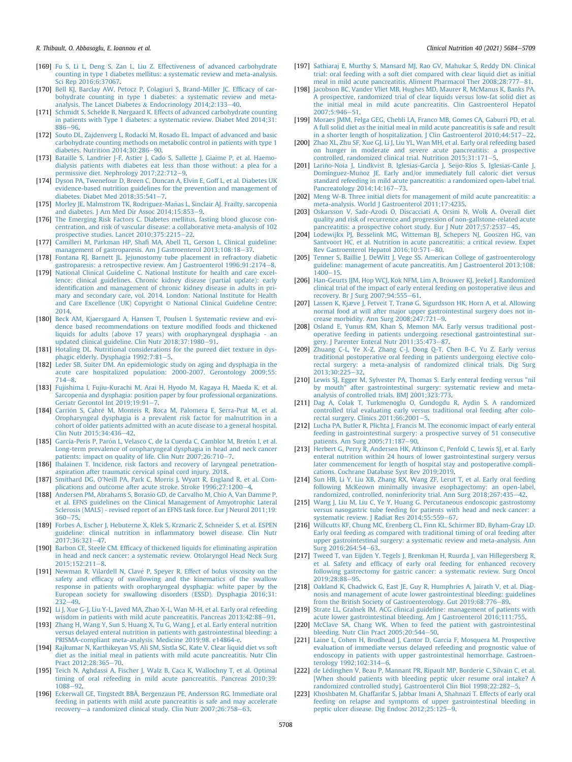#### R. Thibault, O. Abbasoglu, E. Ioannou et al. Clinical Nutrition 40 (2021) 5684-5709

- <span id="page-24-0"></span>[169] [Fu S, Li L, Deng S, Zan L, Liu Z. Effectiveness of advanced carbohydrate](http://refhub.elsevier.com/S0261-5614(21)00456-8/sref169) [counting in type 1 diabetes mellitus: a systematic review and meta-analysis.](http://refhub.elsevier.com/S0261-5614(21)00456-8/sref169) [Sci Rep 2016;6:37067.](http://refhub.elsevier.com/S0261-5614(21)00456-8/sref169)
- [170] [Bell KJ, Barclay AW, Petocz P, Colagiuri S, Brand-Miller JC. Ef](http://refhub.elsevier.com/S0261-5614(21)00456-8/sref170)ficacy of car[bohydrate counting in type 1 diabetes: a systematic review and meta](http://refhub.elsevier.com/S0261-5614(21)00456-8/sref170)[analysis. The Lancet Diabetes](http://refhub.elsevier.com/S0261-5614(21)00456-8/sref170)  $\&$  [Endocrinology 2014;2:133](http://refhub.elsevier.com/S0261-5614(21)00456-8/sref170)-[40.](http://refhub.elsevier.com/S0261-5614(21)00456-8/sref170)
- [171] Schmidt S, Schelde B, Nørgaard K, Effects of advanced carbohydrate counting [in patients with Type 1 diabetes: a systematic review. Diabet Med 2014;31:](http://refhub.elsevier.com/S0261-5614(21)00456-8/sref171)  $886 - 96$  $886 - 96$
- [172] [Souto DL, Zajdenverg L, Rodacki M, Rosado EL. Impact of advanced and basic](http://refhub.elsevier.com/S0261-5614(21)00456-8/sref172) [carbohydrate counting methods on metabolic control in patients with type 1](http://refhub.elsevier.com/S0261-5614(21)00456-8/sref172) diabetes. Nutrition  $2014;30:286-90$  $2014;30:286-90$ .
- <span id="page-24-1"></span>[173] [Bataille S, Landrier J-F, Astier J, Cado S, Sallette J, Giaime P, et al. Haemo](http://refhub.elsevier.com/S0261-5614(21)00456-8/sref173)[dialysis patients with diabetes eat less than those without: a plea for a](http://refhub.elsevier.com/S0261-5614(21)00456-8/sref173) [permissive diet. Nephrology 2017;22:712](http://refhub.elsevier.com/S0261-5614(21)00456-8/sref173)-[9](http://refhub.elsevier.com/S0261-5614(21)00456-8/sref173).
- <span id="page-24-2"></span>[174] [Dyson PA, Twenefour D, Breen C, Duncan A, Elvin E, Goff L, et al. Diabetes UK](http://refhub.elsevier.com/S0261-5614(21)00456-8/sref174) [evidence-based nutrition guidelines for the prevention and management of](http://refhub.elsevier.com/S0261-5614(21)00456-8/sref174) diabetes. Diabet Med  $2018:35:541-7$ .
- <span id="page-24-3"></span>[175] Morley JE, Malmstrom TK, Rodriguez-Mañas L, Sinclair AJ. Frailty, sarcopenia and diabetes. J Am Med Dir Assoc  $2014:15:853-9$  $2014:15:853-9$ .
- <span id="page-24-4"></span>[176] [The Emerging Risk Factors C. Diabetes mellitus, fasting blood glucose con](http://refhub.elsevier.com/S0261-5614(21)00456-8/sref176)[centration, and risk of vascular disease: a collaborative meta-analysis of 102](http://refhub.elsevier.com/S0261-5614(21)00456-8/sref176) prospective studies. Lancet  $2010;375:2215-22$ .
- <span id="page-24-5"></span>[177] Camilleri M, Parkman HP, Shafi [MA, Abell TL, Gerson L. Clinical guideline:](http://refhub.elsevier.com/S0261-5614(21)00456-8/sref177) [management of gastroparesis. Am J Gastroenterol 2013;108:18](http://refhub.elsevier.com/S0261-5614(21)00456-8/sref177)-[37](http://refhub.elsevier.com/S0261-5614(21)00456-8/sref177).
- <span id="page-24-6"></span>[178] [Fontana RJ, Barnett JL. Jejunostomy tube placement in refractory diabetic](http://refhub.elsevier.com/S0261-5614(21)00456-8/sref178) [gastroparesis: a retrospective review. Am J Gastroenterol 1996;91:2174](http://refhub.elsevier.com/S0261-5614(21)00456-8/sref178)-[8.](http://refhub.elsevier.com/S0261-5614(21)00456-8/sref178)<br>[179] [National Clinical Guideline C. National Institute for health and care excel-](http://refhub.elsevier.com/S0261-5614(21)00456-8/sref179)
- <span id="page-24-7"></span>[lence: clinical guidelines. Chronic kidney disease \(partial update\): early](http://refhub.elsevier.com/S0261-5614(21)00456-8/sref179) identifi[cation and management of chronic kidney disease in adults in pri](http://refhub.elsevier.com/S0261-5614(21)00456-8/sref179)[mary and secondary care, vol. 2014. London: National Institute for Health](http://refhub.elsevier.com/S0261-5614(21)00456-8/sref179) [and Care Excellence \(UK\) Copyright](http://refhub.elsevier.com/S0261-5614(21)00456-8/sref179) © National Clinical Guideline Centre; [2014.](http://refhub.elsevier.com/S0261-5614(21)00456-8/sref179)
- <span id="page-24-8"></span>[180] [Beck AM, Kjaersgaard A, Hansen T, Poulsen I. Systematic review and evi](http://refhub.elsevier.com/S0261-5614(21)00456-8/sref180)[dence based recommendations on texture modi](http://refhub.elsevier.com/S0261-5614(21)00456-8/sref180)fied foods and thickened [liquids for adults \(above 17 years\) with oropharyngeal dysphagia - an](http://refhub.elsevier.com/S0261-5614(21)00456-8/sref180) [updated clinical guideline. Clin Nutr 2018;37:1980](http://refhub.elsevier.com/S0261-5614(21)00456-8/sref180)-[91.](http://refhub.elsevier.com/S0261-5614(21)00456-8/sref180)
- <span id="page-24-9"></span>[181] [Hotaling DL. Nutritional considerations for the pureed diet texture in dys](http://refhub.elsevier.com/S0261-5614(21)00456-8/sref181)[phagic elderly. Dysphagia 1992;7:81](http://refhub.elsevier.com/S0261-5614(21)00456-8/sref181)-[5](http://refhub.elsevier.com/S0261-5614(21)00456-8/sref181).
- <span id="page-24-10"></span>[182] [Leder SB, Suiter DM. An epidemiologic study on aging and dysphagia in the](http://refhub.elsevier.com/S0261-5614(21)00456-8/sref182) [acute care hospitalized population: 2000-2007. Gerontology 2009;55:](http://refhub.elsevier.com/S0261-5614(21)00456-8/sref182)  $714 - 8$  $714 - 8$
- <span id="page-24-11"></span>[183] [Fujishima I, Fujiu-Kurachi M, Arai H, Hyodo M, Kagaya H, Maeda K, et al.](http://refhub.elsevier.com/S0261-5614(21)00456-8/sref183) [Sarcopenia and dysphagia: position paper by four professional organizations.](http://refhub.elsevier.com/S0261-5614(21)00456-8/sref183) Geriatr Gerontol Int  $2019:19:91-7$  $2019:19:91-7$ .
- <span id="page-24-12"></span>[184] Carrión S, Cabré [M, Monteis R, Roca M, Palomera E, Serra-Prat M, et al.](http://refhub.elsevier.com/S0261-5614(21)00456-8/sref184) [Oropharyngeal dysphagia is a prevalent risk factor for malnutrition in a](http://refhub.elsevier.com/S0261-5614(21)00456-8/sref184) [cohort of older patients admitted with an acute disease to a general hospital.](http://refhub.elsevier.com/S0261-5614(21)00456-8/sref184) [Clin Nutr 2015;34:436](http://refhub.elsevier.com/S0261-5614(21)00456-8/sref184)-[42](http://refhub.elsevier.com/S0261-5614(21)00456-8/sref184).
- [185] [García-Peris P, Par](http://refhub.elsevier.com/S0261-5614(21)00456-8/sref185)ó[n L, Velasco C, de la Cuerda C, Camblor M, Bret](http://refhub.elsevier.com/S0261-5614(21)00456-8/sref185)ó[n I, et al.](http://refhub.elsevier.com/S0261-5614(21)00456-8/sref185) [Long-term prevalence of oropharyngeal dysphagia in head and neck cancer](http://refhub.elsevier.com/S0261-5614(21)00456-8/sref185) atients: impact on quality of life. Clin Nutr 2007;26:710-7
- <span id="page-24-13"></span>[186] [Ihalainen T. Incidence, risk factors and recovery of laryngeal penetration](http://refhub.elsevier.com/S0261-5614(21)00456-8/sref186)[aspiration after traumatic cervical spinal cord injury. 2018](http://refhub.elsevier.com/S0261-5614(21)00456-8/sref186).
- [187] [Smithard DG, O'Neill PA, Park C, Morris J, Wyatt R, England R, et al. Com](http://refhub.elsevier.com/S0261-5614(21)00456-8/sref187)[plications and outcome after acute stroke. Stroke 1996;27:1200](http://refhub.elsevier.com/S0261-5614(21)00456-8/sref187)-[4.](http://refhub.elsevier.com/S0261-5614(21)00456-8/sref187)
- <span id="page-24-14"></span>[188] [Andersen PM, Abrahams S, Borasio GD, de Carvalho M, Chio A, Van Damme P,](http://refhub.elsevier.com/S0261-5614(21)00456-8/sref188) [et al. EFNS guidelines on the Clinical Management of Amyotrophic Lateral](http://refhub.elsevier.com/S0261-5614(21)00456-8/sref188) [Sclerosis \(MALS\) - revised report of an EFNS task force. Eur J Neurol 2011;19:](http://refhub.elsevier.com/S0261-5614(21)00456-8/sref188)  $360 - 75.$  $360 - 75.$  $360 - 75.$
- <span id="page-24-15"></span>[189] [Forbes A, Escher J, Hebuterne X, Klek S, Krznaric Z, Schneider S, et al. ESPEN](http://refhub.elsevier.com/S0261-5614(21)00456-8/sref189) guideline: clinical nutrition in infl[ammatory bowel disease. Clin Nutr](http://refhub.elsevier.com/S0261-5614(21)00456-8/sref189) 2017:36:321-[47.](http://refhub.elsevier.com/S0261-5614(21)00456-8/sref189)
- <span id="page-24-16"></span>[190] Barbon CE, Steele CM, Effi[cacy of thickened liquids for eliminating aspiration](http://refhub.elsevier.com/S0261-5614(21)00456-8/sref190) [in head and neck cancer: a systematic review. Otolaryngol Head Neck Surg](http://refhub.elsevier.com/S0261-5614(21)00456-8/sref190) [2015;152:211](http://refhub.elsevier.com/S0261-5614(21)00456-8/sref190)-[8.](http://refhub.elsevier.com/S0261-5614(21)00456-8/sref190)
- <span id="page-24-17"></span>[191] [Newman R, Vilardell N, Clav](http://refhub.elsevier.com/S0261-5614(21)00456-8/sref191)é [P, Speyer R. Effect of bolus viscosity on the](http://refhub.elsevier.com/S0261-5614(21)00456-8/sref191) safety and effi[cacy of swallowing and the kinematics of the swallow](http://refhub.elsevier.com/S0261-5614(21)00456-8/sref191) [response in patients with oropharyngeal dysphagia: white paper by the](http://refhub.elsevier.com/S0261-5614(21)00456-8/sref191) [European society for swallowing disorders \(ESSD\). Dysphagia 2016;31:](http://refhub.elsevier.com/S0261-5614(21)00456-8/sref191)  $232 - 49.$  $232 - 49.$  $232 - 49.$
- <span id="page-24-18"></span>[192] [Li J, Xue G-J, Liu Y-L, Javed MA, Zhao X-L, Wan M-H, et al. Early oral refeeding](http://refhub.elsevier.com/S0261-5614(21)00456-8/sref192) [wisdom in patients with mild acute pancreatitis. Pancreas 2013;42:88](http://refhub.elsevier.com/S0261-5614(21)00456-8/sref192)-[91](http://refhub.elsevier.com/S0261-5614(21)00456-8/sref192).
- <span id="page-24-19"></span>[193] [Zhang H, Wang Y, Sun S, Huang X, Tu G, Wang J, et al. Early enteral nutrition](http://refhub.elsevier.com/S0261-5614(21)00456-8/sref193) [versus delayed enteral nutrition in patients with gastrointestinal bleeding: a](http://refhub.elsevier.com/S0261-5614(21)00456-8/sref193) [PRISMA-compliant meta-analysis. Medicine 2019;98. e14864-e](http://refhub.elsevier.com/S0261-5614(21)00456-8/sref193).
- <span id="page-24-20"></span>[194] [Rajkumar N, Karthikeyan VS, Ali SM, Sistla SC, Kate V. Clear liquid diet vs soft](http://refhub.elsevier.com/S0261-5614(21)00456-8/sref194) [diet as the initial meal in patients with mild acute pancreatitis. Nutr Clin](http://refhub.elsevier.com/S0261-5614(21)00456-8/sref194) [Pract 2012;28:365](http://refhub.elsevier.com/S0261-5614(21)00456-8/sref194)-[70](http://refhub.elsevier.com/S0261-5614(21)00456-8/sref194).
- [195] [Teich N, Aghdassi A, Fischer J, Walz B, Caca K, Wallochny T, et al. Optimal](http://refhub.elsevier.com/S0261-5614(21)00456-8/sref195) [timing of oral refeeding in mild acute pancreatitis. Pancreas 2010;39:](http://refhub.elsevier.com/S0261-5614(21)00456-8/sref195) [1088](http://refhub.elsevier.com/S0261-5614(21)00456-8/sref195)-[92](http://refhub.elsevier.com/S0261-5614(21)00456-8/sref195).
- [196] [Eckerwall GE, Tingstedt BBÅ, Bergenzaun PE, Andersson RG. Immediate oral](http://refhub.elsevier.com/S0261-5614(21)00456-8/sref196) [feeding in patients with mild acute pancreatitis is safe and may accelerate](http://refhub.elsevier.com/S0261-5614(21)00456-8/sref196) [recovery](http://refhub.elsevier.com/S0261-5614(21)00456-8/sref196)—[a randomized clinical study. Clin Nutr 2007;26:758](http://refhub.elsevier.com/S0261-5614(21)00456-8/sref196)-[63](http://refhub.elsevier.com/S0261-5614(21)00456-8/sref196).
- <span id="page-24-23"></span>[197] [Sathiaraj E, Murthy S, Mansard MJ, Rao GV, Mahukar S, Reddy DN. Clinical](http://refhub.elsevier.com/S0261-5614(21)00456-8/sref197) [trial: oral feeding with a soft diet compared with clear liquid diet as initial](http://refhub.elsevier.com/S0261-5614(21)00456-8/sref197) [meal in mild acute pancreatitis. Aliment Pharmacol Ther 2008;28:777](http://refhub.elsevier.com/S0261-5614(21)00456-8/sref197)-[81.](http://refhub.elsevier.com/S0261-5614(21)00456-8/sref197)
- [198] [Jacobson BC, Vander Vliet MB, Hughes MD, Maurer R, McManus K, Banks PA.](http://refhub.elsevier.com/S0261-5614(21)00456-8/sref198) [A prospective, randomized trial of clear liquids versus low-fat solid diet as](http://refhub.elsevier.com/S0261-5614(21)00456-8/sref198) [the initial meal in mild acute pancreatitis. Clin Gastroenterol Hepatol](http://refhub.elsevier.com/S0261-5614(21)00456-8/sref198) [2007;5:946](http://refhub.elsevier.com/S0261-5614(21)00456-8/sref198)-[51](http://refhub.elsevier.com/S0261-5614(21)00456-8/sref198).
- <span id="page-24-21"></span>[199] [Moraes JMM, Felga GEG, Chebli LA, Franco MB, Gomes CA, Gaburri PD, et al.](http://refhub.elsevier.com/S0261-5614(21)00456-8/sref199) [A full solid diet as the initial meal in mild acute pancreatitis is safe and result](http://refhub.elsevier.com/S0261-5614(21)00456-8/sref199) in a shorter length of hospitalization. J Clin Gastroenterol  $2010;44:517-22$ .
- <span id="page-24-22"></span>[200] [Zhao XL, Zhu SF, Xue GJ, Li J, Liu YL, Wan MH, et al. Early oral refeeding based](http://refhub.elsevier.com/S0261-5614(21)00456-8/sref200) [on hunger in moderate and severe acute pancreatitis: a prospective](http://refhub.elsevier.com/S0261-5614(21)00456-8/sref200)  $controlled.$  randomized clinical trial. Nutrition  $2015:31:171-5$  $2015:31:171-5$  $2015:31:171-5$ .
- <span id="page-24-24"></span>[201] [Larino-Noia J, Lindkvist B, Iglesias-García J, Seijo-Ríos S, Iglesias-Canle J,](http://refhub.elsevier.com/S0261-5614(21)00456-8/sref201) ~ Domínguez-Muñoz JE. Early and/or immediately full caloric diet versus [standard refeeding in mild acute pancreatitis: a randomized open-label trial.](http://refhub.elsevier.com/S0261-5614(21)00456-8/sref201) Pancreatology  $2014:14:167-73$
- <span id="page-24-25"></span>[202] [Meng W-B. Three initial diets for management of mild acute pancreatitis: a](http://refhub.elsevier.com/S0261-5614(21)00456-8/sref202) [meta-analysis. World J Gastroenterol 2011;17:4235](http://refhub.elsevier.com/S0261-5614(21)00456-8/sref202).
- <span id="page-24-26"></span>[203] Oskarsson V, Sadr-Azodi O, Discacciati A, Orsini N, Wolk A, Overall diet [quality and risk of recurrence and progression of non-gallstone-related acute](http://refhub.elsevier.com/S0261-5614(21)00456-8/sref203) [pancreatitis: a prospective cohort study. Eur J Nutr 2017;57:2537](http://refhub.elsevier.com/S0261-5614(21)00456-8/sref203)-[45](http://refhub.elsevier.com/S0261-5614(21)00456-8/sref203)
- <span id="page-24-27"></span>[204] [Lodewijkx PJ, Besselink MG, Witteman BJ, Schepers NJ, Gooszen HG, van](http://refhub.elsevier.com/S0261-5614(21)00456-8/sref204) [Santvoort HC, et al. Nutrition in acute pancreatitis: a critical review. Expet](http://refhub.elsevier.com/S0261-5614(21)00456-8/sref204) [Rev Gastroenterol Hepatol 2016;10:571](http://refhub.elsevier.com/S0261-5614(21)00456-8/sref204)-[80.](http://refhub.elsevier.com/S0261-5614(21)00456-8/sref204)
- <span id="page-24-28"></span>[205] Tenner S, Baillie J, DeWitt J, Vege SS, American College of gastroenterology [guideline: management of acute pancreatitis. Am J Gastroenterol 2013;108:](http://refhub.elsevier.com/S0261-5614(21)00456-8/sref205)  $1400 - 15$  $1400 - 15$  $1400 - 15$
- <span id="page-24-29"></span>[206] [Han-Geurts IJM, Hop WCJ, Kok NFM, Lim A, Brouwer KJ, Jeekel J. Randomized](http://refhub.elsevier.com/S0261-5614(21)00456-8/sref206) [clinical trial of the impact of early enteral feeding on postoperative ileus and](http://refhub.elsevier.com/S0261-5614(21)00456-8/sref206) [recovery. Br J Surg 2007;94:555](http://refhub.elsevier.com/S0261-5614(21)00456-8/sref206)-[61.](http://refhub.elsevier.com/S0261-5614(21)00456-8/sref206)
- <span id="page-24-30"></span>[207] [Lassen K, Kjæve J, Fetveit T, Tranø G, Sigurdsson HK, Horn A, et al. Allowing](http://refhub.elsevier.com/S0261-5614(21)00456-8/sref207) [normal food at will after major upper gastrointestinal surgery does not in](http://refhub.elsevier.com/S0261-5614(21)00456-8/sref207)crease morbidity. Ann Surg  $2008;247:721-9$  $2008;247:721-9$ .
- <span id="page-24-31"></span>[208] [Osland E, Yunus RM, Khan S, Memon MA. Early versus traditional post](http://refhub.elsevier.com/S0261-5614(21)00456-8/sref208)[operative feeding in patients undergoing resectional gastrointestinal sur](http://refhub.elsevier.com/S0261-5614(21)00456-8/sref208)[gery. J Parenter Enteral Nutr 2011;35:473](http://refhub.elsevier.com/S0261-5614(21)00456-8/sref208)-[87](http://refhub.elsevier.com/S0261-5614(21)00456-8/sref208).
- <span id="page-24-32"></span>[209] [Zhuang C-L, Ye X-Z, Zhang C-J, Dong Q-T, Chen B-C, Yu Z. Early versus](http://refhub.elsevier.com/S0261-5614(21)00456-8/sref209) [traditional postoperative oral feeding in patients undergoing elective colo](http://refhub.elsevier.com/S0261-5614(21)00456-8/sref209)[rectal surgery: a meta-analysis of randomized clinical trials. Dig Surg](http://refhub.elsevier.com/S0261-5614(21)00456-8/sref209) 2013:30:225-32
- <span id="page-24-33"></span>[210] [Lewis SJ, Egger M, Sylvester PA, Thomas S. Early enteral feeding versus "nil](http://refhub.elsevier.com/S0261-5614(21)00456-8/sref210) [by mouth" after gastrointestinal surgery: systematic review and meta](http://refhub.elsevier.com/S0261-5614(21)00456-8/sref210)[analysis of controlled trials. BMJ 2001;323:773.](http://refhub.elsevier.com/S0261-5614(21)00456-8/sref210)
- <span id="page-24-34"></span>[211] [Dag A, Colak T, Turkmenoglu O, Gundogdu R, Aydin S. A randomized](http://refhub.elsevier.com/S0261-5614(21)00456-8/sref211) [controlled trial evaluating early versus traditional oral feeding after colo](http://refhub.elsevier.com/S0261-5614(21)00456-8/sref211)rectal surgery. Clinics  $2011;66:2001-5$ .
- <span id="page-24-35"></span>[212] [Lucha PA, Butler R, Plichta J, Francis M. The economic impact of early enteral](http://refhub.elsevier.com/S0261-5614(21)00456-8/sref212) [feeding in gastrointestinal surgery: a prospective survey of 51 consecutive](http://refhub.elsevier.com/S0261-5614(21)00456-8/sref212) [patients. Am Surg 2005;71:187](http://refhub.elsevier.com/S0261-5614(21)00456-8/sref212)-[90.](http://refhub.elsevier.com/S0261-5614(21)00456-8/sref212)
- <span id="page-24-36"></span>[213] [Herbert G, Perry R, Andersen HK, Atkinson C, Penfold C, Lewis SJ, et al. Early](http://refhub.elsevier.com/S0261-5614(21)00456-8/sref213) [enteral nutrition within 24 hours of lower gastrointestinal surgery versus](http://refhub.elsevier.com/S0261-5614(21)00456-8/sref213) [later commencement for length of hospital stay and postoperative compli](http://refhub.elsevier.com/S0261-5614(21)00456-8/sref213)[cations. Cochrane Database Syst Rev 2019;2019.](http://refhub.elsevier.com/S0261-5614(21)00456-8/sref213)
- <span id="page-24-37"></span>[214] [Sun HB, Li Y, Liu XB, Zhang RX, Wang ZF, Lerut T, et al. Early oral feeding](http://refhub.elsevier.com/S0261-5614(21)00456-8/sref214) [following McKeown minimally invasive esophagectomy: an open-label,](http://refhub.elsevier.com/S0261-5614(21)00456-8/sref214) [randomized, controlled, noninferiority trial. Ann Surg 2018;267:435](http://refhub.elsevier.com/S0261-5614(21)00456-8/sref214)-[42.](http://refhub.elsevier.com/S0261-5614(21)00456-8/sref214)
- <span id="page-24-38"></span>[215] [Wang J, Liu M, Liu C, Ye Y, Huang G. Percutaneous endoscopic gastrostomy](http://refhub.elsevier.com/S0261-5614(21)00456-8/sref215) [versus nasogastric tube feeding for patients with head and neck cancer: a](http://refhub.elsevier.com/S0261-5614(21)00456-8/sref215) systematic review. J Radiat Res  $2014;55:559-67.$  $2014;55:559-67.$  $2014;55:559-67.$
- <span id="page-24-39"></span>[216] [Willcutts KF, Chung MC, Erenberg CL, Finn KL, Schirmer BD, Byham-Gray LD.](http://refhub.elsevier.com/S0261-5614(21)00456-8/sref216) [Early oral feeding as compared with traditional timing of oral feeding after](http://refhub.elsevier.com/S0261-5614(21)00456-8/sref216) [upper gastrointestinal surgery: a systematic review and meta-analysis. Ann](http://refhub.elsevier.com/S0261-5614(21)00456-8/sref216) [Surg 2016;264:54](http://refhub.elsevier.com/S0261-5614(21)00456-8/sref216)-63
- <span id="page-24-40"></span>[217] [Tweed T, van Eijden Y, Tegels J, Brenkman H, Ruurda J, van Hillegersberg R,](http://refhub.elsevier.com/S0261-5614(21)00456-8/sref217) et al. Safety and effi[cacy of early oral feeding for enhanced recovery](http://refhub.elsevier.com/S0261-5614(21)00456-8/sref217) [following gastrectomy for gastric cancer: a systematic review. Surg Oncol](http://refhub.elsevier.com/S0261-5614(21)00456-8/sref217) 2019:28:88-[95](http://refhub.elsevier.com/S0261-5614(21)00456-8/sref217).
- <span id="page-24-41"></span>[218] [Oakland K, Chadwick G, East JE, Guy R, Humphries A, Jairath V, et al. Diag](http://refhub.elsevier.com/S0261-5614(21)00456-8/sref218)[nosis and management of acute lower gastrointestinal bleeding: guidelines](http://refhub.elsevier.com/S0261-5614(21)00456-8/sref218) [from the British Society of Gastroenterology. Gut 2019;68:776](http://refhub.elsevier.com/S0261-5614(21)00456-8/sref218)-[89](http://refhub.elsevier.com/S0261-5614(21)00456-8/sref218).
- <span id="page-24-42"></span>[219] [Strate LL, Gralnek IM. ACG clinical guideline: management of patients with](http://refhub.elsevier.com/S0261-5614(21)00456-8/sref219) [acute lower gastrointestinal bleeding. Am J Gastroenterol 2016;111:755.](http://refhub.elsevier.com/S0261-5614(21)00456-8/sref219)
- <span id="page-24-43"></span>[220] [McClave SA, Chang WK. When to feed the patient with gastrointestinal](http://refhub.elsevier.com/S0261-5614(21)00456-8/sref220) bleeding. Nutr Clin Pract  $2005;20:544-50$  $2005;20:544-50$ .
- <span id="page-24-44"></span>[221] [Laine L, Cohen H, Brodhead J, Cantor D, Garcia F, Mosquera M. Prospective](http://refhub.elsevier.com/S0261-5614(21)00456-8/sref221) [evaluation of immediate versus delayed refeeding and prognostic value of](http://refhub.elsevier.com/S0261-5614(21)00456-8/sref221) [endoscopy in patients with upper gastrointestinal hemorrhage. Gastroen](http://refhub.elsevier.com/S0261-5614(21)00456-8/sref221)[terology 1992;102:314](http://refhub.elsevier.com/S0261-5614(21)00456-8/sref221)-[6](http://refhub.elsevier.com/S0261-5614(21)00456-8/sref221).
- <span id="page-24-45"></span>[222] [de L](http://refhub.elsevier.com/S0261-5614(21)00456-8/sref222)é[dinghen V, Beau P, Mannant PR, Ripault MP, Borderie C, Silvain C, et al.](http://refhub.elsevier.com/S0261-5614(21)00456-8/sref222) [\[When should patients with bleeding peptic ulcer resume oral intake? A](http://refhub.elsevier.com/S0261-5614(21)00456-8/sref222) [randomized controlled study\]. Gastroenterol Clin Biol 1998;22:282](http://refhub.elsevier.com/S0261-5614(21)00456-8/sref222)-[5](http://refhub.elsevier.com/S0261-5614(21)00456-8/sref222).
- <span id="page-24-46"></span>[223] [Khoshbaten M, Ghaffarifar S, Jabbar Imani A, Shahnazi T. Effects of early oral](http://refhub.elsevier.com/S0261-5614(21)00456-8/sref223) [feeding on relapse and symptoms of upper gastrointestinal bleeding in](http://refhub.elsevier.com/S0261-5614(21)00456-8/sref223) [peptic ulcer disease. Dig Endosc 2012;25:125](http://refhub.elsevier.com/S0261-5614(21)00456-8/sref223)-[9](http://refhub.elsevier.com/S0261-5614(21)00456-8/sref223).